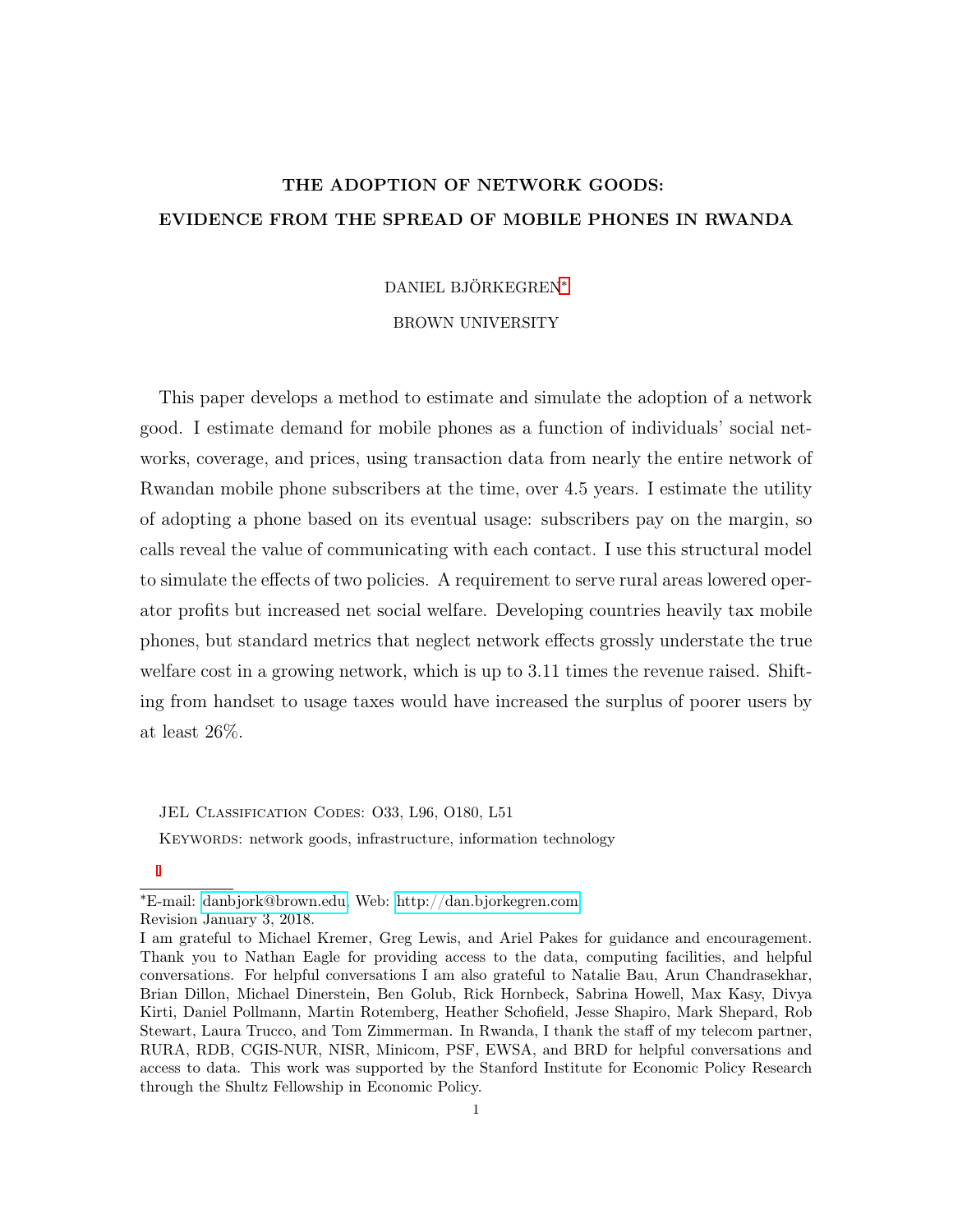# THE ADOPTION OF NETWORK GOODS: EVIDENCE FROM THE SPREAD OF MOBILE PHONES IN RWANDA

### DANIEL BJÖRKEGREN[∗](#page-0-0)

#### BROWN UNIVERSITY

This paper develops a method to estimate and simulate the adoption of a network good. I estimate demand for mobile phones as a function of individuals' social networks, coverage, and prices, using transaction data from nearly the entire network of Rwandan mobile phone subscribers at the time, over 4.5 years. I estimate the utility of adopting a phone based on its eventual usage: subscribers pay on the margin, so calls reveal the value of communicating with each contact. I use this structural model to simulate the effects of two policies. A requirement to serve rural areas lowered operator profits but increased net social welfare. Developing countries heavily tax mobile phones, but standard metrics that neglect network effects grossly understate the true welfare cost in a growing network, which is up to 3.11 times the revenue raised. Shifting from handset to usage taxes would have increased the surplus of poorer users by at least 26%.

JEL Classification Codes: O33, L96, O180, L51 KEYWORDS: network goods, infrastructure, information technology

<span id="page-0-0"></span><sup>∗</sup>E-mail: [danbjork@brown.edu,](mailto:danbjork@brown.edu) Web:<http://dan.bjorkegren.com>

Revision January 3, 2018.

I am grateful to Michael Kremer, Greg Lewis, and Ariel Pakes for guidance and encouragement. Thank you to Nathan Eagle for providing access to the data, computing facilities, and helpful conversations. For helpful conversations I am also grateful to Natalie Bau, Arun Chandrasekhar, Brian Dillon, Michael Dinerstein, Ben Golub, Rick Hornbeck, Sabrina Howell, Max Kasy, Divya Kirti, Daniel Pollmann, Martin Rotemberg, Heather Schofield, Jesse Shapiro, Mark Shepard, Rob Stewart, Laura Trucco, and Tom Zimmerman. In Rwanda, I thank the staff of my telecom partner, RURA, RDB, CGIS-NUR, NISR, Minicom, PSF, EWSA, and BRD for helpful conversations and access to data. This work was supported by the Stanford Institute for Economic Policy Research through the Shultz Fellowship in Economic Policy.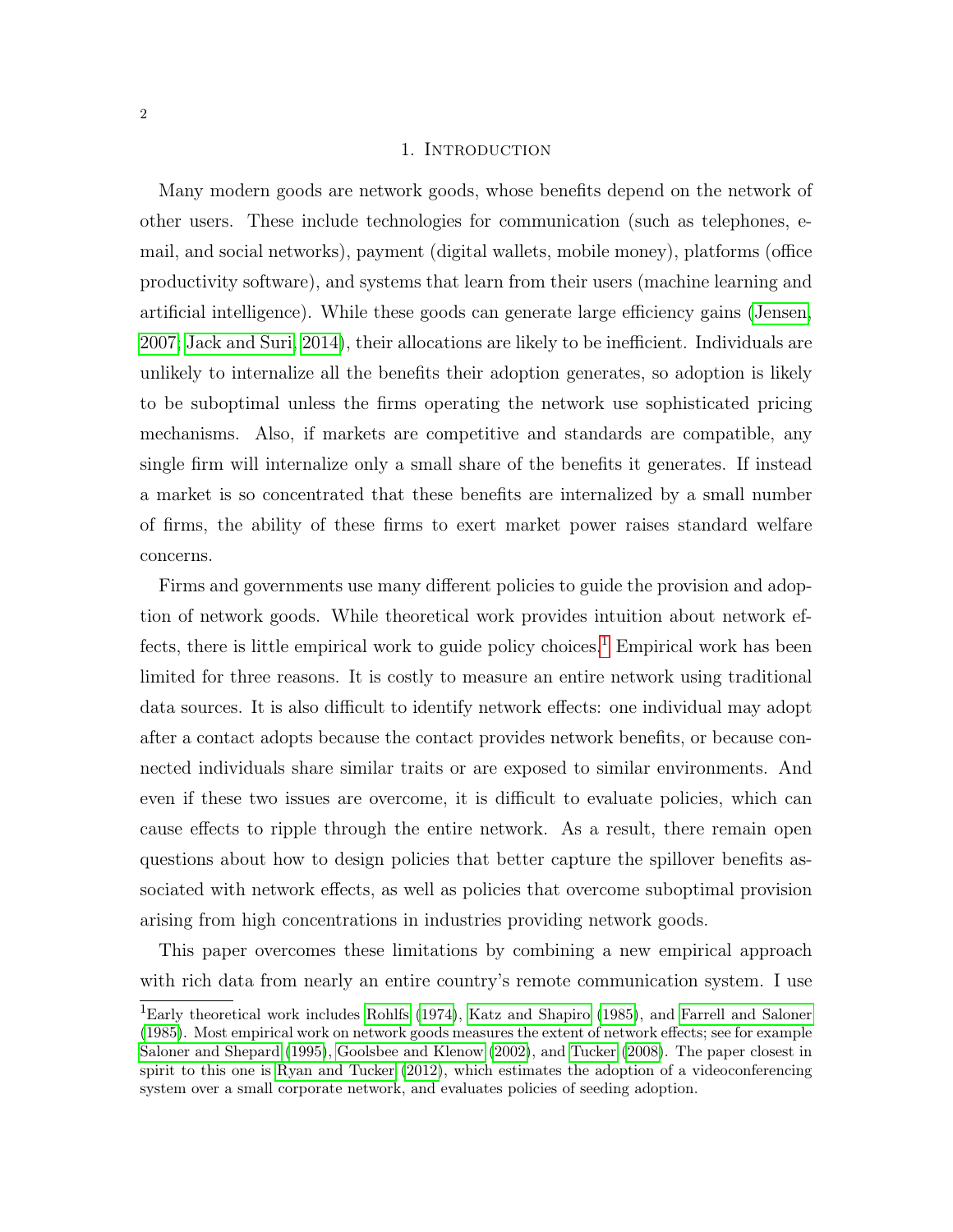### 1. INTRODUCTION

Many modern goods are network goods, whose benefits depend on the network of other users. These include technologies for communication (such as telephones, email, and social networks), payment (digital wallets, mobile money), platforms (office productivity software), and systems that learn from their users (machine learning and artificial intelligence). While these goods can generate large efficiency gains [\(Jensen,](#page-37-0) [2007;](#page-37-0) [Jack and Suri, 2014\)](#page-37-1), their allocations are likely to be inefficient. Individuals are unlikely to internalize all the benefits their adoption generates, so adoption is likely to be suboptimal unless the firms operating the network use sophisticated pricing mechanisms. Also, if markets are competitive and standards are compatible, any single firm will internalize only a small share of the benefits it generates. If instead a market is so concentrated that these benefits are internalized by a small number of firms, the ability of these firms to exert market power raises standard welfare concerns.

Firms and governments use many different policies to guide the provision and adoption of network goods. While theoretical work provides intuition about network ef-fects, there is little empirical work to guide policy choices.<sup>[1](#page-1-0)</sup> Empirical work has been limited for three reasons. It is costly to measure an entire network using traditional data sources. It is also difficult to identify network effects: one individual may adopt after a contact adopts because the contact provides network benefits, or because connected individuals share similar traits or are exposed to similar environments. And even if these two issues are overcome, it is difficult to evaluate policies, which can cause effects to ripple through the entire network. As a result, there remain open questions about how to design policies that better capture the spillover benefits associated with network effects, as well as policies that overcome suboptimal provision arising from high concentrations in industries providing network goods.

This paper overcomes these limitations by combining a new empirical approach with rich data from nearly an entire country's remote communication system. I use

<span id="page-1-0"></span><sup>1</sup>Early theoretical work includes [Rohlfs](#page-37-2) [\(1974\)](#page-37-2), [Katz and Shapiro](#page-37-3) [\(1985\)](#page-37-3), and [Farrell and Saloner](#page-36-0) [\(1985\)](#page-36-0). Most empirical work on network goods measures the extent of network effects; see for example [Saloner and Shepard](#page-37-4) [\(1995\)](#page-37-4), [Goolsbee and Klenow](#page-36-1) [\(2002\)](#page-36-1), and [Tucker](#page-37-5) [\(2008\)](#page-37-5). The paper closest in spirit to this one is [Ryan and Tucker](#page-37-6) [\(2012\)](#page-37-6), which estimates the adoption of a videoconferencing system over a small corporate network, and evaluates policies of seeding adoption.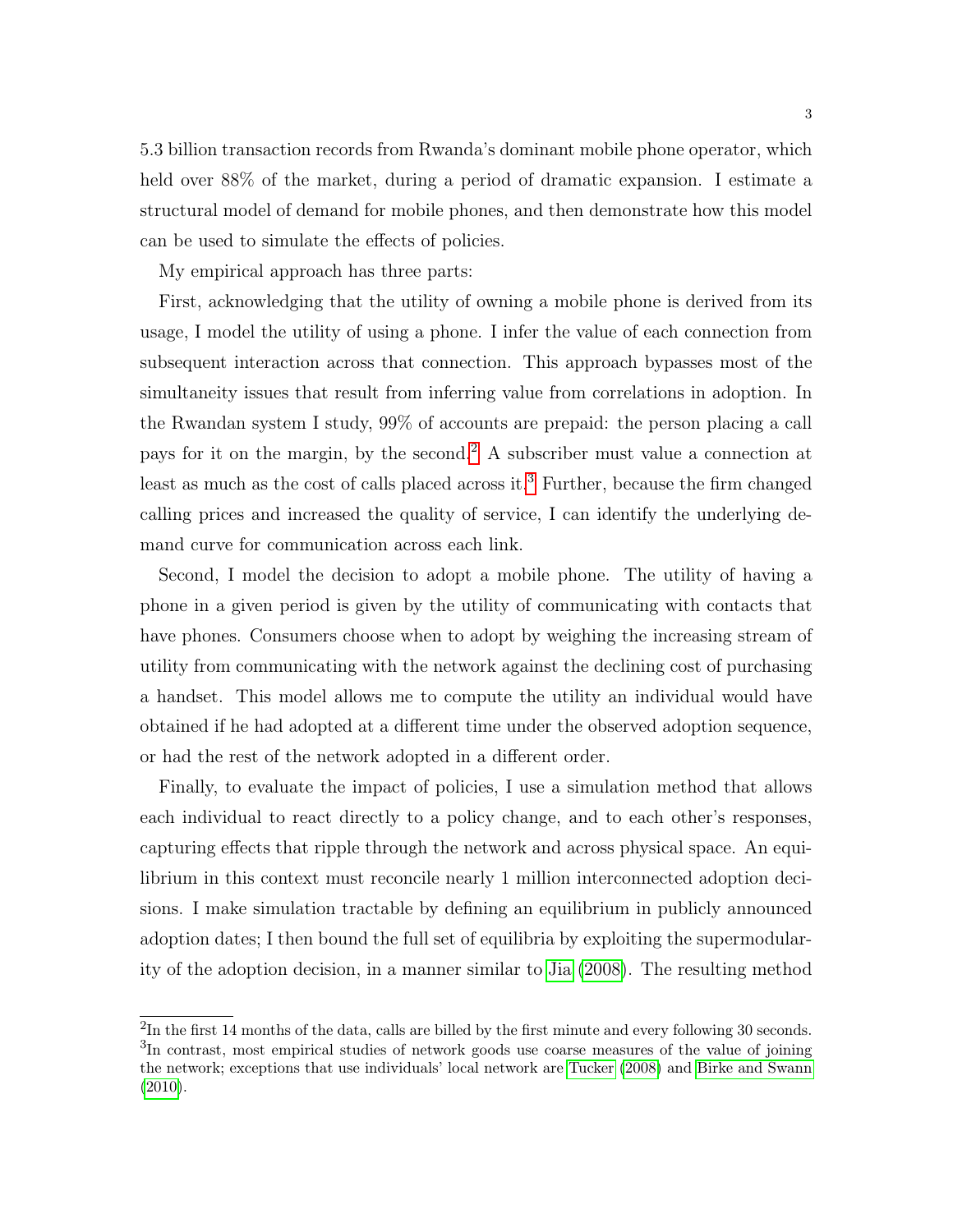5.3 billion transaction records from Rwanda's dominant mobile phone operator, which held over 88% of the market, during a period of dramatic expansion. I estimate a structural model of demand for mobile phones, and then demonstrate how this model can be used to simulate the effects of policies.

My empirical approach has three parts:

First, acknowledging that the utility of owning a mobile phone is derived from its usage, I model the utility of using a phone. I infer the value of each connection from subsequent interaction across that connection. This approach bypasses most of the simultaneity issues that result from inferring value from correlations in adoption. In the Rwandan system I study, 99% of accounts are prepaid: the person placing a call pays for it on the margin, by the second.[2](#page-2-0) A subscriber must value a connection at least as much as the cost of calls placed across it.<sup>[3](#page-2-1)</sup> Further, because the firm changed calling prices and increased the quality of service, I can identify the underlying demand curve for communication across each link.

Second, I model the decision to adopt a mobile phone. The utility of having a phone in a given period is given by the utility of communicating with contacts that have phones. Consumers choose when to adopt by weighing the increasing stream of utility from communicating with the network against the declining cost of purchasing a handset. This model allows me to compute the utility an individual would have obtained if he had adopted at a different time under the observed adoption sequence, or had the rest of the network adopted in a different order.

Finally, to evaluate the impact of policies, I use a simulation method that allows each individual to react directly to a policy change, and to each other's responses, capturing effects that ripple through the network and across physical space. An equilibrium in this context must reconcile nearly 1 million interconnected adoption decisions. I make simulation tractable by defining an equilibrium in publicly announced adoption dates; I then bound the full set of equilibria by exploiting the supermodularity of the adoption decision, in a manner similar to [Jia](#page-37-7) [\(2008\)](#page-37-7). The resulting method

<span id="page-2-1"></span><span id="page-2-0"></span> $2$ In the first 14 months of the data, calls are billed by the first minute and every following 30 seconds. <sup>3</sup>In contrast, most empirical studies of network goods use coarse measures of the value of joining the network; exceptions that use individuals' local network are [Tucker](#page-37-5) [\(2008\)](#page-37-5) and [Birke and Swann](#page-36-2) [\(2010\)](#page-36-2).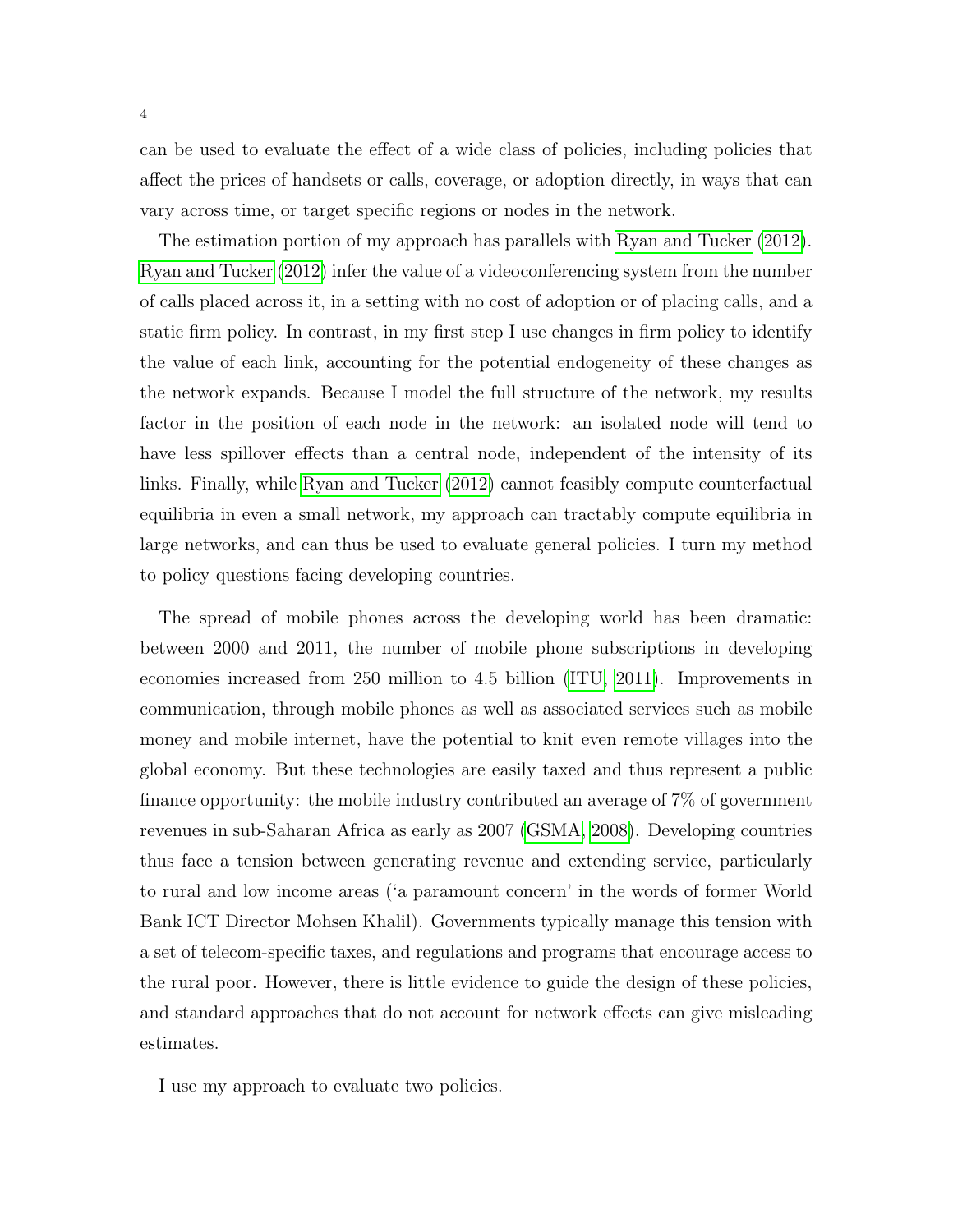can be used to evaluate the effect of a wide class of policies, including policies that affect the prices of handsets or calls, coverage, or adoption directly, in ways that can vary across time, or target specific regions or nodes in the network.

The estimation portion of my approach has parallels with [Ryan and Tucker](#page-37-6) [\(2012\)](#page-37-6). [Ryan and Tucker](#page-37-6) [\(2012\)](#page-37-6) infer the value of a videoconferencing system from the number of calls placed across it, in a setting with no cost of adoption or of placing calls, and a static firm policy. In contrast, in my first step I use changes in firm policy to identify the value of each link, accounting for the potential endogeneity of these changes as the network expands. Because I model the full structure of the network, my results factor in the position of each node in the network: an isolated node will tend to have less spillover effects than a central node, independent of the intensity of its links. Finally, while [Ryan and Tucker](#page-37-6) [\(2012\)](#page-37-6) cannot feasibly compute counterfactual equilibria in even a small network, my approach can tractably compute equilibria in large networks, and can thus be used to evaluate general policies. I turn my method to policy questions facing developing countries.

The spread of mobile phones across the developing world has been dramatic: between 2000 and 2011, the number of mobile phone subscriptions in developing economies increased from 250 million to 4.5 billion [\(ITU, 2011\)](#page-37-8). Improvements in communication, through mobile phones as well as associated services such as mobile money and mobile internet, have the potential to knit even remote villages into the global economy. But these technologies are easily taxed and thus represent a public finance opportunity: the mobile industry contributed an average of 7% of government revenues in sub-Saharan Africa as early as 2007 [\(GSMA, 2008\)](#page-36-3). Developing countries thus face a tension between generating revenue and extending service, particularly to rural and low income areas ('a paramount concern' in the words of former World Bank ICT Director Mohsen Khalil). Governments typically manage this tension with a set of telecom-specific taxes, and regulations and programs that encourage access to the rural poor. However, there is little evidence to guide the design of these policies, and standard approaches that do not account for network effects can give misleading estimates.

I use my approach to evaluate two policies.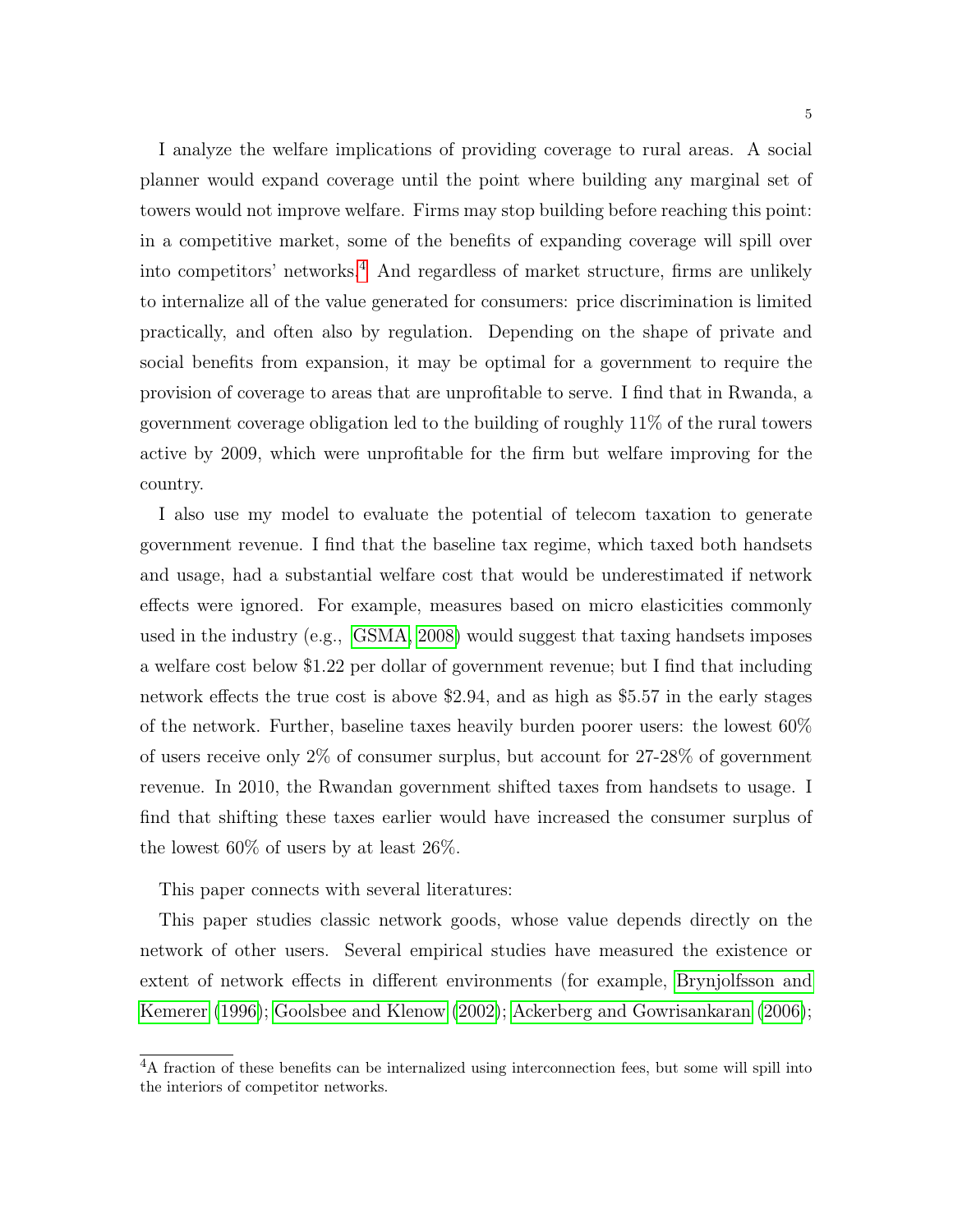I analyze the welfare implications of providing coverage to rural areas. A social planner would expand coverage until the point where building any marginal set of towers would not improve welfare. Firms may stop building before reaching this point: in a competitive market, some of the benefits of expanding coverage will spill over into competitors' networks.[4](#page-4-0) And regardless of market structure, firms are unlikely to internalize all of the value generated for consumers: price discrimination is limited practically, and often also by regulation. Depending on the shape of private and social benefits from expansion, it may be optimal for a government to require the provision of coverage to areas that are unprofitable to serve. I find that in Rwanda, a government coverage obligation led to the building of roughly 11% of the rural towers active by 2009, which were unprofitable for the firm but welfare improving for the country.

I also use my model to evaluate the potential of telecom taxation to generate government revenue. I find that the baseline tax regime, which taxed both handsets and usage, had a substantial welfare cost that would be underestimated if network effects were ignored. For example, measures based on micro elasticities commonly used in the industry (e.g., [GSMA, 2008\)](#page-36-3) would suggest that taxing handsets imposes a welfare cost below \$1.22 per dollar of government revenue; but I find that including network effects the true cost is above \$2.94, and as high as \$5.57 in the early stages of the network. Further, baseline taxes heavily burden poorer users: the lowest 60% of users receive only 2% of consumer surplus, but account for 27-28% of government revenue. In 2010, the Rwandan government shifted taxes from handsets to usage. I find that shifting these taxes earlier would have increased the consumer surplus of the lowest 60% of users by at least 26%.

This paper connects with several literatures:

This paper studies classic network goods, whose value depends directly on the network of other users. Several empirical studies have measured the existence or extent of network effects in different environments (for example, [Brynjolfsson and](#page-36-4) [Kemerer](#page-36-4) [\(1996\)](#page-36-4); [Goolsbee and Klenow](#page-36-1) [\(2002\)](#page-36-1); [Ackerberg and Gowrisankaran](#page-36-5) [\(2006\)](#page-36-5);

<span id="page-4-0"></span><sup>&</sup>lt;sup>4</sup>A fraction of these benefits can be internalized using interconnection fees, but some will spill into the interiors of competitor networks.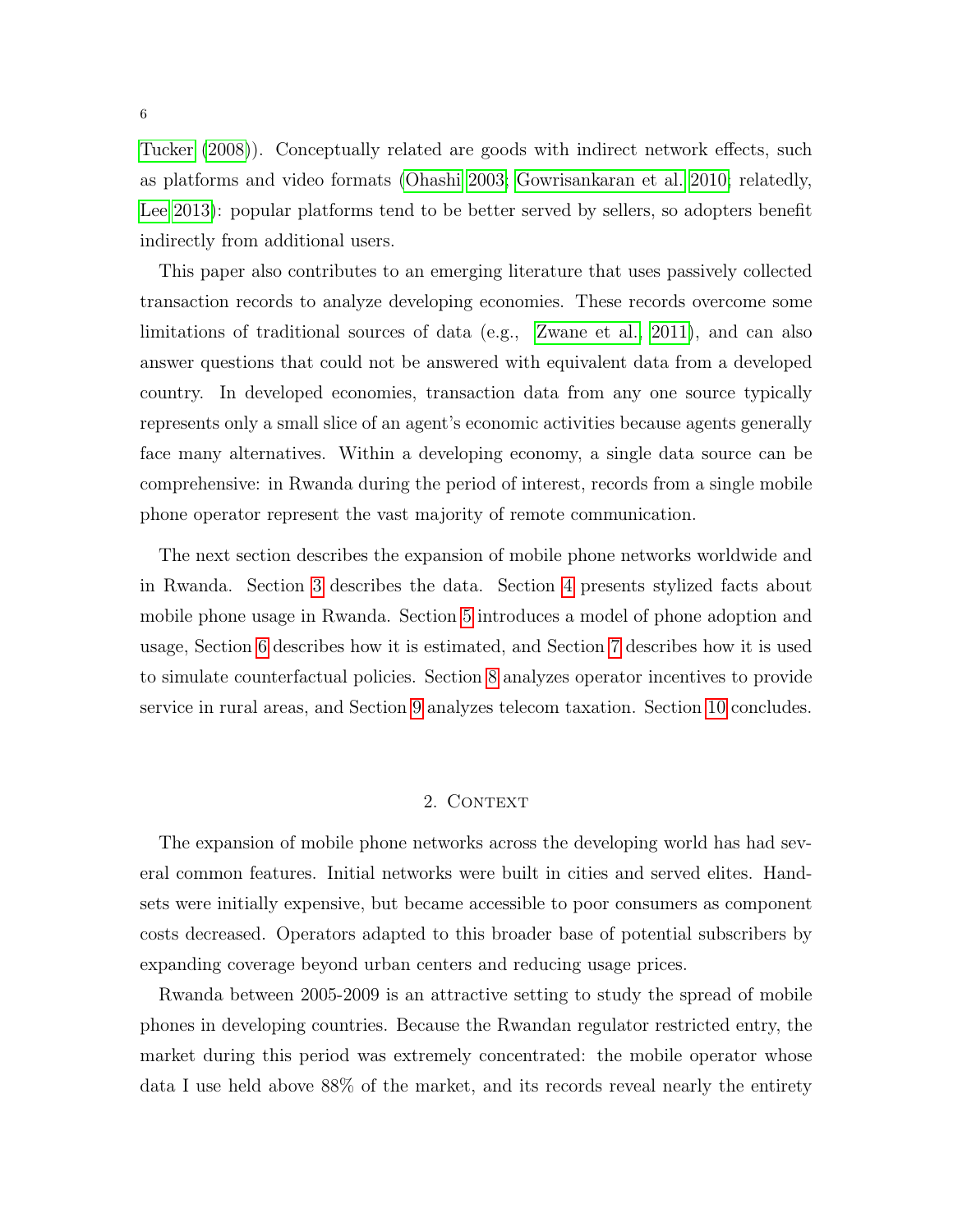[Tucker](#page-37-5) [\(2008\)](#page-37-5)). Conceptually related are goods with indirect network effects, such as platforms and video formats [\(Ohashi 2003;](#page-37-9) [Gowrisankaran et al. 2010;](#page-36-6) relatedly, [Lee 2013\)](#page-37-10): popular platforms tend to be better served by sellers, so adopters benefit indirectly from additional users.

This paper also contributes to an emerging literature that uses passively collected transaction records to analyze developing economies. These records overcome some limitations of traditional sources of data (e.g., [Zwane et al., 2011\)](#page-37-11), and can also answer questions that could not be answered with equivalent data from a developed country. In developed economies, transaction data from any one source typically represents only a small slice of an agent's economic activities because agents generally face many alternatives. Within a developing economy, a single data source can be comprehensive: in Rwanda during the period of interest, records from a single mobile phone operator represent the vast majority of remote communication.

The next section describes the expansion of mobile phone networks worldwide and in Rwanda. Section [3](#page-8-0) describes the data. Section [4](#page-10-0) presents stylized facts about mobile phone usage in Rwanda. Section [5](#page-12-0) introduces a model of phone adoption and usage, Section [6](#page-16-0) describes how it is estimated, and Section [7](#page-22-0) describes how it is used to simulate counterfactual policies. Section [8](#page-24-0) analyzes operator incentives to provide service in rural areas, and Section [9](#page-29-0) analyzes telecom taxation. Section [10](#page-35-0) concludes.

### 2. CONTEXT

The expansion of mobile phone networks across the developing world has had several common features. Initial networks were built in cities and served elites. Handsets were initially expensive, but became accessible to poor consumers as component costs decreased. Operators adapted to this broader base of potential subscribers by expanding coverage beyond urban centers and reducing usage prices.

Rwanda between 2005-2009 is an attractive setting to study the spread of mobile phones in developing countries. Because the Rwandan regulator restricted entry, the market during this period was extremely concentrated: the mobile operator whose data I use held above 88% of the market, and its records reveal nearly the entirety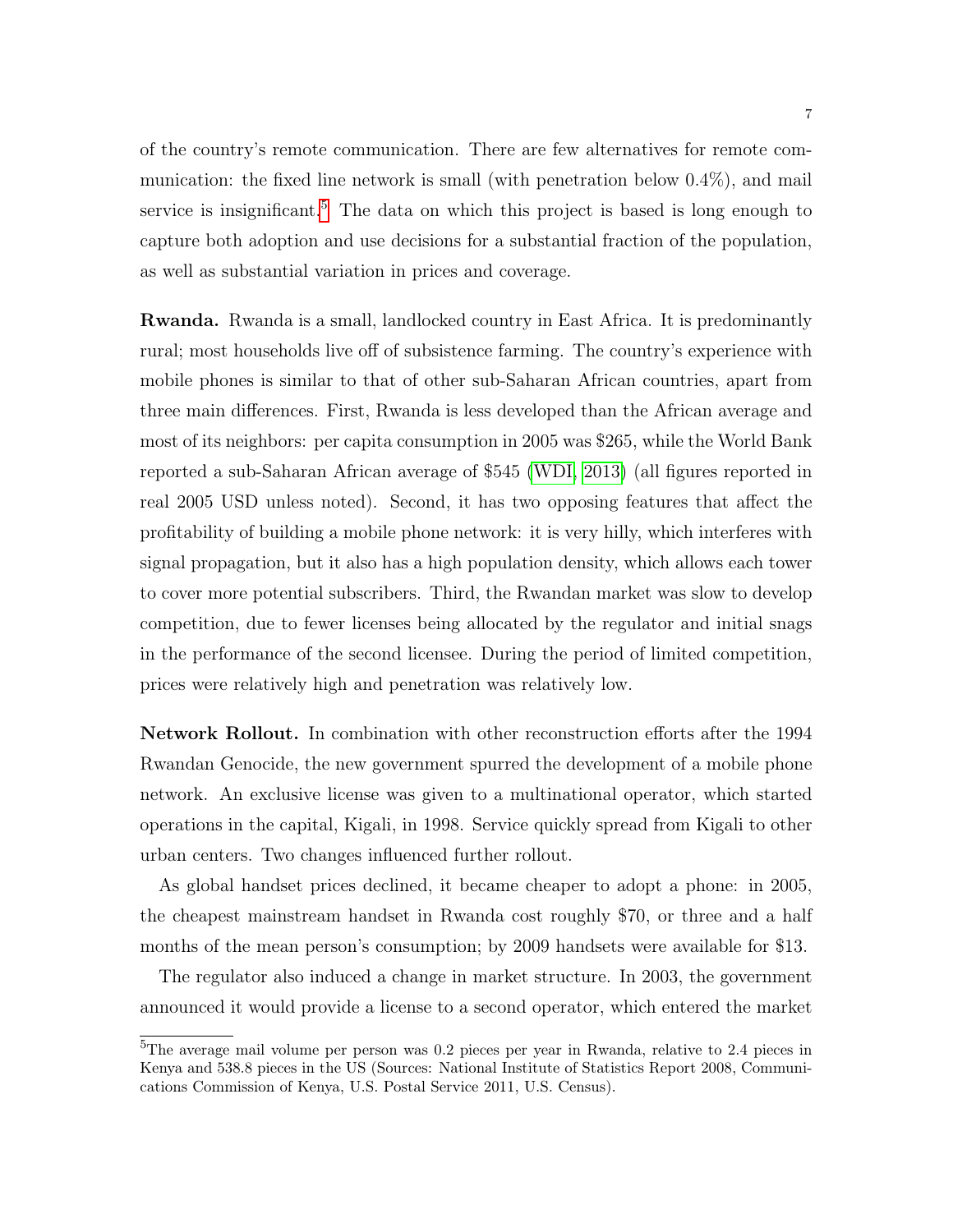of the country's remote communication. There are few alternatives for remote communication: the fixed line network is small (with penetration below 0.4%), and mail service is insignificant.<sup>[5](#page-6-0)</sup> The data on which this project is based is long enough to capture both adoption and use decisions for a substantial fraction of the population, as well as substantial variation in prices and coverage.

Rwanda. Rwanda is a small, landlocked country in East Africa. It is predominantly rural; most households live off of subsistence farming. The country's experience with mobile phones is similar to that of other sub-Saharan African countries, apart from three main differences. First, Rwanda is less developed than the African average and most of its neighbors: per capita consumption in 2005 was \$265, while the World Bank reported a sub-Saharan African average of \$545 [\(WDI, 2013\)](#page-37-12) (all figures reported in real 2005 USD unless noted). Second, it has two opposing features that affect the profitability of building a mobile phone network: it is very hilly, which interferes with signal propagation, but it also has a high population density, which allows each tower to cover more potential subscribers. Third, the Rwandan market was slow to develop competition, due to fewer licenses being allocated by the regulator and initial snags in the performance of the second licensee. During the period of limited competition, prices were relatively high and penetration was relatively low.

Network Rollout. In combination with other reconstruction efforts after the 1994 Rwandan Genocide, the new government spurred the development of a mobile phone network. An exclusive license was given to a multinational operator, which started operations in the capital, Kigali, in 1998. Service quickly spread from Kigali to other urban centers. Two changes influenced further rollout.

As global handset prices declined, it became cheaper to adopt a phone: in 2005, the cheapest mainstream handset in Rwanda cost roughly \$70, or three and a half months of the mean person's consumption; by 2009 handsets were available for \$13.

The regulator also induced a change in market structure. In 2003, the government announced it would provide a license to a second operator, which entered the market

<span id="page-6-0"></span><sup>5</sup>The average mail volume per person was 0.2 pieces per year in Rwanda, relative to 2.4 pieces in Kenya and 538.8 pieces in the US (Sources: National Institute of Statistics Report 2008, Communications Commission of Kenya, U.S. Postal Service 2011, U.S. Census).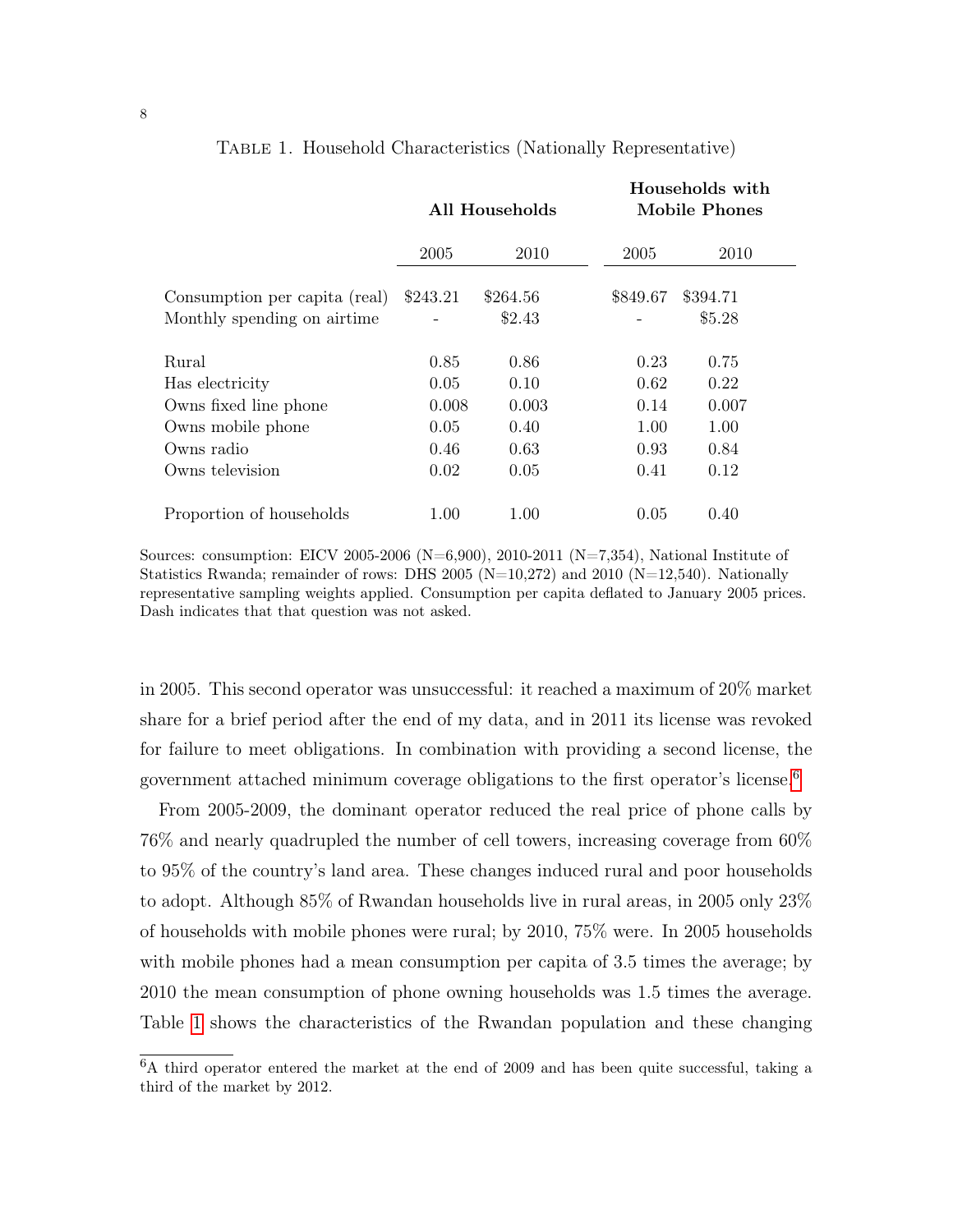|                               |          | All Households |          | Households with<br><b>Mobile Phones</b> |  |  |
|-------------------------------|----------|----------------|----------|-----------------------------------------|--|--|
|                               | 2005     | 2010           | 2005     | 2010                                    |  |  |
| Consumption per capita (real) | \$243.21 | \$264.56       | \$849.67 | \$394.71                                |  |  |
| Monthly spending on airtime   |          | \$2.43         |          | \$5.28                                  |  |  |
| Rural                         | 0.85     | 0.86           | 0.23     | 0.75                                    |  |  |
| Has electricity               | 0.05     | 0.10           | 0.62     | 0.22                                    |  |  |
| Owns fixed line phone         | 0.008    | 0.003          | 0.14     | 0.007                                   |  |  |
| Owns mobile phone             | 0.05     | 0.40           | 1.00     | 1.00                                    |  |  |
| Owns radio                    | 0.46     | 0.63           | 0.93     | 0.84                                    |  |  |
| Owns television               | 0.02     | 0.05           | 0.41     | 0.12                                    |  |  |
| Proportion of households      | 1.00     | 1.00           | 0.05     | 0.40                                    |  |  |

### <span id="page-7-1"></span>Table 1. Household Characteristics (Nationally Representative)

Sources: consumption: EICV 2005-2006 (N=6,900), 2010-2011 (N=7,354), National Institute of Statistics Rwanda; remainder of rows: DHS 2005 ( $N=10,272$ ) and 2010 ( $N=12,540$ ). Nationally representative sampling weights applied. Consumption per capita deflated to January 2005 prices. Dash indicates that that question was not asked.

in 2005. This second operator was unsuccessful: it reached a maximum of 20% market share for a brief period after the end of my data, and in 2011 its license was revoked for failure to meet obligations. In combination with providing a second license, the government attached minimum coverage obligations to the first operator's license.<sup>[6](#page-7-0)</sup>

From 2005-2009, the dominant operator reduced the real price of phone calls by 76% and nearly quadrupled the number of cell towers, increasing coverage from 60% to 95% of the country's land area. These changes induced rural and poor households to adopt. Although 85% of Rwandan households live in rural areas, in 2005 only 23% of households with mobile phones were rural; by 2010, 75% were. In 2005 households with mobile phones had a mean consumption per capita of 3.5 times the average; by 2010 the mean consumption of phone owning households was 1.5 times the average. Table [1](#page-7-1) shows the characteristics of the Rwandan population and these changing

<span id="page-7-0"></span><sup>6</sup>A third operator entered the market at the end of 2009 and has been quite successful, taking a third of the market by 2012.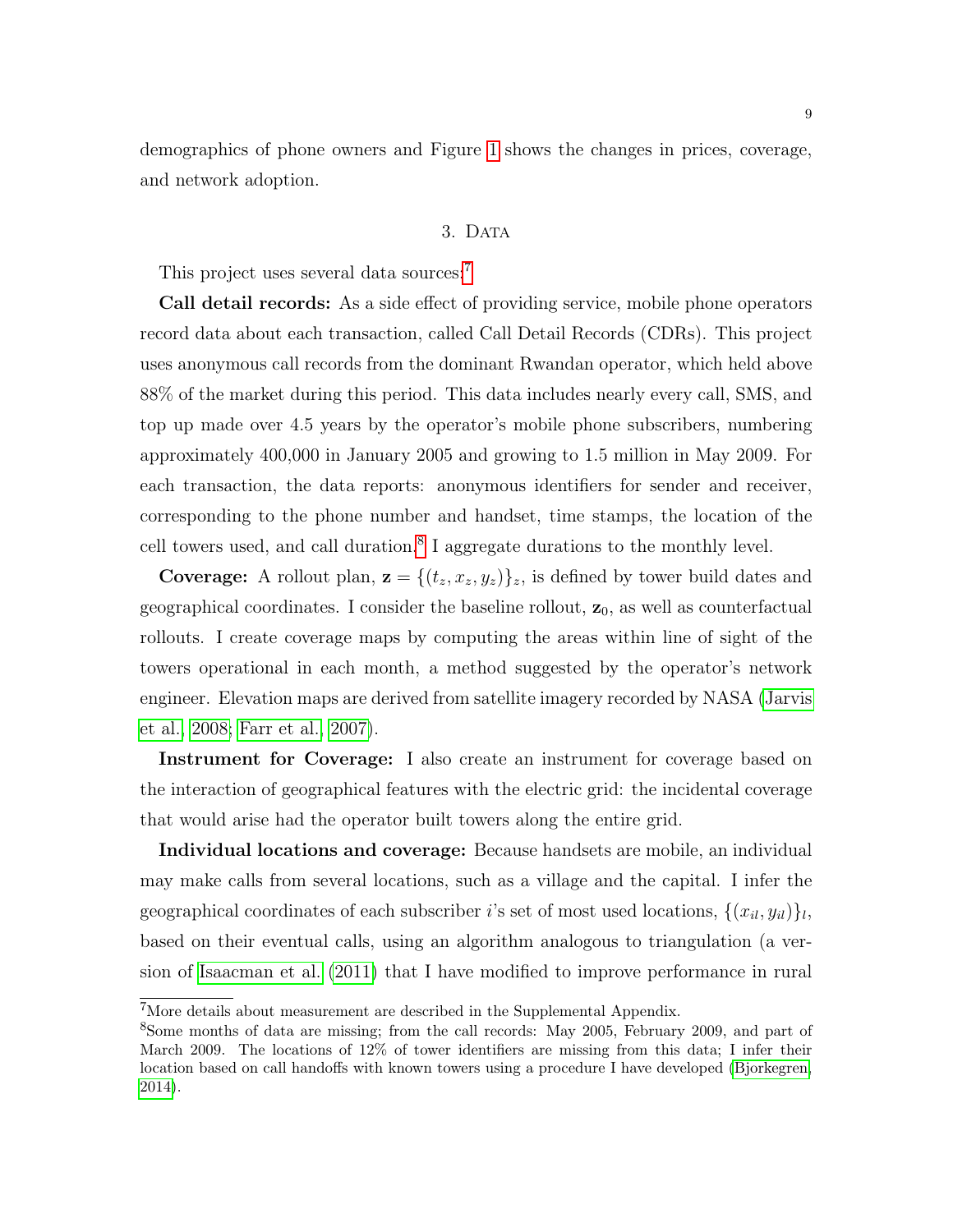demographics of phone owners and Figure [1](#page-9-0) shows the changes in prices, coverage, and network adoption.

# 3. DATA

<span id="page-8-0"></span>This project uses several data sources:<sup>[7](#page-8-1)</sup>

Call detail records: As a side effect of providing service, mobile phone operators record data about each transaction, called Call Detail Records (CDRs). This project uses anonymous call records from the dominant Rwandan operator, which held above 88% of the market during this period. This data includes nearly every call, SMS, and top up made over 4.5 years by the operator's mobile phone subscribers, numbering approximately 400,000 in January 2005 and growing to 1.5 million in May 2009. For each transaction, the data reports: anonymous identifiers for sender and receiver, corresponding to the phone number and handset, time stamps, the location of the cell towers used, and call duration.[8](#page-8-2) I aggregate durations to the monthly level.

**Coverage:** A rollout plan,  $\mathbf{z} = \{(t_z, x_z, y_z)\}_z$ , is defined by tower build dates and geographical coordinates. I consider the baseline rollout,  $z_0$ , as well as counterfactual rollouts. I create coverage maps by computing the areas within line of sight of the towers operational in each month, a method suggested by the operator's network engineer. Elevation maps are derived from satellite imagery recorded by NASA [\(Jarvis](#page-37-13) [et al., 2008;](#page-37-13) [Farr et al., 2007\)](#page-36-7).

Instrument for Coverage: I also create an instrument for coverage based on the interaction of geographical features with the electric grid: the incidental coverage that would arise had the operator built towers along the entire grid.

Individual locations and coverage: Because handsets are mobile, an individual may make calls from several locations, such as a village and the capital. I infer the geographical coordinates of each subscriber *i*'s set of most used locations,  $\{(x_{il}, y_{il})\}_l$ , based on their eventual calls, using an algorithm analogous to triangulation (a version of [Isaacman et al.](#page-36-8) [\(2011\)](#page-36-8) that I have modified to improve performance in rural

<span id="page-8-1"></span><sup>7</sup>More details about measurement are described in the Supplemental Appendix.

<span id="page-8-2"></span><sup>8</sup>Some months of data are missing; from the call records: May 2005, February 2009, and part of March 2009. The locations of 12% of tower identifiers are missing from this data; I infer their location based on call handoffs with known towers using a procedure I have developed [\(Bjorkegren,](#page-36-9) [2014\)](#page-36-9).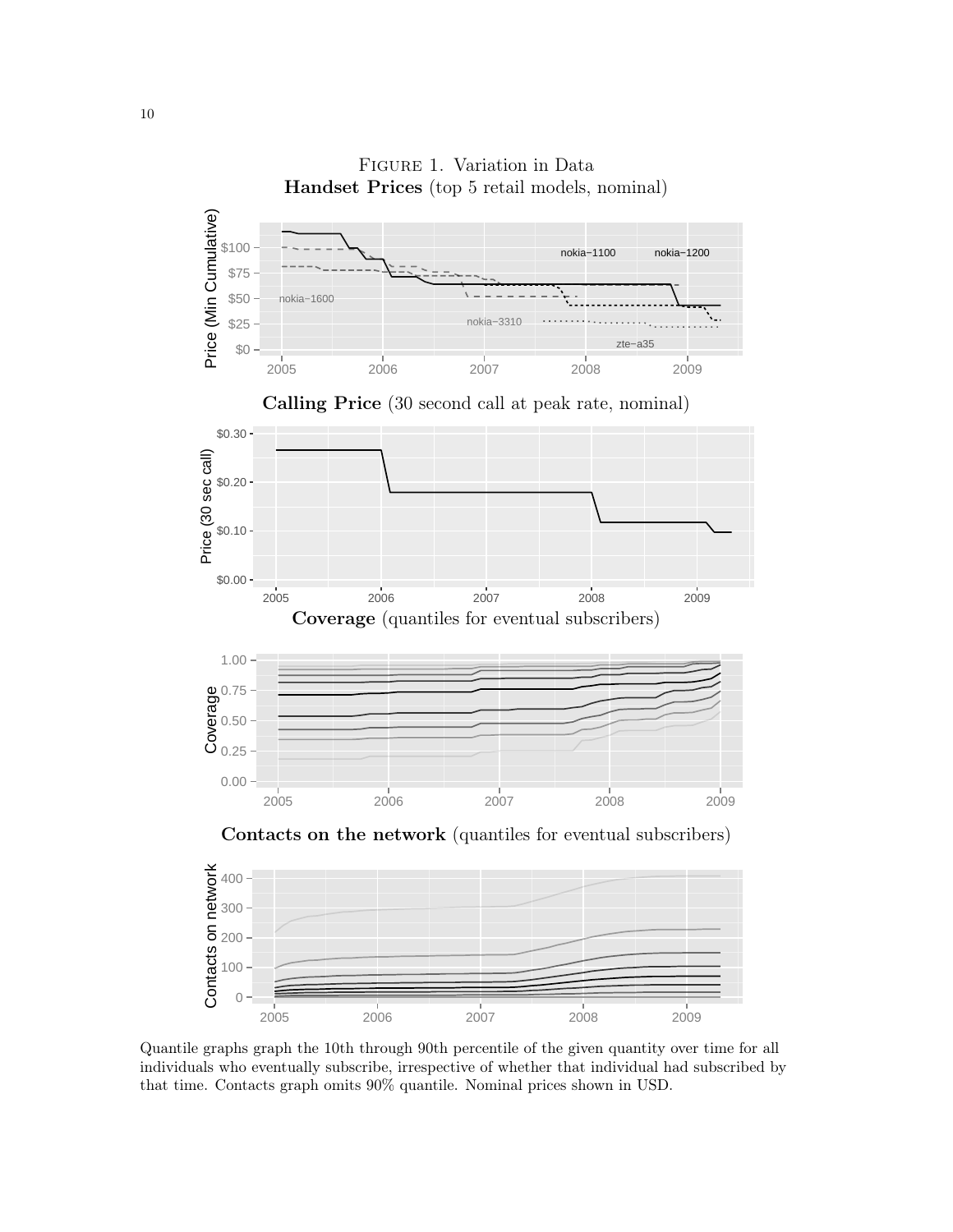<span id="page-9-0"></span>

Quantile graphs graph the 10th through 90th percentile of the given quantity over time for all individuals who eventually subscribe, irrespective of whether that individual had subscribed by that time. Contacts graph omits 90% quantile. Nominal prices shown in USD.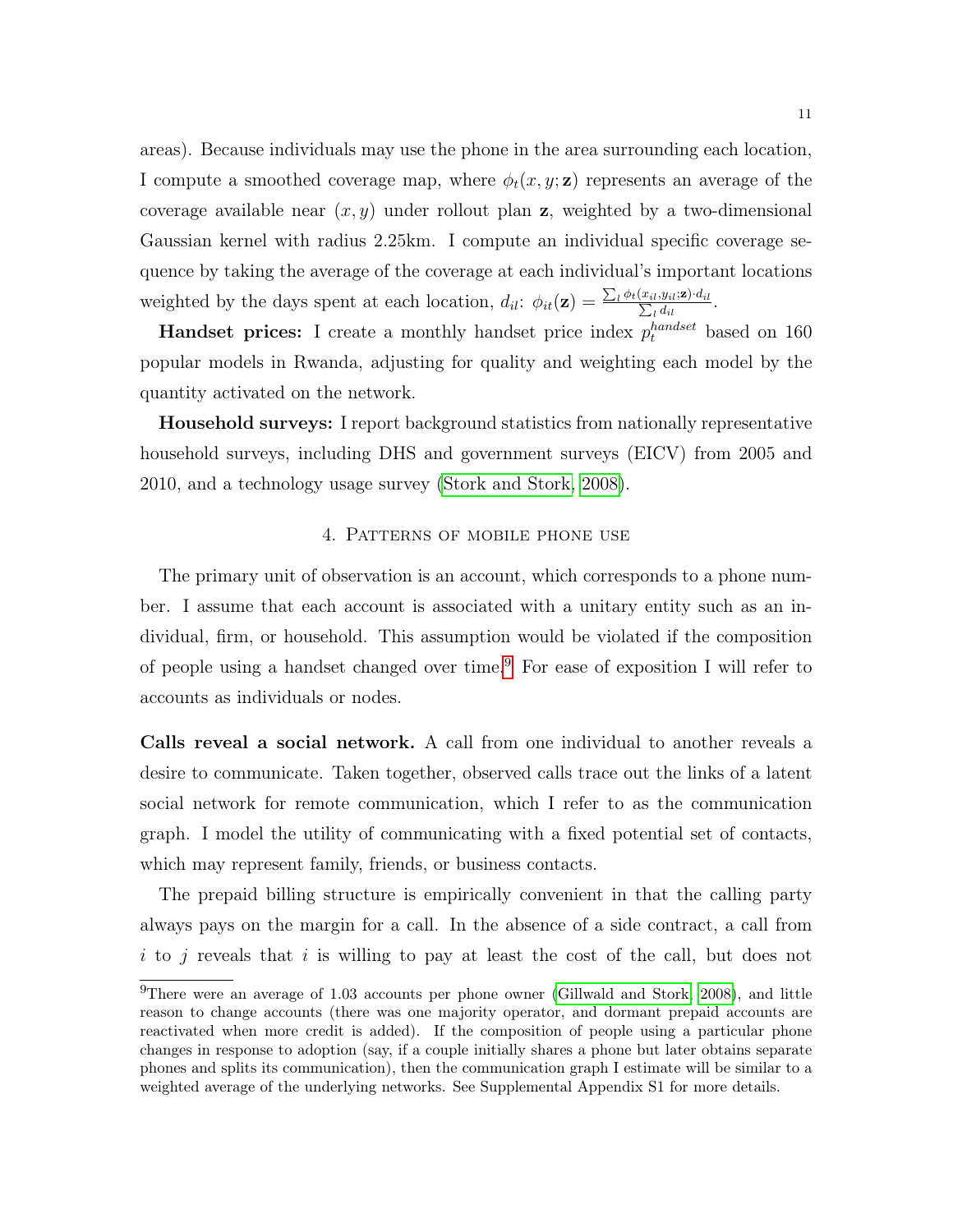areas). Because individuals may use the phone in the area surrounding each location, I compute a smoothed coverage map, where  $\phi_t(x, y; \mathbf{z})$  represents an average of the coverage available near  $(x, y)$  under rollout plan z, weighted by a two-dimensional Gaussian kernel with radius 2.25km. I compute an individual specific coverage sequence by taking the average of the coverage at each individual's important locations weighted by the days spent at each location,  $d_{il}$ :  $\phi_{it}(\mathbf{z}) = \frac{\sum_l \phi_t(x_{il}, y_{il}; \mathbf{z}) \cdot d_{il}}{\sum_l d_{il}}$  $\frac{\partial u_i(\mathbf{z}) \cdot a_{il}}{\partial u_i}$ .

**Handset prices:** I create a monthly handset price index  $p_t^{handset}$  based on 160 popular models in Rwanda, adjusting for quality and weighting each model by the quantity activated on the network.

Household surveys: I report background statistics from nationally representative household surveys, including DHS and government surveys (EICV) from 2005 and 2010, and a technology usage survey [\(Stork and Stork, 2008\)](#page-37-14).

### 4. Patterns of mobile phone use

<span id="page-10-0"></span>The primary unit of observation is an account, which corresponds to a phone number. I assume that each account is associated with a unitary entity such as an individual, firm, or household. This assumption would be violated if the composition of people using a handset changed over time.<sup>[9](#page-10-1)</sup> For ease of exposition I will refer to accounts as individuals or nodes.

Calls reveal a social network. A call from one individual to another reveals a desire to communicate. Taken together, observed calls trace out the links of a latent social network for remote communication, which I refer to as the communication graph. I model the utility of communicating with a fixed potential set of contacts, which may represent family, friends, or business contacts.

The prepaid billing structure is empirically convenient in that the calling party always pays on the margin for a call. In the absence of a side contract, a call from i to j reveals that i is willing to pay at least the cost of the call, but does not

<span id="page-10-1"></span><sup>&</sup>lt;sup>9</sup>There were an average of 1.03 accounts per phone owner [\(Gillwald and Stork, 2008\)](#page-36-10), and little reason to change accounts (there was one majority operator, and dormant prepaid accounts are reactivated when more credit is added). If the composition of people using a particular phone changes in response to adoption (say, if a couple initially shares a phone but later obtains separate phones and splits its communication), then the communication graph I estimate will be similar to a weighted average of the underlying networks. See Supplemental Appendix S1 for more details.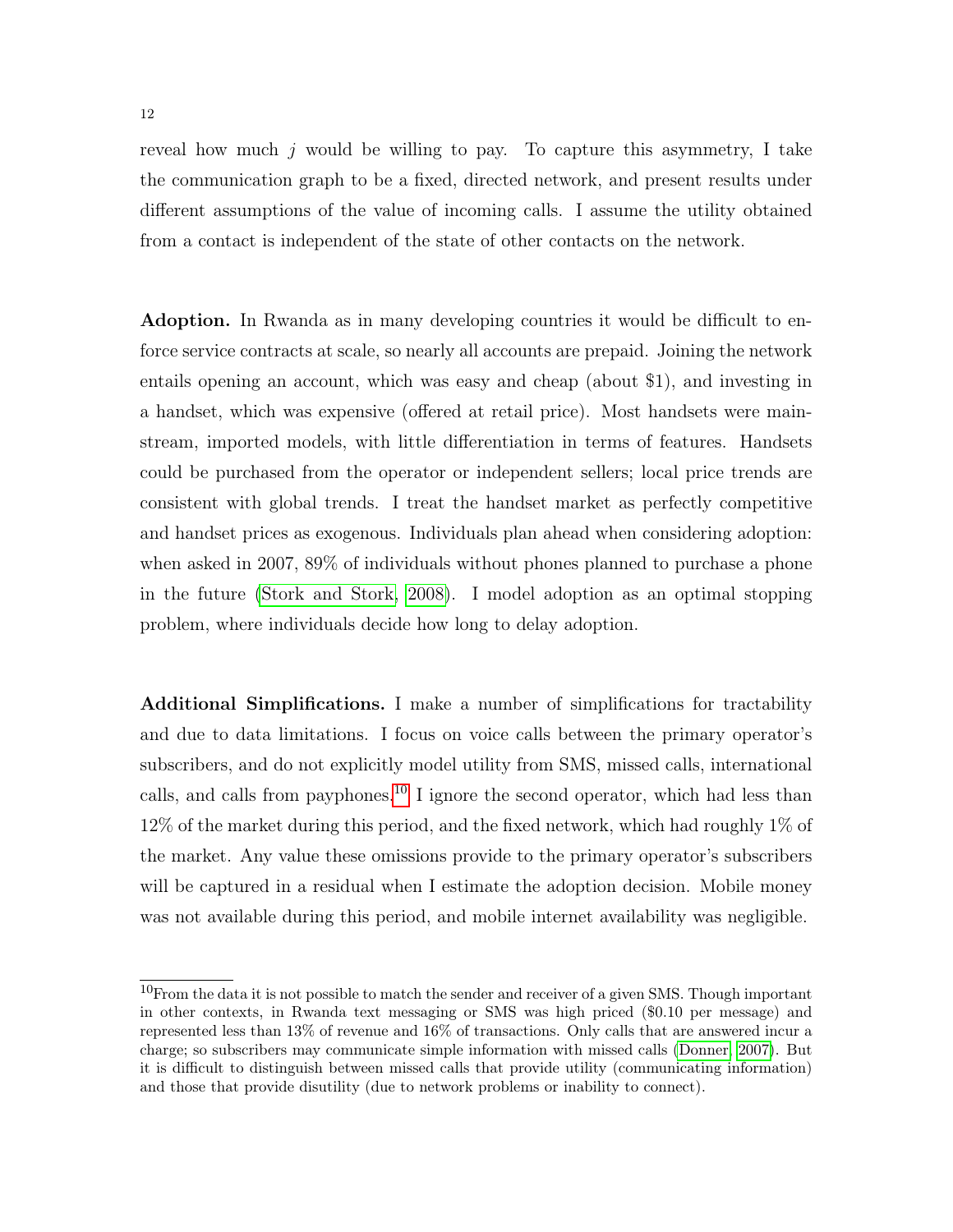reveal how much  $j$  would be willing to pay. To capture this asymmetry, I take the communication graph to be a fixed, directed network, and present results under different assumptions of the value of incoming calls. I assume the utility obtained from a contact is independent of the state of other contacts on the network.

Adoption. In Rwanda as in many developing countries it would be difficult to enforce service contracts at scale, so nearly all accounts are prepaid. Joining the network entails opening an account, which was easy and cheap (about \$1), and investing in a handset, which was expensive (offered at retail price). Most handsets were mainstream, imported models, with little differentiation in terms of features. Handsets could be purchased from the operator or independent sellers; local price trends are consistent with global trends. I treat the handset market as perfectly competitive and handset prices as exogenous. Individuals plan ahead when considering adoption: when asked in 2007, 89% of individuals without phones planned to purchase a phone in the future [\(Stork and Stork, 2008\)](#page-37-14). I model adoption as an optimal stopping problem, where individuals decide how long to delay adoption.

Additional Simplifications. I make a number of simplifications for tractability and due to data limitations. I focus on voice calls between the primary operator's subscribers, and do not explicitly model utility from SMS, missed calls, international calls, and calls from payphones.[10](#page-11-0) I ignore the second operator, which had less than 12% of the market during this period, and the fixed network, which had roughly 1% of the market. Any value these omissions provide to the primary operator's subscribers will be captured in a residual when I estimate the adoption decision. Mobile money was not available during this period, and mobile internet availability was negligible.

<span id="page-11-0"></span> $10$ From the data it is not possible to match the sender and receiver of a given SMS. Though important in other contexts, in Rwanda text messaging or SMS was high priced (\$0.10 per message) and represented less than 13% of revenue and 16% of transactions. Only calls that are answered incur a charge; so subscribers may communicate simple information with missed calls [\(Donner, 2007\)](#page-36-11). But it is difficult to distinguish between missed calls that provide utility (communicating information) and those that provide disutility (due to network problems or inability to connect).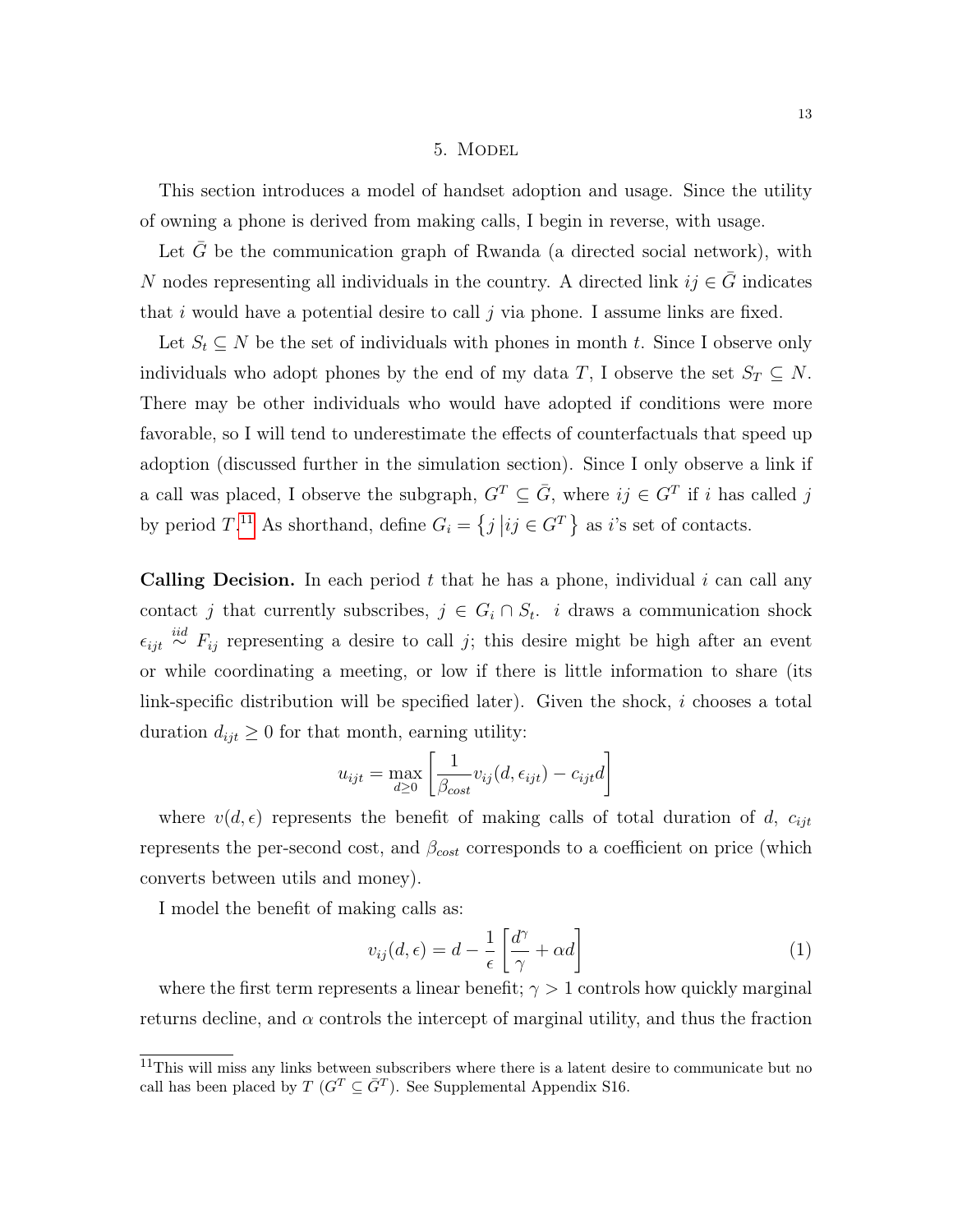#### 5. Model

<span id="page-12-0"></span>This section introduces a model of handset adoption and usage. Since the utility of owning a phone is derived from making calls, I begin in reverse, with usage.

Let  $G$  be the communication graph of Rwanda (a directed social network), with N nodes representing all individuals in the country. A directed link  $ij \in \overline{G}$  indicates that i would have a potential desire to call  $j$  via phone. I assume links are fixed.

Let  $S_t \subseteq N$  be the set of individuals with phones in month t. Since I observe only individuals who adopt phones by the end of my data T, I observe the set  $S_T \subseteq N$ . There may be other individuals who would have adopted if conditions were more favorable, so I will tend to underestimate the effects of counterfactuals that speed up adoption (discussed further in the simulation section). Since I only observe a link if a call was placed, I observe the subgraph,  $G^T \subseteq \overline{G}$ , where  $ij \in G^T$  if i has called j by period  $T$ .<sup>[11](#page-12-1)</sup> As shorthand, define  $G_i = \{j | ij \in G^T\}$  as *i*'s set of contacts.

**Calling Decision.** In each period t that he has a phone, individual i can call any contact j that currently subscribes,  $j \in G_i \cap S_t$ . i draws a communication shock  $\epsilon_{ijt} \stackrel{iid}{\sim} F_{ij}$  representing a desire to call j; this desire might be high after an event or while coordinating a meeting, or low if there is little information to share (its link-specific distribution will be specified later). Given the shock, i chooses a total duration  $d_{ijt} \geq 0$  for that month, earning utility:

$$
u_{ijt} = \max_{d \ge 0} \left[ \frac{1}{\beta_{cost}} v_{ij}(d, \epsilon_{ijt}) - c_{ijt} d \right]
$$

where  $v(d, \epsilon)$  represents the benefit of making calls of total duration of d,  $c_{ijt}$ represents the per-second cost, and  $\beta_{cost}$  corresponds to a coefficient on price (which converts between utils and money).

I model the benefit of making calls as:

<span id="page-12-2"></span>
$$
v_{ij}(d,\epsilon) = d - \frac{1}{\epsilon} \left[ \frac{d^{\gamma}}{\gamma} + \alpha d \right]
$$
 (1)

where the first term represents a linear benefit;  $\gamma > 1$  controls how quickly marginal returns decline, and  $\alpha$  controls the intercept of marginal utility, and thus the fraction

<span id="page-12-1"></span> $11$ This will miss any links between subscribers where there is a latent desire to communicate but no call has been placed by  $T(G^T \subseteq \overline{G}^T)$ . See Supplemental Appendix S16.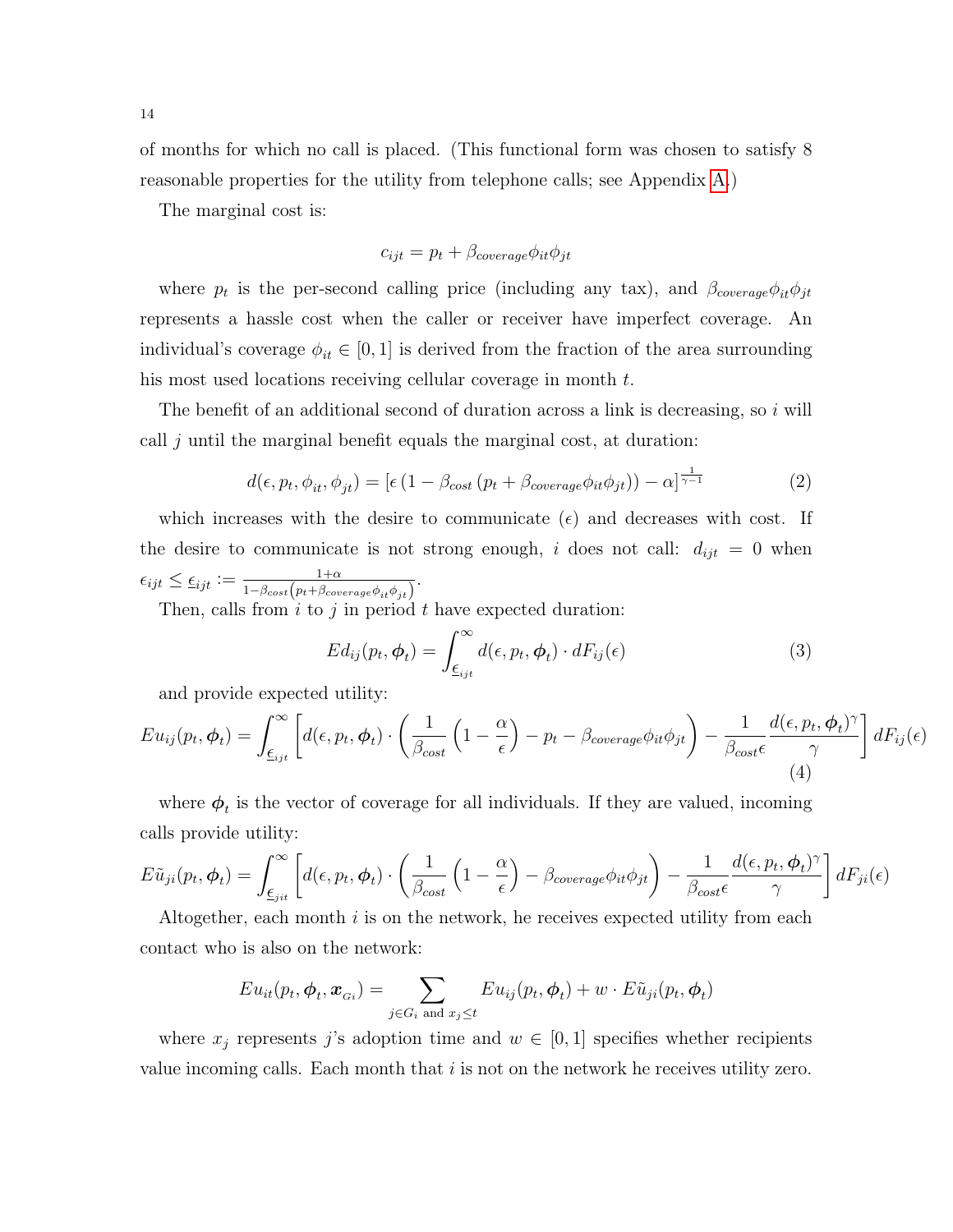of months for which no call is placed. (This functional form was chosen to satisfy 8 reasonable properties for the utility from telephone calls; see Appendix [A.](#page-38-0))

The marginal cost is:

$$
c_{ijt} = p_t + \beta_{coverage}\phi_{it}\phi_{jt}
$$

where  $p_t$  is the per-second calling price (including any tax), and  $\beta_{coverage}\phi_{it}\phi_{jt}$ represents a hassle cost when the caller or receiver have imperfect coverage. An individual's coverage  $\phi_{it} \in [0, 1]$  is derived from the fraction of the area surrounding his most used locations receiving cellular coverage in month t.

The benefit of an additional second of duration across a link is decreasing, so  $i$  will call  $j$  until the marginal benefit equals the marginal cost, at duration:

<span id="page-13-0"></span>
$$
d(\epsilon, p_t, \phi_{it}, \phi_{jt}) = [\epsilon (1 - \beta_{cost} (p_t + \beta_{coverage} \phi_{it} \phi_{jt})) - \alpha]^{\frac{1}{\gamma - 1}}
$$
(2)

which increases with the desire to communicate  $(\epsilon)$  and decreases with cost. If the desire to communicate is not strong enough, i does not call:  $d_{ijt} = 0$  when  $\epsilon_{ijt} \leq \underline{\epsilon}_{ijt} := \frac{1+\alpha}{1-\beta_{z+i}(n+\beta_{z+i})}$  $\frac{1+\alpha}{1-\beta_{cost}\left(p_t+\beta_{coverage}\phi_{it}\phi_{jt}\right)}.$ 

Then, calls from  $i$  to  $j$  in period  $t$  have expected duration:

<span id="page-13-1"></span>
$$
Ed_{ij}(p_t, \boldsymbol{\phi}_t) = \int_{\underline{\epsilon}_{ijt}}^{\infty} d(\epsilon, p_t, \boldsymbol{\phi}_t) \cdot dF_{ij}(\epsilon)
$$
 (3)

and provide expected utility:

<span id="page-13-2"></span>
$$
E u_{ij}(p_t, \phi_t) = \int_{\underline{\epsilon}_{ijt}}^{\infty} \left[ d(\epsilon, p_t, \phi_t) \cdot \left( \frac{1}{\beta_{cost}} \left( 1 - \frac{\alpha}{\epsilon} \right) - p_t - \beta_{coverage} \phi_{it} \phi_{jt} \right) - \frac{1}{\beta_{cost}} \frac{d(\epsilon, p_t, \phi_t)^{\gamma}}{\gamma} \right] dF_{ij}(\epsilon)
$$
\n(4)

where  $\phi_t$  is the vector of coverage for all individuals. If they are valued, incoming calls provide utility:

$$
E\tilde{u}_{ji}(p_t, \phi_t) = \int_{\underline{\epsilon}_{jit}}^{\infty} \left[ d(\epsilon, p_t, \phi_t) \cdot \left( \frac{1}{\beta_{cost}} \left( 1 - \frac{\alpha}{\epsilon} \right) - \beta_{coverage} \phi_{it} \phi_{jt} \right) - \frac{1}{\beta_{cost}} \frac{d(\epsilon, p_t, \phi_t)^{\gamma}}{\gamma} \right] dF_{ji}(\epsilon)
$$

Altogether, each month  $i$  is on the network, he receives expected utility from each contact who is also on the network:

$$
Eu_{it}(p_t, \boldsymbol{\phi}_t, \boldsymbol{x}_{Gi}) = \sum_{j \in G_i \text{ and } x_j \le t} Eu_{ij}(p_t, \boldsymbol{\phi}_t) + w \cdot E \tilde{u}_{ji}(p_t, \boldsymbol{\phi}_t)
$$

where  $x_j$  represents j's adoption time and  $w \in [0,1]$  specifies whether recipients value incoming calls. Each month that  $i$  is not on the network he receives utility zero.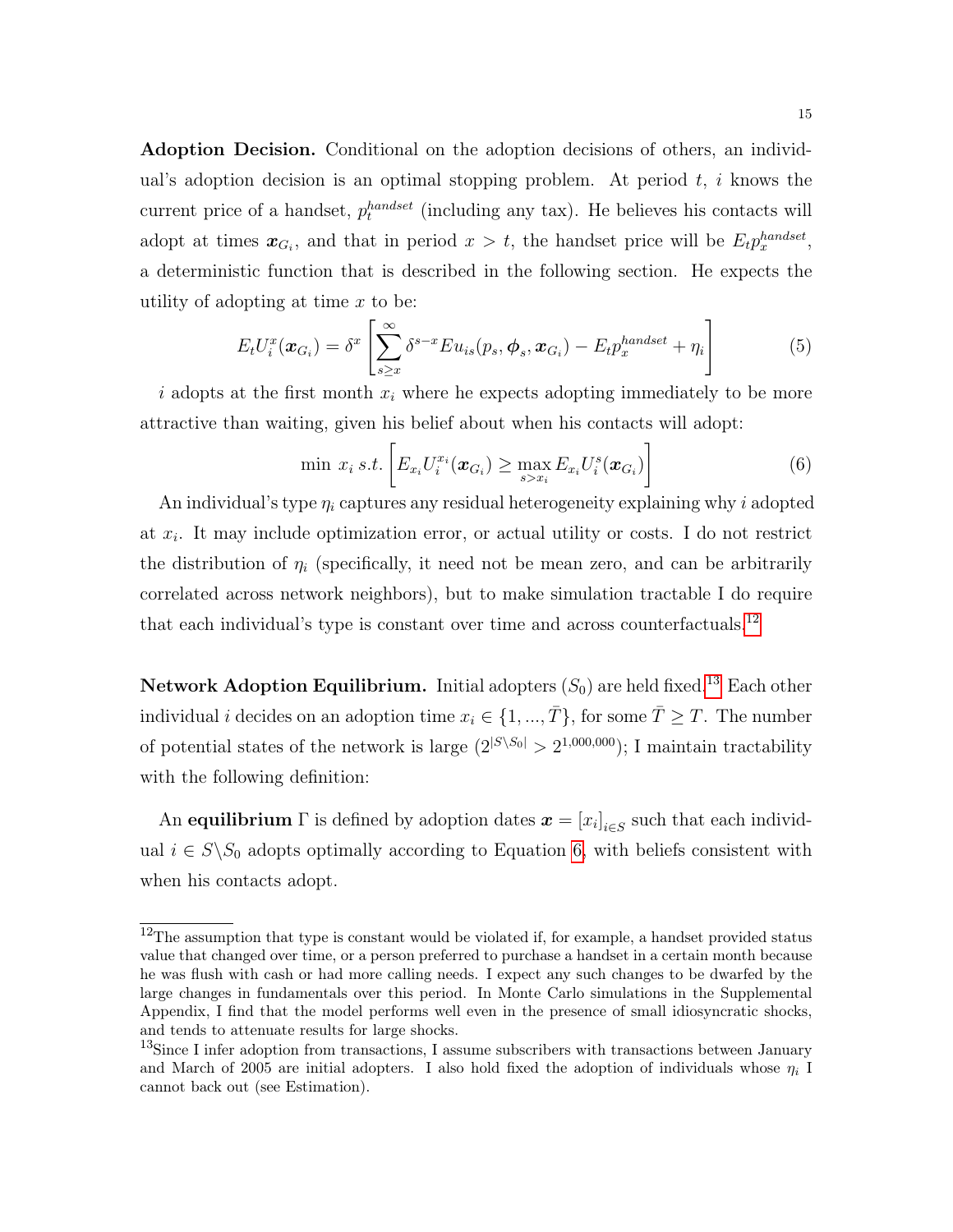Adoption Decision. Conditional on the adoption decisions of others, an individual's adoption decision is an optimal stopping problem. At period  $t$ , i knows the current price of a handset,  $p_t^{handset}$  (including any tax). He believes his contacts will adopt at times  $x_{G_i}$ , and that in period  $x > t$ , the handset price will be  $E_t p_x^{handset}$ , a deterministic function that is described in the following section. He expects the utility of adopting at time  $x$  to be:

$$
E_t U_i^x(\boldsymbol{x}_{G_i}) = \delta^x \left[ \sum_{s \ge x}^{\infty} \delta^{s-x} E u_{is}(p_s, \boldsymbol{\phi}_s, \boldsymbol{x}_{G_i}) - E_t p_x^{handset} + \eta_i \right]
$$
(5)

i adopts at the first month  $x_i$  where he expects adopting immediately to be more attractive than waiting, given his belief about when his contacts will adopt:

<span id="page-14-2"></span>
$$
\min \ x_i \ s.t. \left[ E_{x_i} U_i^{x_i}(\boldsymbol{x}_{G_i}) \geq \max_{s > x_i} E_{x_i} U_i^s(\boldsymbol{x}_{G_i}) \right] \tag{6}
$$

An individual's type  $\eta_i$  captures any residual heterogeneity explaining why i adopted at  $x_i$ . It may include optimization error, or actual utility or costs. I do not restrict the distribution of  $\eta_i$  (specifically, it need not be mean zero, and can be arbitrarily correlated across network neighbors), but to make simulation tractable I do require that each individual's type is constant over time and across counterfactuals.<sup>[12](#page-14-0)</sup>

Network Adoption Equilibrium. Initial adopters  $(S_0)$  are held fixed.<sup>[13](#page-14-1)</sup> Each other individual i decides on an adoption time  $x_i \in \{1, ..., \overline{T}\}$ , for some  $\overline{T} \geq T$ . The number of potential states of the network is large  $(2^{|S \setminus S_0|} > 2^{1,000,000})$ ; I maintain tractability with the following definition:

An equilibrium  $\Gamma$  is defined by adoption dates  $\boldsymbol{x} = [x_i]_{i \in S}$  such that each individual  $i \in S \backslash S_0$  adopts optimally according to Equation [6,](#page-14-2) with beliefs consistent with when his contacts adopt.

<span id="page-14-0"></span> $^{12}\mathrm{The}$  assumption that type is constant would be violated if, for example, a handset provided status value that changed over time, or a person preferred to purchase a handset in a certain month because he was flush with cash or had more calling needs. I expect any such changes to be dwarfed by the large changes in fundamentals over this period. In Monte Carlo simulations in the Supplemental Appendix, I find that the model performs well even in the presence of small idiosyncratic shocks, and tends to attenuate results for large shocks.

<span id="page-14-1"></span><sup>&</sup>lt;sup>13</sup>Since I infer adoption from transactions, I assume subscribers with transactions between January and March of 2005 are initial adopters. I also hold fixed the adoption of individuals whose  $\eta_i$  I cannot back out (see Estimation).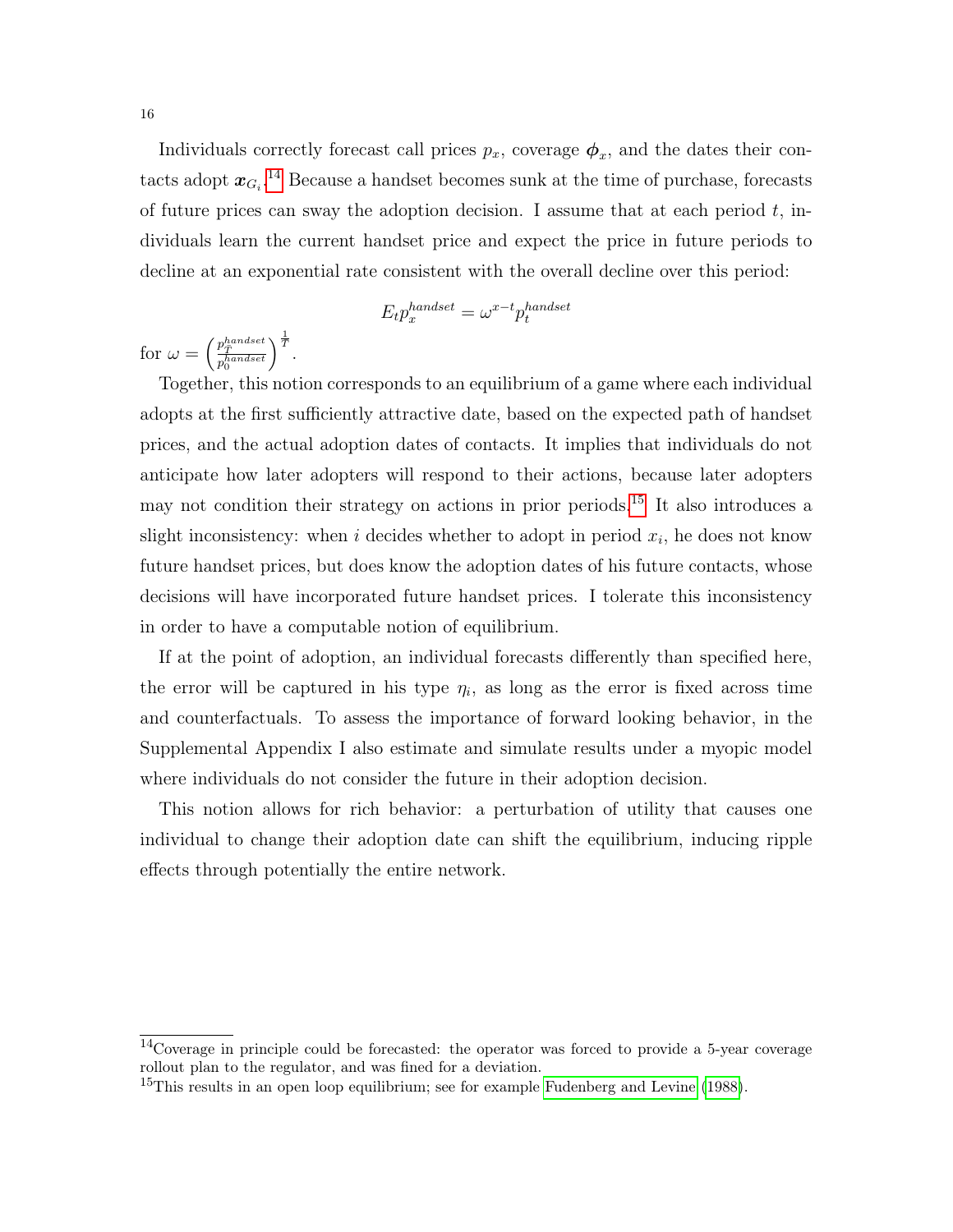Individuals correctly forecast call prices  $p_x$ , coverage  $\phi_x$ , and the dates their contacts adopt  $x_{G_i}$ .<sup>[14](#page-15-0)</sup> Because a handset becomes sunk at the time of purchase, forecasts of future prices can sway the adoption decision. I assume that at each period  $t$ , individuals learn the current handset price and expect the price in future periods to decline at an exponential rate consistent with the overall decline over this period:

$$
E_t p_x^{handset} = \omega^{x-t} p_t^{handset}
$$

for  $\omega = \left(\frac{p_T^{handset}}{n^handset}\right)$  $\overline{p_0^{handset}}$  $\Big)^{\frac{1}{\bar{T}}}$ .

Together, this notion corresponds to an equilibrium of a game where each individual adopts at the first sufficiently attractive date, based on the expected path of handset prices, and the actual adoption dates of contacts. It implies that individuals do not anticipate how later adopters will respond to their actions, because later adopters may not condition their strategy on actions in prior periods.[15](#page-15-1) It also introduces a slight inconsistency: when i decides whether to adopt in period  $x_i$ , he does not know future handset prices, but does know the adoption dates of his future contacts, whose decisions will have incorporated future handset prices. I tolerate this inconsistency in order to have a computable notion of equilibrium.

If at the point of adoption, an individual forecasts differently than specified here, the error will be captured in his type  $\eta_i$ , as long as the error is fixed across time and counterfactuals. To assess the importance of forward looking behavior, in the Supplemental Appendix I also estimate and simulate results under a myopic model where individuals do not consider the future in their adoption decision.

This notion allows for rich behavior: a perturbation of utility that causes one individual to change their adoption date can shift the equilibrium, inducing ripple effects through potentially the entire network.

<span id="page-15-0"></span><sup>&</sup>lt;sup>14</sup>Coverage in principle could be forecasted: the operator was forced to provide a 5-year coverage rollout plan to the regulator, and was fined for a deviation.

<span id="page-15-1"></span><sup>&</sup>lt;sup>15</sup>This results in an open loop equilibrium; see for example [Fudenberg and Levine](#page-36-12) [\(1988\)](#page-36-12).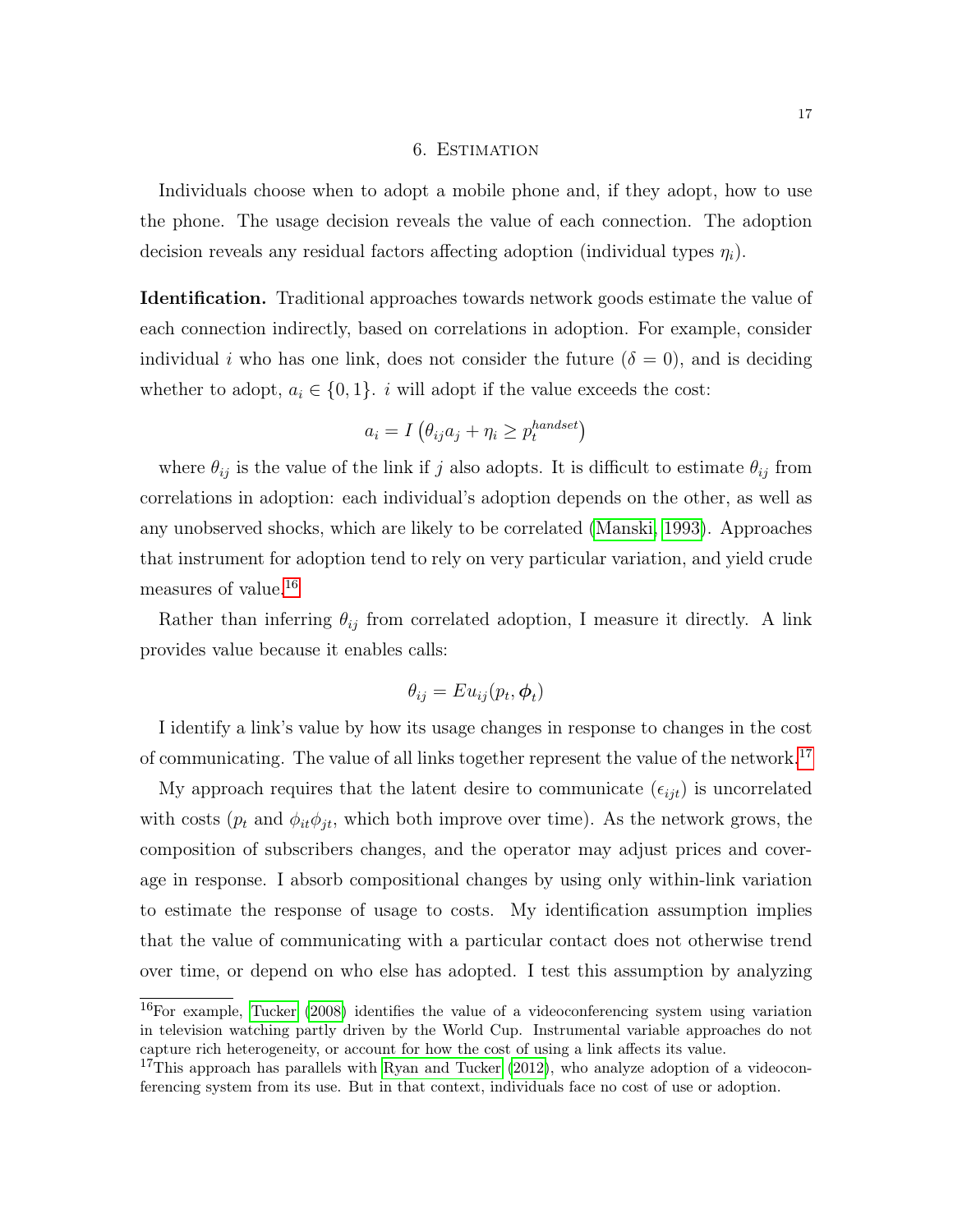### 6. Estimation

<span id="page-16-0"></span>Individuals choose when to adopt a mobile phone and, if they adopt, how to use the phone. The usage decision reveals the value of each connection. The adoption decision reveals any residual factors affecting adoption (individual types  $\eta_i$ ).

Identification. Traditional approaches towards network goods estimate the value of each connection indirectly, based on correlations in adoption. For example, consider individual i who has one link, does not consider the future  $(\delta = 0)$ , and is deciding whether to adopt,  $a_i \in \{0, 1\}$ . i will adopt if the value exceeds the cost:

$$
a_i = I\left(\theta_{ij}a_j + \eta_i \ge p_t^{handset}\right)
$$

where  $\theta_{ij}$  is the value of the link if j also adopts. It is difficult to estimate  $\theta_{ij}$  from correlations in adoption: each individual's adoption depends on the other, as well as any unobserved shocks, which are likely to be correlated [\(Manski, 1993\)](#page-37-15). Approaches that instrument for adoption tend to rely on very particular variation, and yield crude measures of value.<sup>[16](#page-16-1)</sup>

Rather than inferring  $\theta_{ij}$  from correlated adoption, I measure it directly. A link provides value because it enables calls:

$$
\theta_{ij} = E u_{ij}(p_t, \boldsymbol{\phi}_t)
$$

I identify a link's value by how its usage changes in response to changes in the cost of communicating. The value of all links together represent the value of the network.<sup>[17](#page-16-2)</sup>

My approach requires that the latent desire to communicate  $(\epsilon_{ijt})$  is uncorrelated with costs ( $p_t$  and  $\phi_{it}\phi_{jt}$ , which both improve over time). As the network grows, the composition of subscribers changes, and the operator may adjust prices and coverage in response. I absorb compositional changes by using only within-link variation to estimate the response of usage to costs. My identification assumption implies that the value of communicating with a particular contact does not otherwise trend over time, or depend on who else has adopted. I test this assumption by analyzing

<span id="page-16-1"></span><sup>16</sup>For example, [Tucker](#page-37-5) [\(2008\)](#page-37-5) identifies the value of a videoconferencing system using variation in television watching partly driven by the World Cup. Instrumental variable approaches do not capture rich heterogeneity, or account for how the cost of using a link affects its value.

<span id="page-16-2"></span><sup>&</sup>lt;sup>17</sup>This approach has parallels with [Ryan and Tucker](#page-37-6)  $(2012)$ , who analyze adoption of a videoconferencing system from its use. But in that context, individuals face no cost of use or adoption.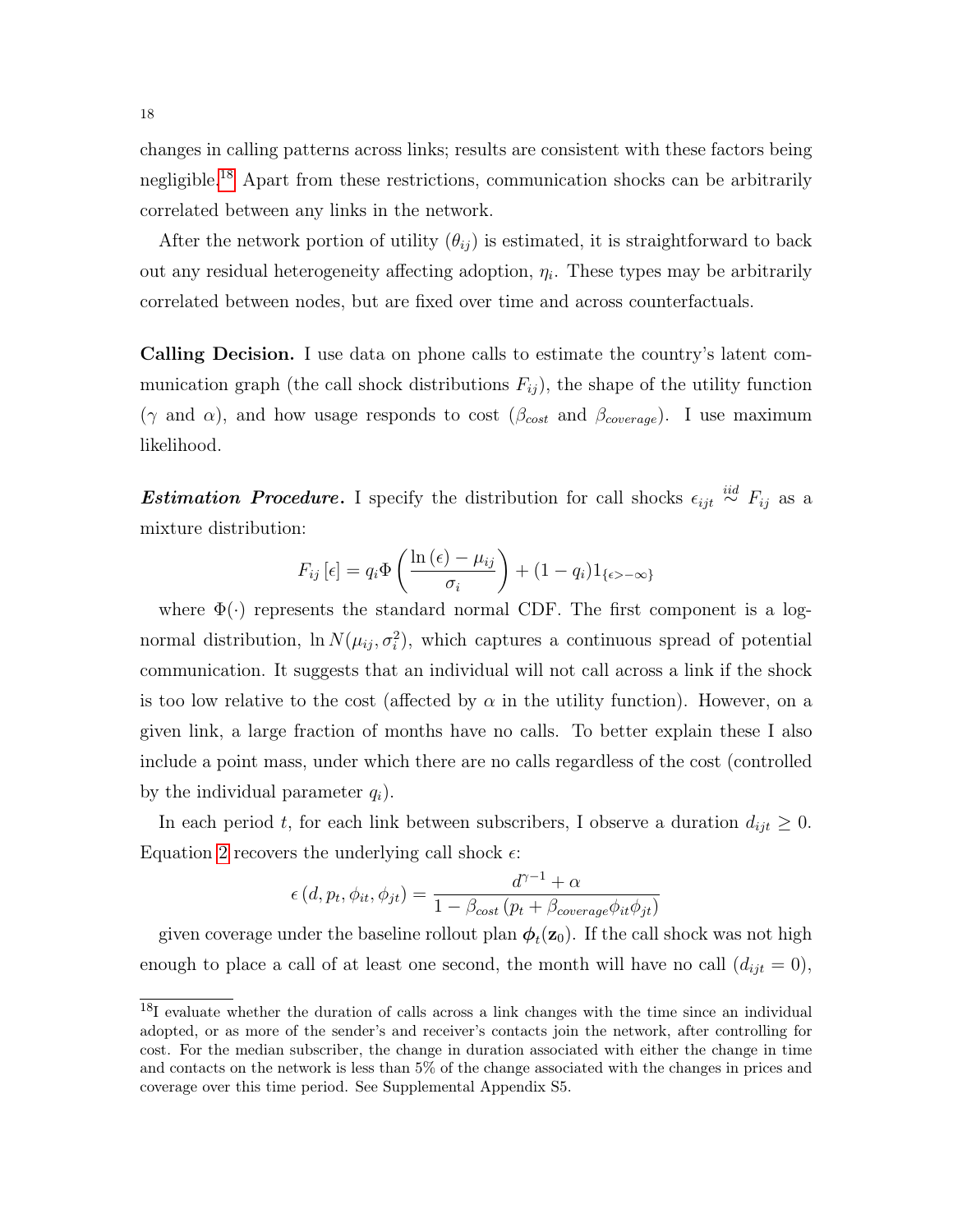changes in calling patterns across links; results are consistent with these factors being negligible.[18](#page-17-0) Apart from these restrictions, communication shocks can be arbitrarily correlated between any links in the network.

After the network portion of utility  $(\theta_{ij})$  is estimated, it is straightforward to back out any residual heterogeneity affecting adoption,  $\eta_i$ . These types may be arbitrarily correlated between nodes, but are fixed over time and across counterfactuals.

Calling Decision. I use data on phone calls to estimate the country's latent communication graph (the call shock distributions  $F_{ij}$ ), the shape of the utility function  $(\gamma \text{ and } \alpha)$ , and how usage responds to cost  $(\beta_{cost} \text{ and } \beta_{coverage})$ . I use maximum likelihood.

Estimation Procedure. I specify the distribution for call shocks  $\epsilon_{ijt} \stackrel{iid}{\sim} F_{ij}$  as a mixture distribution:

$$
F_{ij} \left[ \epsilon \right] = q_i \Phi \left( \frac{\ln \left( \epsilon \right) - \mu_{ij}}{\sigma_i} \right) + (1 - q_i) 1_{\{\epsilon > -\infty\}}
$$

where  $\Phi(\cdot)$  represents the standard normal CDF. The first component is a lognormal distribution,  $\ln N(\mu_{ij}, \sigma_i^2)$ , which captures a continuous spread of potential communication. It suggests that an individual will not call across a link if the shock is too low relative to the cost (affected by  $\alpha$  in the utility function). However, on a given link, a large fraction of months have no calls. To better explain these I also include a point mass, under which there are no calls regardless of the cost (controlled by the individual parameter  $q_i$ ).

In each period t, for each link between subscribers, I observe a duration  $d_{ijt} \geq 0$ . Equation [2](#page-13-0) recovers the underlying call shock  $\epsilon$ :

$$
\epsilon(d, p_t, \phi_{it}, \phi_{jt}) = \frac{d^{\gamma - 1} + \alpha}{1 - \beta_{cost} (p_t + \beta_{coverage} \phi_{it} \phi_{jt})}
$$

given coverage under the baseline rollout plan  $\phi_t(\mathbf{z}_0)$ . If the call shock was not high enough to place a call of at least one second, the month will have no call  $(d_{ijt} = 0)$ ,

<span id="page-17-0"></span><sup>&</sup>lt;sup>18</sup>I evaluate whether the duration of calls across a link changes with the time since an individual adopted, or as more of the sender's and receiver's contacts join the network, after controlling for cost. For the median subscriber, the change in duration associated with either the change in time and contacts on the network is less than 5% of the change associated with the changes in prices and coverage over this time period. See Supplemental Appendix S5.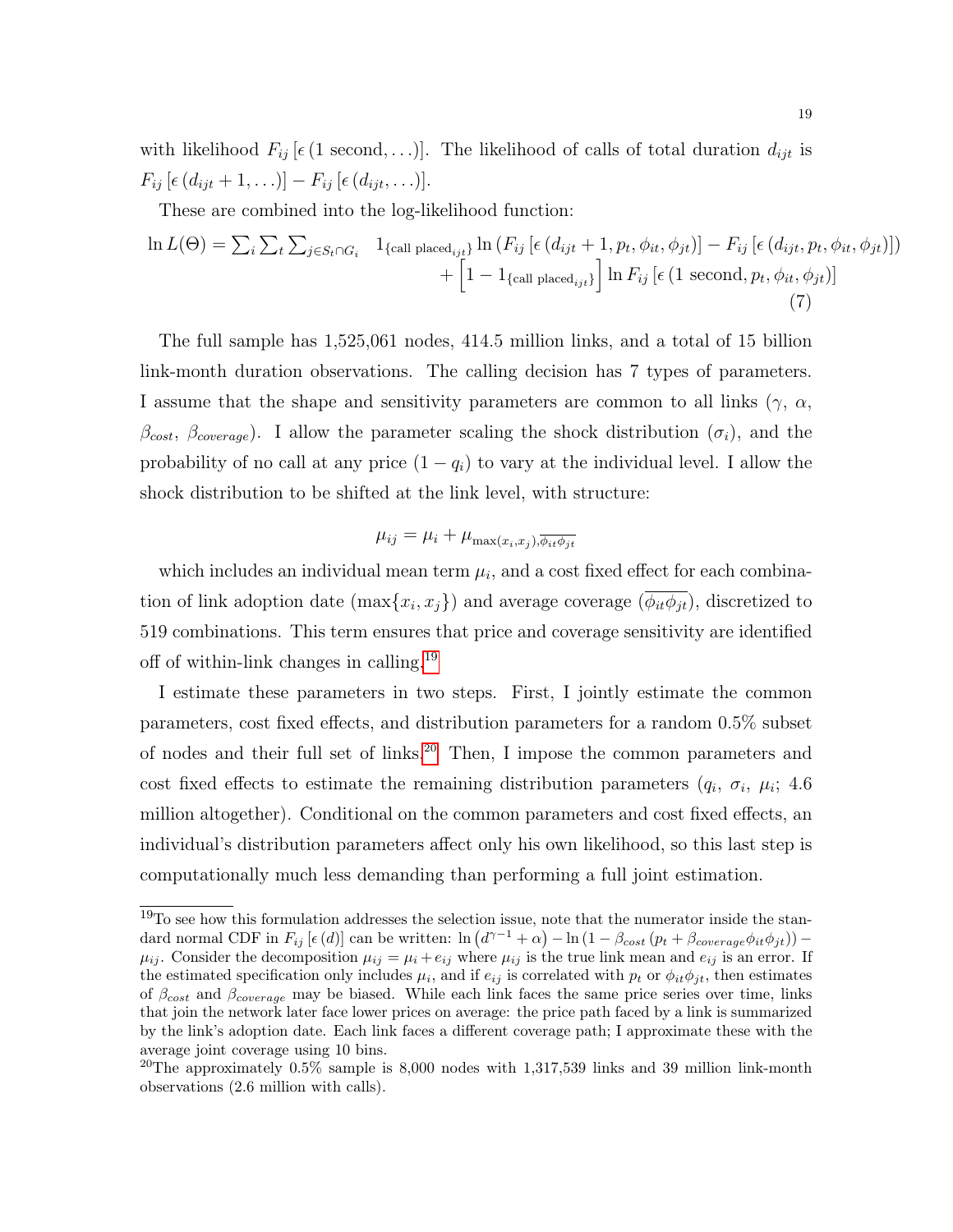with likelihood  $F_{ij}$  [ $\epsilon$  (1 second, ...)]. The likelihood of calls of total duration  $d_{ijt}$  is  $F_{ij}$  [ $\epsilon$  (d<sub>ijt</sub> + 1, . . .)] –  $F_{ij}$  [ $\epsilon$  (d<sub>ijt</sub>, . . .)].

These are combined into the log-likelihood function:

<span id="page-18-2"></span>
$$
\ln L(\Theta) = \sum_{i} \sum_{t} \sum_{j \in S_t \cap G_i} 1_{\{\text{call placed}_{ijt}\}} \ln (F_{ij} \left[ \epsilon (d_{ijt} + 1, p_t, \phi_{it}, \phi_{jt}) \right] - F_{ij} \left[ \epsilon (d_{ijt}, p_t, \phi_{it}, \phi_{jt}) \right]) + \left[ 1 - 1_{\{\text{call placed}_{ijt}\}} \right] \ln F_{ij} \left[ \epsilon (1 \text{ second}, p_t, \phi_{it}, \phi_{jt}) \right]
$$
\n(7)

The full sample has 1,525,061 nodes, 414.5 million links, and a total of 15 billion link-month duration observations. The calling decision has 7 types of parameters. I assume that the shape and sensitivity parameters are common to all links ( $\gamma$ ,  $\alpha$ ,  $\beta_{cost}$ ,  $\beta_{coverage}$ ). I allow the parameter scaling the shock distribution  $(\sigma_i)$ , and the probability of no call at any price  $(1 - q_i)$  to vary at the individual level. I allow the shock distribution to be shifted at the link level, with structure:

$$
\mu_{ij} = \mu_i + \mu_{\max(x_i, x_j), \overline{\phi_{it}\phi_{jt}}}
$$

which includes an individual mean term  $\mu_i$ , and a cost fixed effect for each combination of link adoption date  $(\max\{x_i, x_j\})$  and average coverage  $(\overline{\phi_{it}\phi_{jt}})$ , discretized to 519 combinations. This term ensures that price and coverage sensitivity are identified off of within-link changes in calling.[19](#page-18-0)

I estimate these parameters in two steps. First, I jointly estimate the common parameters, cost fixed effects, and distribution parameters for a random 0.5% subset of nodes and their full set of links.[20](#page-18-1) Then, I impose the common parameters and cost fixed effects to estimate the remaining distribution parameters  $(q_i, \sigma_i, \mu_i; 4.6)$ million altogether). Conditional on the common parameters and cost fixed effects, an individual's distribution parameters affect only his own likelihood, so this last step is computationally much less demanding than performing a full joint estimation.

<span id="page-18-0"></span> $19T<sub>0</sub>$  see how this formulation addresses the selection issue, note that the numerator inside the standard normal CDF in  $F_{ij}$  [ $\epsilon(d)$ ] can be written:  $\ln (d^{\gamma-1} + \alpha) - \ln (1 - \beta_{cost} (p_t + \beta_{coverage} \phi_{it} \phi_{jt}))$  $\mu_{ij}$ . Consider the decomposition  $\mu_{ij} = \mu_i + e_{ij}$  where  $\mu_{ij}$  is the true link mean and  $e_{ij}$  is an error. If the estimated specification only includes  $\mu_i$ , and if  $e_{ij}$  is correlated with  $p_t$  or  $\phi_{it}\phi_{jt}$ , then estimates of  $\beta_{cost}$  and  $\beta_{coverage}$  may be biased. While each link faces the same price series over time, links that join the network later face lower prices on average: the price path faced by a link is summarized by the link's adoption date. Each link faces a different coverage path; I approximate these with the average joint coverage using 10 bins.

<span id="page-18-1"></span><sup>&</sup>lt;sup>20</sup>The approximately  $0.5\%$  sample is 8,000 nodes with 1,317,539 links and 39 million link-month observations (2.6 million with calls).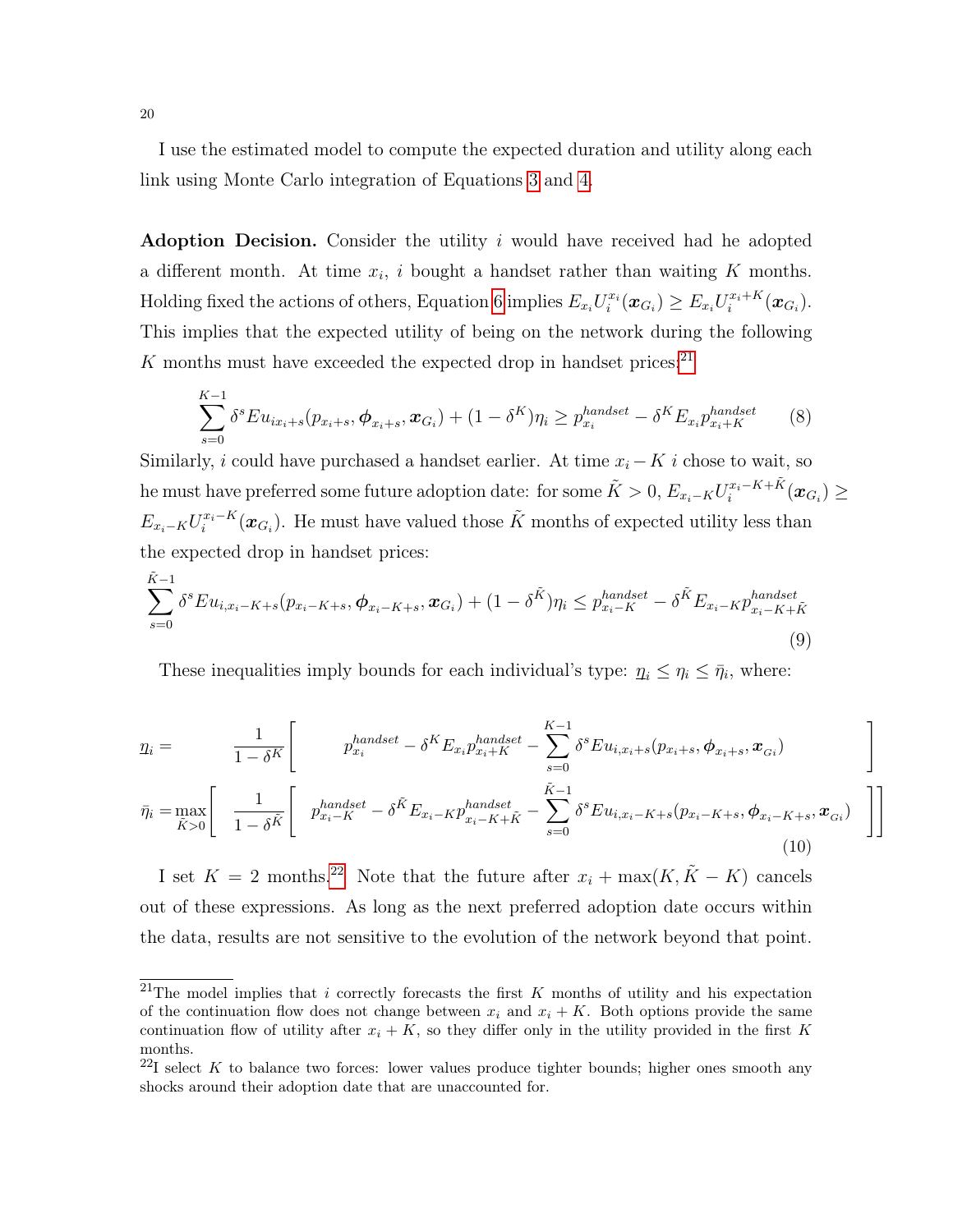I use the estimated model to compute the expected duration and utility along each link using Monte Carlo integration of Equations [3](#page-13-1) and [4.](#page-13-2)

Adoption Decision. Consider the utility  $i$  would have received had he adopted a different month. At time  $x_i$ , i bought a handset rather than waiting K months. Holding fixed the actions of others, Equation [6](#page-14-2) implies  $E_{x_i}U_i^{x_i}(\boldsymbol{x}_{G_i}) \ge E_{x_i}U_i^{x_i+K}(\boldsymbol{x}_{G_i}).$ This implies that the expected utility of being on the network during the following  $K$  months must have exceeded the expected drop in handset prices:<sup>[21](#page-19-0)</sup>

<span id="page-19-2"></span>
$$
\sum_{s=0}^{K-1} \delta^s E u_{ix_i+s}(p_{x_i+s}, \phi_{x_i+s}, x_{G_i}) + (1 - \delta^K) \eta_i \ge p_{x_i}^{handset} - \delta^K E_{x_i} p_{x_i+K}^{handset}
$$
 (8)

Similarly, i could have purchased a handset earlier. At time  $x_i - K$  i chose to wait, so  $\lambda$  he must have preferred some future adoption date: for some  $\tilde K>0,$   $E_{x_i-K}U_i^{x_i-K+\tilde K}(\boldsymbol x_{G_i})\geq 0$  $E_{x_i-K} U_i^{x_i-K}(\boldsymbol{x}_{G_i}).$  He must have valued those  $\tilde{K}$  months of expected utility less than the expected drop in handset prices:

<span id="page-19-3"></span>
$$
\sum_{s=0}^{\tilde{K}-1} \delta^s E u_{i,x_i-K+s}(p_{x_i-K+s}, \phi_{x_i-K+s}, x_{G_i}) + (1 - \delta^{\tilde{K}}) \eta_i \le p_{x_i-K}^{handset} - \delta^{\tilde{K}} E_{x_i-K} p_{x_i-K+\tilde{K}}^{handset}
$$
\n(9)

These inequalities imply bounds for each individual's type:  $\eta_i \leq \eta_i \leq \bar{\eta}_i$ , where:

<span id="page-19-4"></span>
$$
\eta_{i} = \frac{1}{1 - \delta^{K}} \left[ \begin{array}{c} p_{x_{i}}^{handset} - \delta^{K} E_{x_{i}} p_{x_{i}+K}^{handset} - \sum_{s=0}^{K-1} \delta^{s} E u_{i,x_{i}+s} (p_{x_{i}+s}, \phi_{x_{i}+s}, \mathbf{x}_{G_{i}}) \\ \bar{\eta}_{i} = \max_{\tilde{K}>0} \left[ \frac{1}{1 - \delta^{\tilde{K}}} \left[ p_{x_{i}-K}^{handset} - \delta^{\tilde{K}} E_{x_{i}-K} p_{x_{i}-K+\tilde{K}}^{handset} - \sum_{s=0}^{\tilde{K}-1} \delta^{s} E u_{i,x_{i}-K+s} (p_{x_{i}-K+s}, \phi_{x_{i}-K+s}, \mathbf{x}_{G_{i}}) \right] \right] \end{array} \right]
$$
\n(10)

I set  $K = 2$  months.<sup>[22](#page-19-1)</sup> Note that the future after  $x_i + \max(K, \tilde{K} - K)$  cancels out of these expressions. As long as the next preferred adoption date occurs within the data, results are not sensitive to the evolution of the network beyond that point.

<span id="page-19-0"></span><sup>&</sup>lt;sup>21</sup>The model implies that i correctly forecasts the first K months of utility and his expectation of the continuation flow does not change between  $x_i$  and  $x_i + K$ . Both options provide the same continuation flow of utility after  $x_i + K$ , so they differ only in the utility provided in the first K months.

<span id="page-19-1"></span> $^{22}I$  select K to balance two forces: lower values produce tighter bounds; higher ones smooth any shocks around their adoption date that are unaccounted for.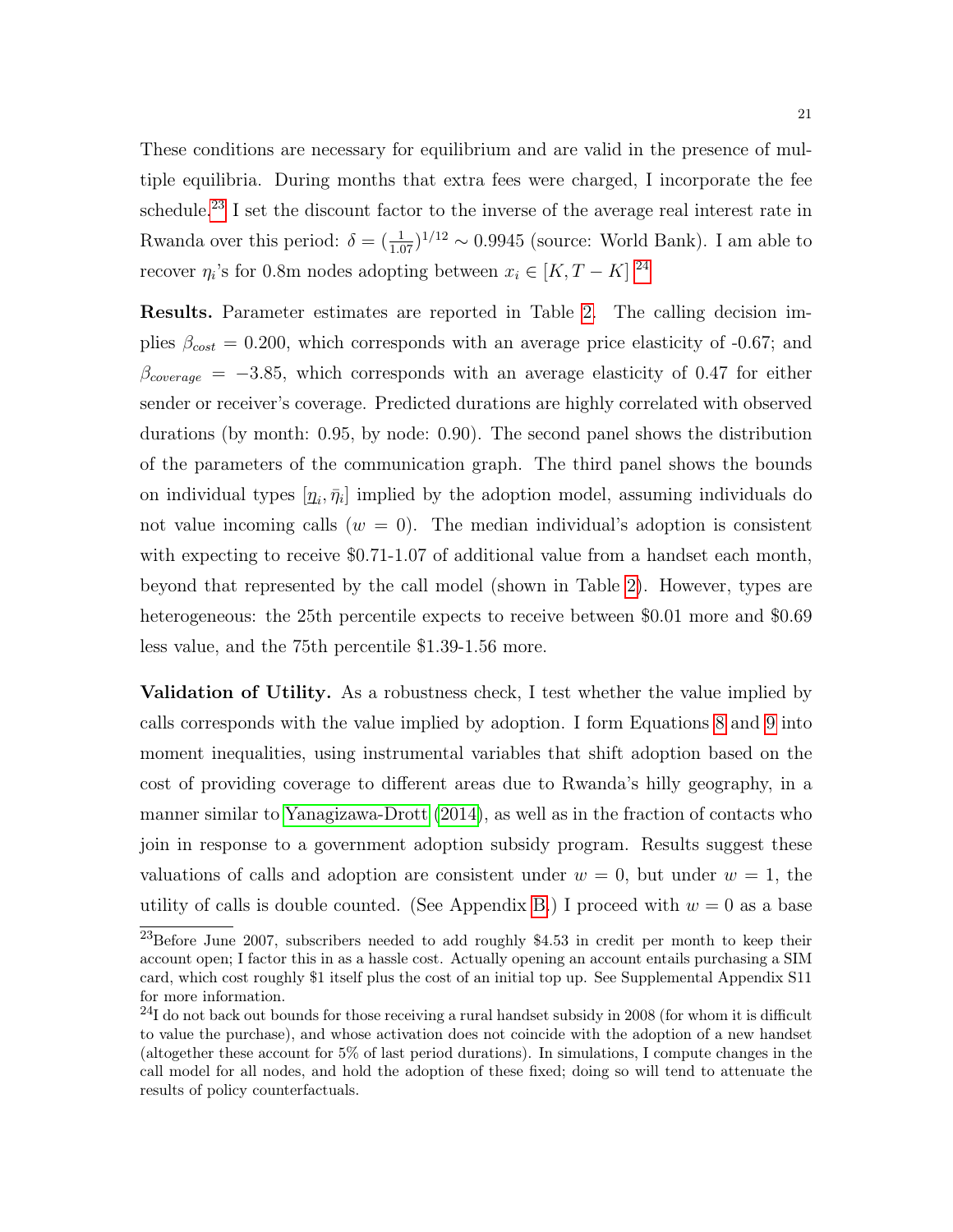These conditions are necessary for equilibrium and are valid in the presence of multiple equilibria. During months that extra fees were charged, I incorporate the fee schedule.<sup>[23](#page-20-0)</sup> I set the discount factor to the inverse of the average real interest rate in Rwanda over this period:  $\delta = (\frac{1}{1.07})^{1/12} \sim 0.9945$  (source: World Bank). I am able to recover  $\eta_i$ 's for 0.8m nodes adopting between  $x_i \in [K, T - K]$ <sup>[24](#page-20-1)</sup>

Results. Parameter estimates are reported in Table [2.](#page-21-0) The calling decision implies  $\beta_{cost} = 0.200$ , which corresponds with an average price elasticity of -0.67; and  $\beta_{coverage} = -3.85$ , which corresponds with an average elasticity of 0.47 for either sender or receiver's coverage. Predicted durations are highly correlated with observed durations (by month: 0.95, by node: 0.90). The second panel shows the distribution of the parameters of the communication graph. The third panel shows the bounds on individual types  $[\eta_i, \bar{\eta}_i]$  implied by the adoption model, assuming individuals do not value incoming calls  $(w = 0)$ . The median individual's adoption is consistent with expecting to receive \$0.71-1.07 of additional value from a handset each month, beyond that represented by the call model (shown in Table [2\)](#page-21-0). However, types are heterogeneous: the 25th percentile expects to receive between \$0.01 more and \$0.69 less value, and the 75th percentile \$1.39-1.56 more.

Validation of Utility. As a robustness check, I test whether the value implied by calls corresponds with the value implied by adoption. I form Equations [8](#page-19-2) and [9](#page-19-3) into moment inequalities, using instrumental variables that shift adoption based on the cost of providing coverage to different areas due to Rwanda's hilly geography, in a manner similar to [Yanagizawa-Drott](#page-37-16) [\(2014\)](#page-37-16), as well as in the fraction of contacts who join in response to a government adoption subsidy program. Results suggest these valuations of calls and adoption are consistent under  $w = 0$ , but under  $w = 1$ , the utility of calls is double counted. (See Appendix [B.](#page-38-1)) I proceed with  $w = 0$  as a base

<span id="page-20-0"></span> $^{23}$ Before June 2007, subscribers needed to add roughly \$4.53 in credit per month to keep their account open; I factor this in as a hassle cost. Actually opening an account entails purchasing a SIM card, which cost roughly \$1 itself plus the cost of an initial top up. See Supplemental Appendix S11 for more information.

<span id="page-20-1"></span> $^{24}I$  do not back out bounds for those receiving a rural handset subsidy in 2008 (for whom it is difficult to value the purchase), and whose activation does not coincide with the adoption of a new handset (altogether these account for 5% of last period durations). In simulations, I compute changes in the call model for all nodes, and hold the adoption of these fixed; doing so will tend to attenuate the results of policy counterfactuals.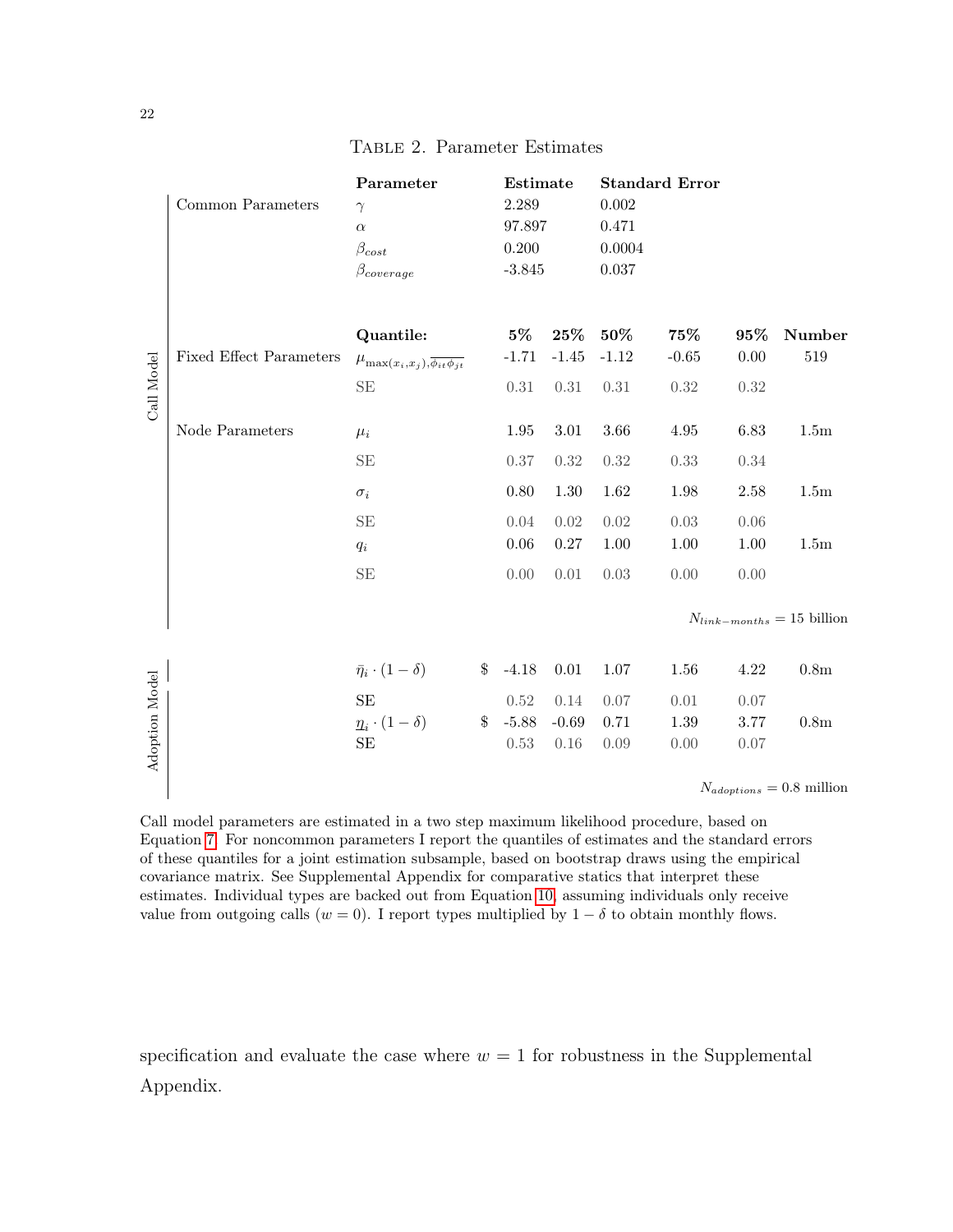<span id="page-21-0"></span>

|  | TABLE 2. Parameter Estimates |  |
|--|------------------------------|--|
|  |                              |  |

|                | Common Parameters              | Parameter<br>$\gamma$<br>$\alpha$<br>$\beta_{cost}$<br>$\beta_{coverage}$ |               | Estimate<br>2.289<br>97.897<br>$0.200\,$<br>$-3.845$ |          | $0.002\,$<br>0.471<br>0.0004<br>$0.037\,$ | <b>Standard Error</b> |        |                                |
|----------------|--------------------------------|---------------------------------------------------------------------------|---------------|------------------------------------------------------|----------|-------------------------------------------|-----------------------|--------|--------------------------------|
|                |                                | Quantile:                                                                 |               | $5\%$                                                | $25\%$   | 50%                                       | 75%                   | $95\%$ | Number                         |
|                | <b>Fixed Effect Parameters</b> | $\mu_{\max(x_i, x_j), \overline{\phi_{it}\phi_{jt}}}$                     |               | $-1.71$                                              | $-1.45$  | $-1.12$                                   | $-0.65$               | 0.00   | 519                            |
| Call Model     |                                | $\rm SE$                                                                  |               | $0.31\,$                                             | 0.31     | 0.31                                      | $0.32\,$              | 0.32   |                                |
|                | Node Parameters                | $\mu_i$                                                                   |               | 1.95                                                 | 3.01     | 3.66                                      | 4.95                  | 6.83   | 1.5 <sub>m</sub>               |
|                |                                | SE                                                                        |               | 0.37                                                 | 0.32     | 0.32                                      | 0.33                  | 0.34   |                                |
|                |                                | $\sigma_i$                                                                |               | 0.80                                                 | $1.30\,$ | 1.62                                      | 1.98                  | 2.58   | 1.5 <sub>m</sub>               |
|                |                                | SE                                                                        |               | $0.04\,$                                             | $0.02\,$ | 0.02                                      | 0.03                  | 0.06   |                                |
|                |                                | $q_i$                                                                     |               | $0.06\,$                                             | $0.27\,$ | $1.00\,$                                  | 1.00                  | 1.00   | 1.5m                           |
|                |                                | $\rm SE$                                                                  |               | 0.00                                                 | 0.01     | 0.03                                      | 0.00                  | 0.00   |                                |
|                |                                |                                                                           |               |                                                      |          |                                           |                       |        | $N_{link-months} = 15$ billion |
|                |                                | $\bar{\eta}_i \cdot (1-\delta)$                                           | $\mathcal{S}$ | $-4.18$                                              | 0.01     | 1.07                                      | 1.56                  | 4.22   | $0.8\mathrm{m}$                |
| Adoption Model |                                | SE                                                                        |               | 0.52                                                 | 0.14     | 0.07                                      | 0.01                  | 0.07   |                                |
|                |                                | $\eta_i\cdot (1-\delta)$                                                  |               | $$ -5.88$                                            | $-0.69$  | 0.71                                      | 1.39                  | 3.77   | $0.8\mathrm{m}$                |
|                |                                | $\rm SE$                                                                  |               | 0.53                                                 | 0.16     | 0.09                                      | 0.00                  | 0.07   | $N_{adoptions} = 0.8$ million  |

Call model parameters are estimated in a two step maximum likelihood procedure, based on Equation [7.](#page-18-2) For noncommon parameters I report the quantiles of estimates and the standard errors of these quantiles for a joint estimation subsample, based on bootstrap draws using the empirical covariance matrix. See Supplemental Appendix for comparative statics that interpret these estimates. Individual types are backed out from Equation [10,](#page-19-4) assuming individuals only receive value from outgoing calls (w = 0). I report types multiplied by  $1 - \delta$  to obtain monthly flows.

specification and evaluate the case where  $w = 1$  for robustness in the Supplemental Appendix.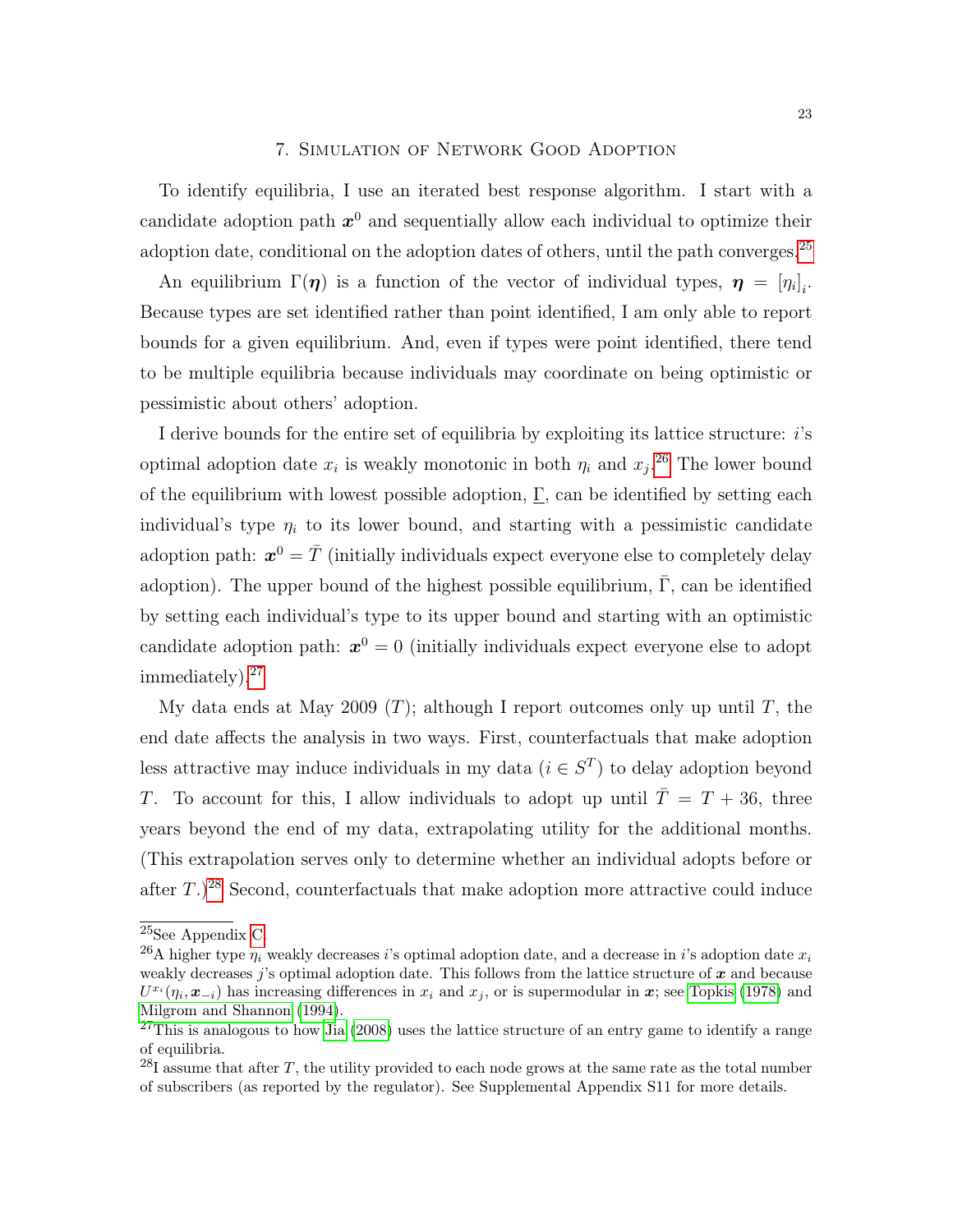### 7. Simulation of Network Good Adoption

<span id="page-22-0"></span>To identify equilibria, I use an iterated best response algorithm. I start with a candidate adoption path  $x^0$  and sequentially allow each individual to optimize their adoption date, conditional on the adoption dates of others, until the path converges.<sup>[25](#page-22-1)</sup>

An equilibrium  $\Gamma(\eta)$  is a function of the vector of individual types,  $\eta = [\eta_i]_i$ . Because types are set identified rather than point identified, I am only able to report bounds for a given equilibrium. And, even if types were point identified, there tend to be multiple equilibria because individuals may coordinate on being optimistic or pessimistic about others' adoption.

I derive bounds for the entire set of equilibria by exploiting its lattice structure: i's optimal adoption date  $x_i$  is weakly monotonic in both  $\eta_i$  and  $x_j$ <sup>[26](#page-22-2)</sup>. The lower bound of the equilibrium with lowest possible adoption,  $\Gamma$ , can be identified by setting each individual's type  $\eta_i$  to its lower bound, and starting with a pessimistic candidate adoption path:  $\boldsymbol{x}^0 = \bar{T}$  (initially individuals expect everyone else to completely delay adoption). The upper bound of the highest possible equilibrium,  $\overline{\Gamma}$ , can be identified by setting each individual's type to its upper bound and starting with an optimistic candidate adoption path:  $x^0 = 0$  (initially individuals expect everyone else to adopt  $immediately).<sup>27</sup>$  $immediately).<sup>27</sup>$  $immediately).<sup>27</sup>$ 

My data ends at May 2009  $(T)$ ; although I report outcomes only up until T, the end date affects the analysis in two ways. First, counterfactuals that make adoption less attractive may induce individuals in my data  $(i \in S<sup>T</sup>)$  to delay adoption beyond T. To account for this, I allow individuals to adopt up until  $\overline{T} = T + 36$ , three years beyond the end of my data, extrapolating utility for the additional months. (This extrapolation serves only to determine whether an individual adopts before or after  $T$ .)<sup>[28](#page-22-4)</sup> Second, counterfactuals that make adoption more attractive could induce

<span id="page-22-1"></span><sup>25</sup>See Appendix [C.](#page-40-0)

<span id="page-22-2"></span><sup>&</sup>lt;sup>26</sup>A higher type  $\eta_i$  weakly decreases is optimal adoption date, and a decrease in i's adoption date  $x_i$ weakly decreases j's optimal adoption date. This follows from the lattice structure of  $x$  and because  $U^{x_i}(\eta_i, \mathbf{x}_{-i})$  has increasing differences in  $x_i$  and  $x_j$ , or is supermodular in  $\mathbf{x}$ ; see [Topkis](#page-37-17) [\(1978\)](#page-37-17) and [Milgrom and Shannon](#page-37-18) [\(1994\)](#page-37-18).

<span id="page-22-3"></span> $^{27}$ This is analogous to how [Jia](#page-37-7) [\(2008\)](#page-37-7) uses the lattice structure of an entry game to identify a range of equilibria.

<span id="page-22-4"></span> $^{28}I$  assume that after T, the utility provided to each node grows at the same rate as the total number of subscribers (as reported by the regulator). See Supplemental Appendix S11 for more details.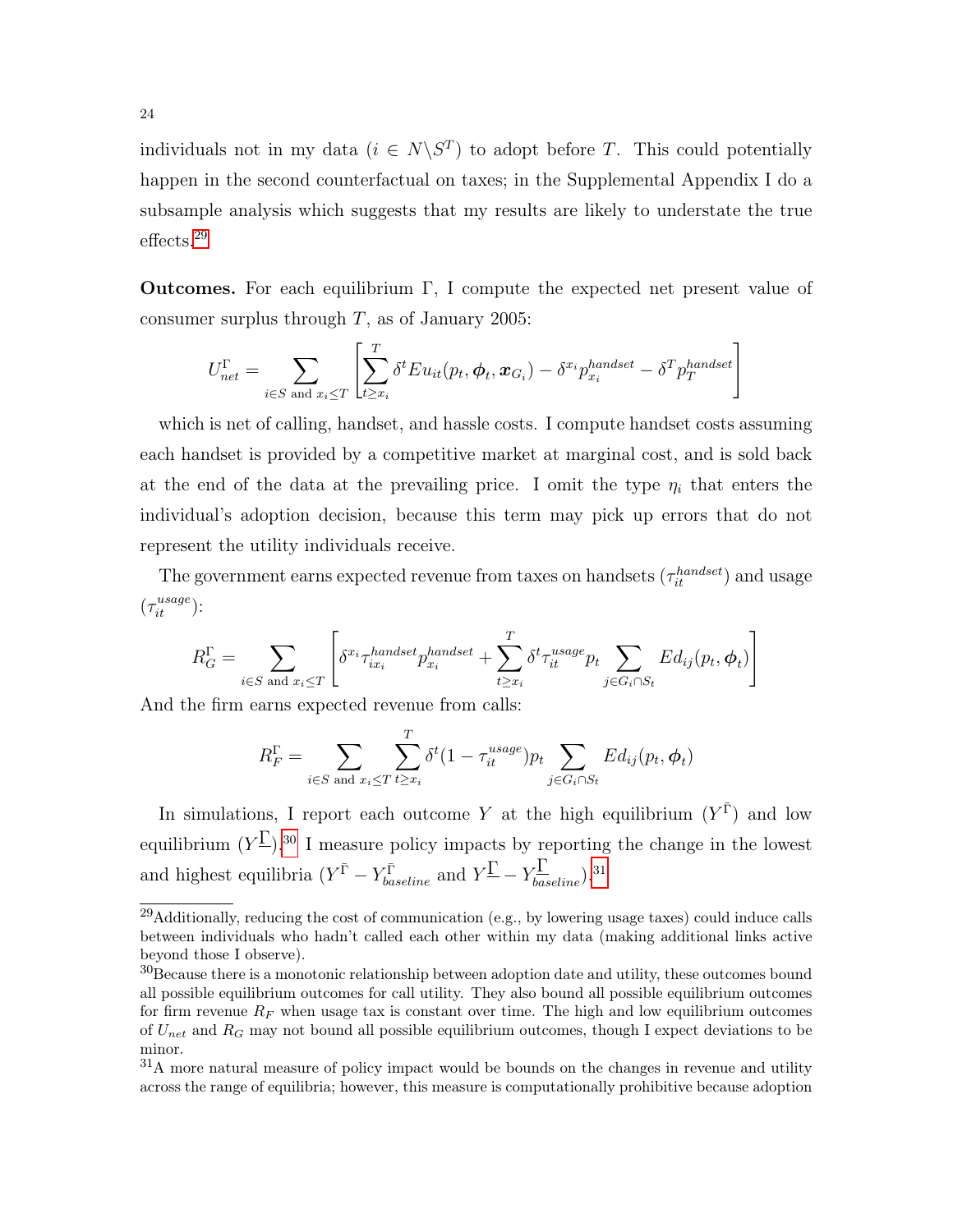individuals not in my data  $(i \in N\backslash S<sup>T</sup>)$  to adopt before T. This could potentially happen in the second counterfactual on taxes; in the Supplemental Appendix I do a subsample analysis which suggests that my results are likely to understate the true effects.[29](#page-23-0)

**Outcomes.** For each equilibrium  $\Gamma$ , I compute the expected net present value of consumer surplus through  $T$ , as of January 2005:

$$
U_{net}^{\Gamma} = \sum_{i \in S \text{ and } x_i \le T} \left[ \sum_{t \ge x_i}^T \delta^t E u_{it}(p_t, \phi_t, x_{G_i}) - \delta^{x_i} p_{x_i}^{handset} - \delta^{T} p_{T}^{handset} \right]
$$

which is net of calling, handset, and hassle costs. I compute handset costs assuming each handset is provided by a competitive market at marginal cost, and is sold back at the end of the data at the prevailing price. I omit the type  $\eta_i$  that enters the individual's adoption decision, because this term may pick up errors that do not represent the utility individuals receive.

The government earns expected revenue from taxes on handsets  $(\tau_{it}^{handset})$  and usage  $(\tau_{it}^{usage})$ :

$$
R_G^{\Gamma} = \sum_{i \in S \text{ and } x_i \le T} \left[ \delta^{x_i} \tau_{ix_i}^{handset} p_{x_i}^{handset} + \sum_{t \ge x_i}^T \delta^t \tau_{it}^{usage} p_t \sum_{j \in G_i \cap S_t} E d_{ij}(p_t, \phi_t) \right]
$$

And the firm earns expected revenue from calls:

$$
R_F^{\Gamma} = \sum_{i \in S \text{ and } x_i \le T} \sum_{t \ge x_i}^T \delta^t (1 - \tau_{it}^{usage}) p_t \sum_{j \in G_i \cap S_t} E d_{ij}(p_t, \phi_t)
$$

In simulations, I report each outcome Y at the high equilibrium  $(Y^{\bar{\Gamma}})$  and low equilibrium  $(Y^{\mathbb{L}})$ .<sup>[30](#page-23-1)</sup> I measure policy impacts by reporting the change in the lowest and highest equilibria  $(Y^{\bar{\Gamma}} - Y^{\bar{\Gamma}}_{baseline}$  and  $Y^{\bar{\Gamma}} - Y^{\bar{\Gamma}}_{baseline})$ .<sup>[31](#page-23-2)</sup>

<span id="page-23-0"></span> $^{29}$ Additionally, reducing the cost of communication (e.g., by lowering usage taxes) could induce calls between individuals who hadn't called each other within my data (making additional links active beyond those I observe).

<span id="page-23-1"></span><sup>&</sup>lt;sup>30</sup>Because there is a monotonic relationship between adoption date and utility, these outcomes bound all possible equilibrium outcomes for call utility. They also bound all possible equilibrium outcomes for firm revenue  $R_F$  when usage tax is constant over time. The high and low equilibrium outcomes of  $U_{net}$  and  $R_G$  may not bound all possible equilibrium outcomes, though I expect deviations to be minor.

<span id="page-23-2"></span><sup>&</sup>lt;sup>31</sup>A more natural measure of policy impact would be bounds on the changes in revenue and utility across the range of equilibria; however, this measure is computationally prohibitive because adoption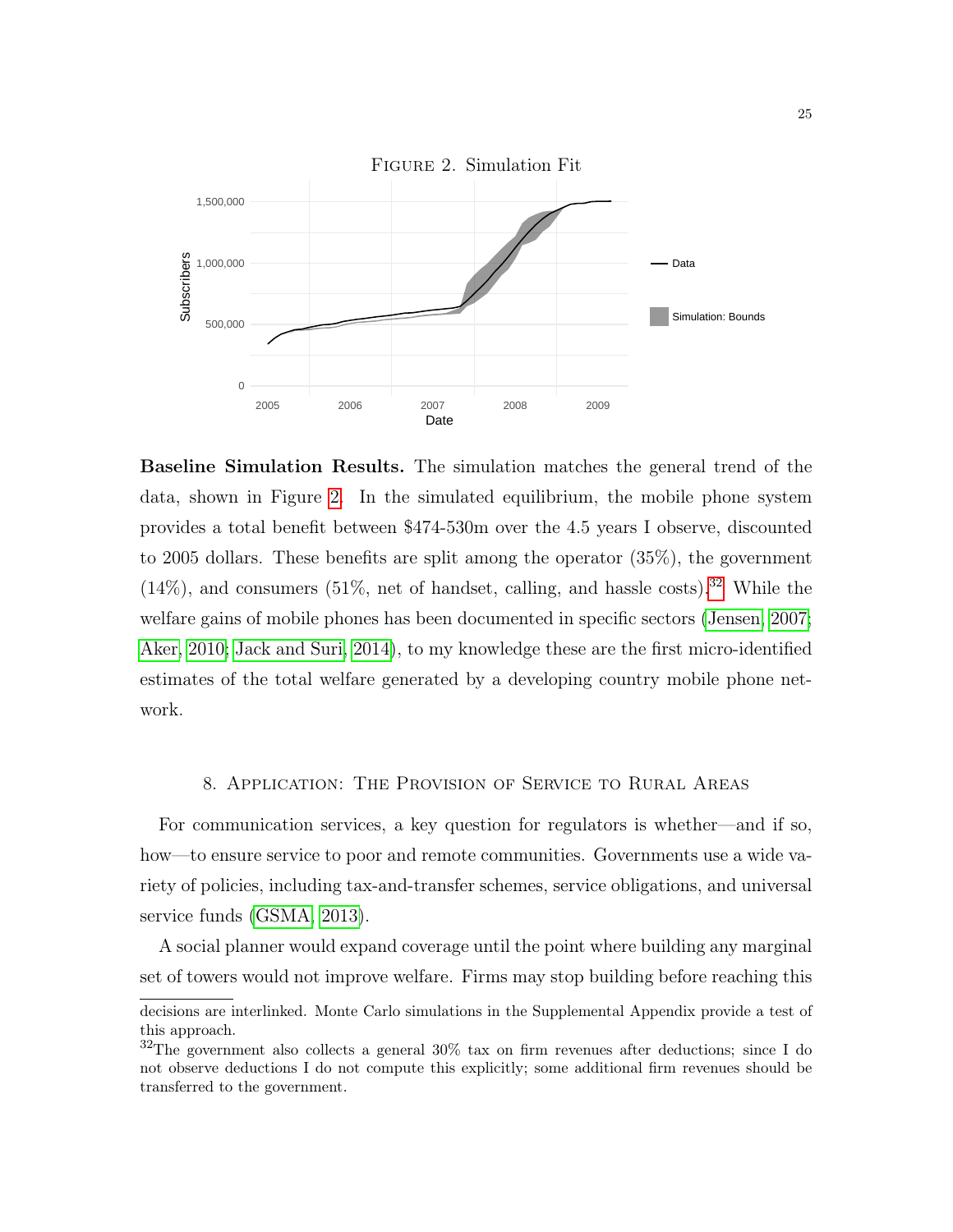<span id="page-24-1"></span>

Baseline Simulation Results. The simulation matches the general trend of the data, shown in Figure [2.](#page-24-1) In the simulated equilibrium, the mobile phone system provides a total benefit between \$474-530m over the 4.5 years I observe, discounted to 2005 dollars. These benefits are split among the operator (35%), the government  $(14\%)$ , and consumers  $(51\%$ , net of handset, calling, and hassle costs).<sup>[32](#page-24-2)</sup> While the welfare gains of mobile phones has been documented in specific sectors [\(Jensen, 2007;](#page-37-0) [Aker, 2010;](#page-36-13) [Jack and Suri, 2014\)](#page-37-1), to my knowledge these are the first micro-identified estimates of the total welfare generated by a developing country mobile phone network.

### 8. Application: The Provision of Service to Rural Areas

<span id="page-24-0"></span>For communication services, a key question for regulators is whether—and if so, how—to ensure service to poor and remote communities. Governments use a wide variety of policies, including tax-and-transfer schemes, service obligations, and universal service funds [\(GSMA, 2013\)](#page-36-14).

A social planner would expand coverage until the point where building any marginal set of towers would not improve welfare. Firms may stop building before reaching this

decisions are interlinked. Monte Carlo simulations in the Supplemental Appendix provide a test of this approach.

<span id="page-24-2"></span><sup>&</sup>lt;sup>32</sup>The government also collects a general  $30\%$  tax on firm revenues after deductions; since I do not observe deductions I do not compute this explicitly; some additional firm revenues should be transferred to the government.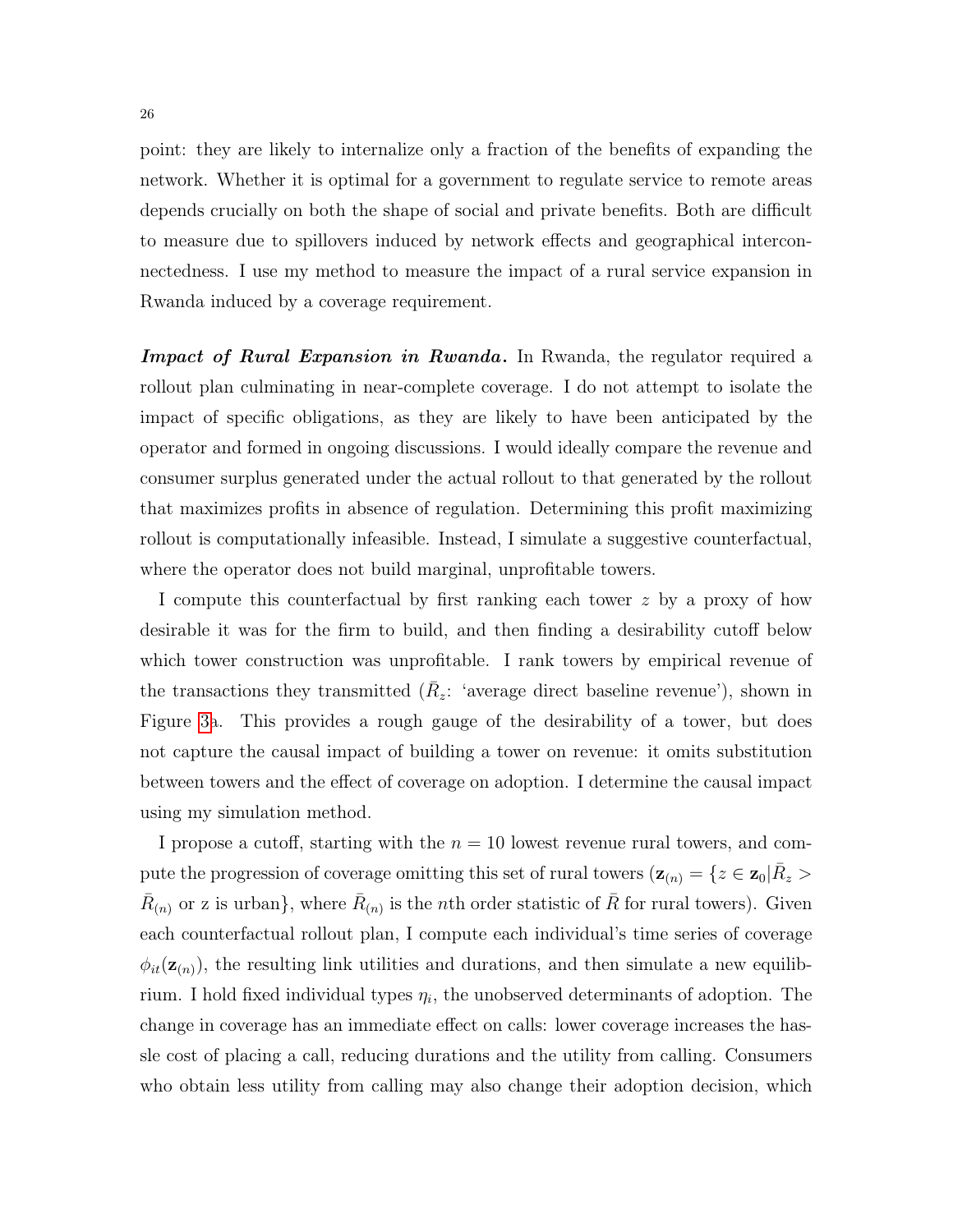point: they are likely to internalize only a fraction of the benefits of expanding the network. Whether it is optimal for a government to regulate service to remote areas depends crucially on both the shape of social and private benefits. Both are difficult to measure due to spillovers induced by network effects and geographical interconnectedness. I use my method to measure the impact of a rural service expansion in Rwanda induced by a coverage requirement.

Impact of Rural Expansion in Rwanda. In Rwanda, the regulator required a rollout plan culminating in near-complete coverage. I do not attempt to isolate the impact of specific obligations, as they are likely to have been anticipated by the operator and formed in ongoing discussions. I would ideally compare the revenue and consumer surplus generated under the actual rollout to that generated by the rollout that maximizes profits in absence of regulation. Determining this profit maximizing rollout is computationally infeasible. Instead, I simulate a suggestive counterfactual, where the operator does not build marginal, unprofitable towers.

I compute this counterfactual by first ranking each tower z by a proxy of how desirable it was for the firm to build, and then finding a desirability cutoff below which tower construction was unprofitable. I rank towers by empirical revenue of the transactions they transmitted  $(\bar{R}_z$ : 'average direct baseline revenue'), shown in Figure [3a](#page-27-0). This provides a rough gauge of the desirability of a tower, but does not capture the causal impact of building a tower on revenue: it omits substitution between towers and the effect of coverage on adoption. I determine the causal impact using my simulation method.

I propose a cutoff, starting with the  $n = 10$  lowest revenue rural towers, and compute the progression of coverage omitting this set of rural towers  $(\mathbf{z}_{(n)} = \{z \in \mathbf{z}_0 | \bar{R}_z > \mathbf{z}_{(n)}\}$  $\bar{R}_{(n)}$  or z is urban}, where  $\bar{R}_{(n)}$  is the *n*th order statistic of  $\bar{R}$  for rural towers). Given each counterfactual rollout plan, I compute each individual's time series of coverage  $\phi_{it}(\mathbf{z}_{(n)})$ , the resulting link utilities and durations, and then simulate a new equilibrium. I hold fixed individual types  $\eta_i$ , the unobserved determinants of adoption. The change in coverage has an immediate effect on calls: lower coverage increases the hassle cost of placing a call, reducing durations and the utility from calling. Consumers who obtain less utility from calling may also change their adoption decision, which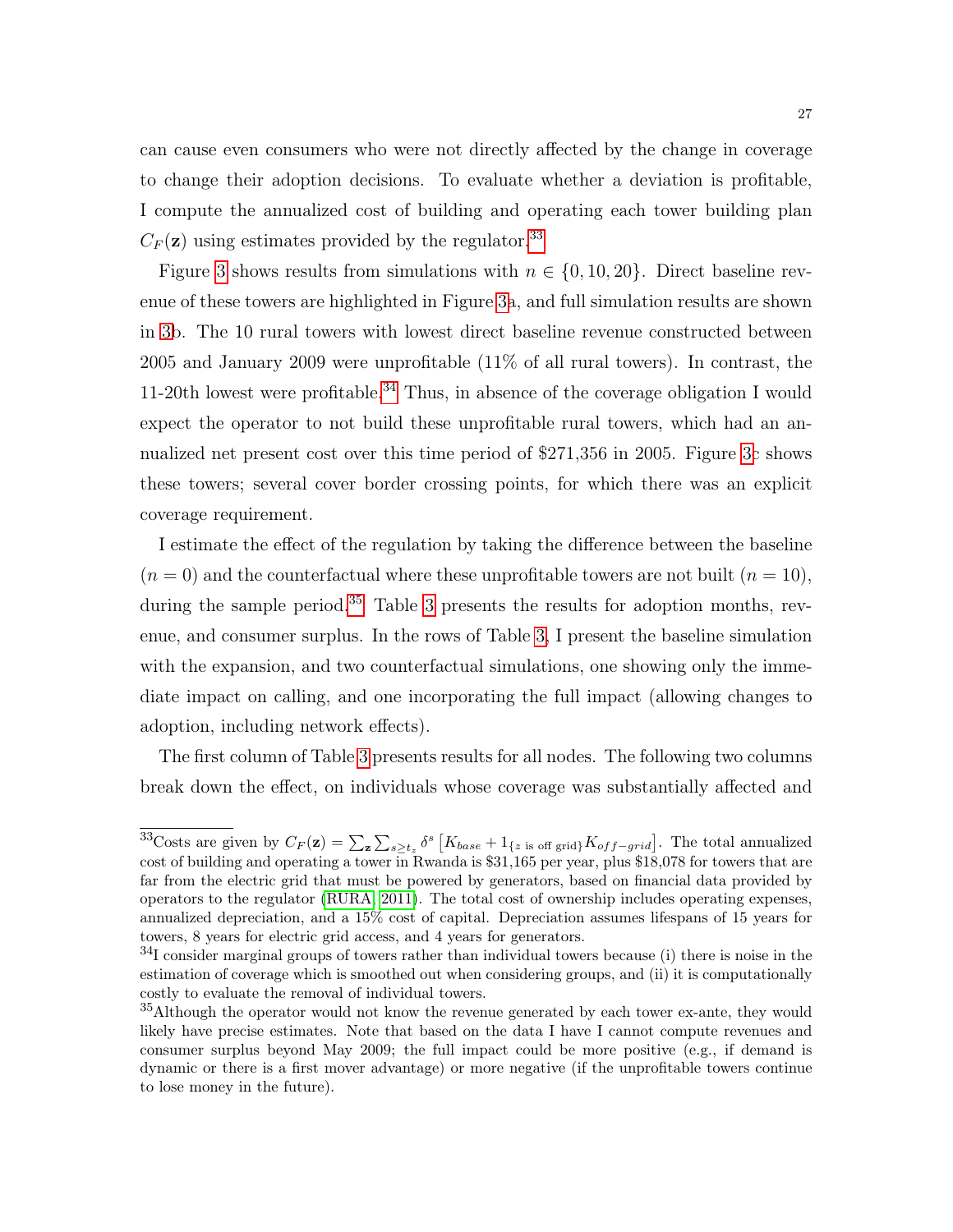can cause even consumers who were not directly affected by the change in coverage to change their adoption decisions. To evaluate whether a deviation is profitable, I compute the annualized cost of building and operating each tower building plan  $C_F(\mathbf{z})$  using estimates provided by the regulator.<sup>[33](#page-26-0)</sup>

Figure [3](#page-27-0) shows results from simulations with  $n \in \{0, 10, 20\}$ . Direct baseline revenue of these towers are highlighted in Figure [3a](#page-27-0), and full simulation results are shown in [3b](#page-27-0). The 10 rural towers with lowest direct baseline revenue constructed between 2005 and January 2009 were unprofitable (11% of all rural towers). In contrast, the 11-20th lowest were profitable.[34](#page-26-1) Thus, in absence of the coverage obligation I would expect the operator to not build these unprofitable rural towers, which had an annualized net present cost over this time period of \$271,356 in 2005. Figure [3c](#page-27-0) shows these towers; several cover border crossing points, for which there was an explicit coverage requirement.

I estimate the effect of the regulation by taking the difference between the baseline  $(n = 0)$  and the counterfactual where these unprofitable towers are not built  $(n = 10)$ , during the sample period.<sup>[35](#page-26-2)</sup> Table [3](#page-28-0) presents the results for adoption months, revenue, and consumer surplus. In the rows of Table [3,](#page-28-0) I present the baseline simulation with the expansion, and two counterfactual simulations, one showing only the immediate impact on calling, and one incorporating the full impact (allowing changes to adoption, including network effects).

The first column of Table [3](#page-28-0) presents results for all nodes. The following two columns break down the effect, on individuals whose coverage was substantially affected and

<span id="page-26-0"></span><sup>&</sup>lt;sup>33</sup>Costs are given by  $C_F(\mathbf{z}) = \sum_{\mathbf{z}} \sum_{s \ge t_z} \delta^s \left[ K_{base} + 1_{\{z \text{ is off grid}\}} K_{off-grid} \right]$ . The total annualized cost of building and operating a tower in Rwanda is \$31,165 per year, plus \$18,078 for towers that are far from the electric grid that must be powered by generators, based on financial data provided by operators to the regulator [\(RURA, 2011\)](#page-37-19). The total cost of ownership includes operating expenses, annualized depreciation, and a 15% cost of capital. Depreciation assumes lifespans of 15 years for towers, 8 years for electric grid access, and 4 years for generators.

<span id="page-26-1"></span> $34I$  consider marginal groups of towers rather than individual towers because (i) there is noise in the estimation of coverage which is smoothed out when considering groups, and (ii) it is computationally costly to evaluate the removal of individual towers.

<span id="page-26-2"></span><sup>35</sup>Although the operator would not know the revenue generated by each tower ex-ante, they would likely have precise estimates. Note that based on the data I have I cannot compute revenues and consumer surplus beyond May 2009; the full impact could be more positive (e.g., if demand is dynamic or there is a first mover advantage) or more negative (if the unprofitable towers continue to lose money in the future).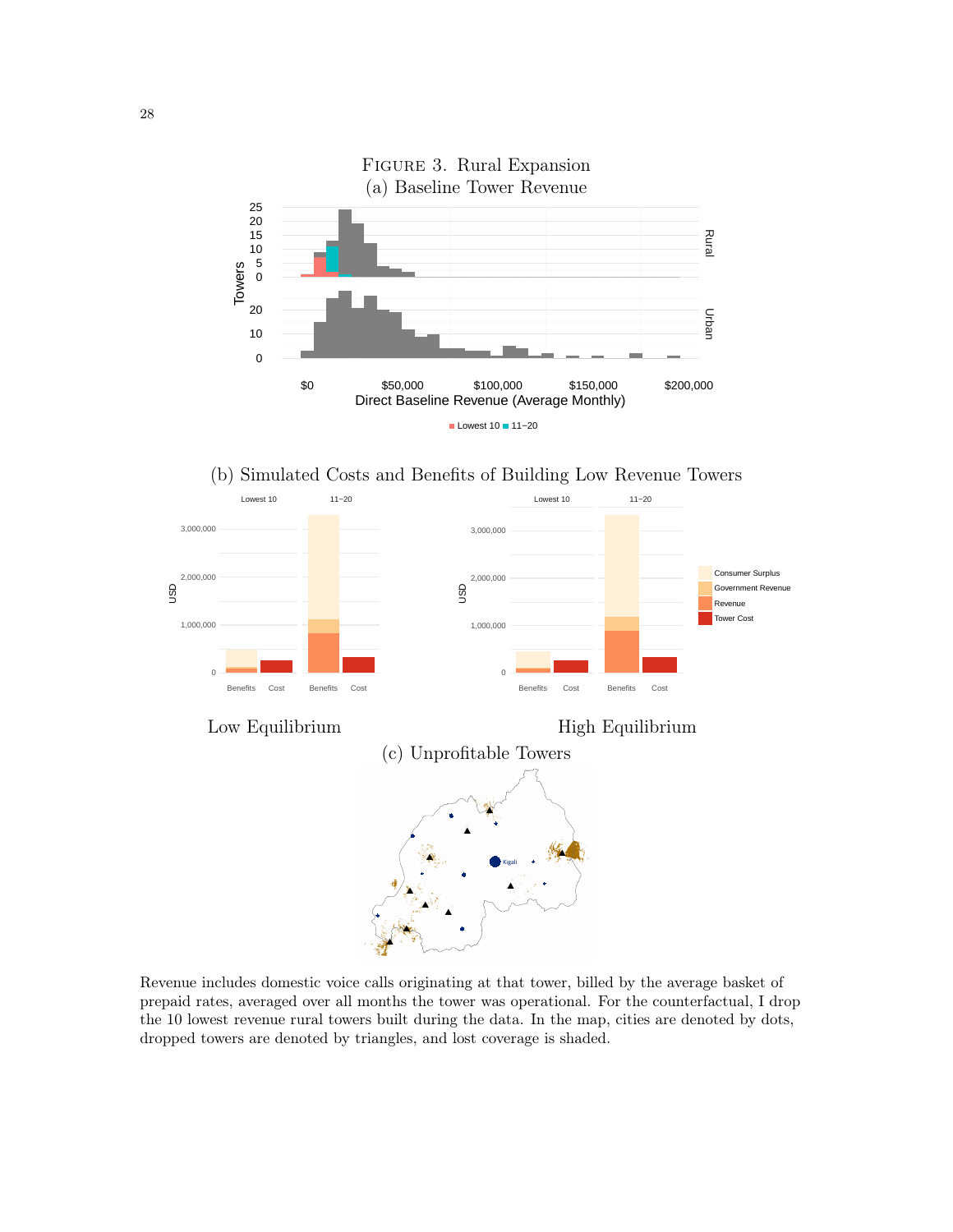<span id="page-27-0"></span>

Revenue includes domestic voice calls originating at that tower, billed by the average basket of prepaid rates, averaged over all months the tower was operational. For the counterfactual, I drop the 10 lowest revenue rural towers built during the data. In the map, cities are denoted by dots, dropped towers are denoted by triangles, and lost coverage is shaded.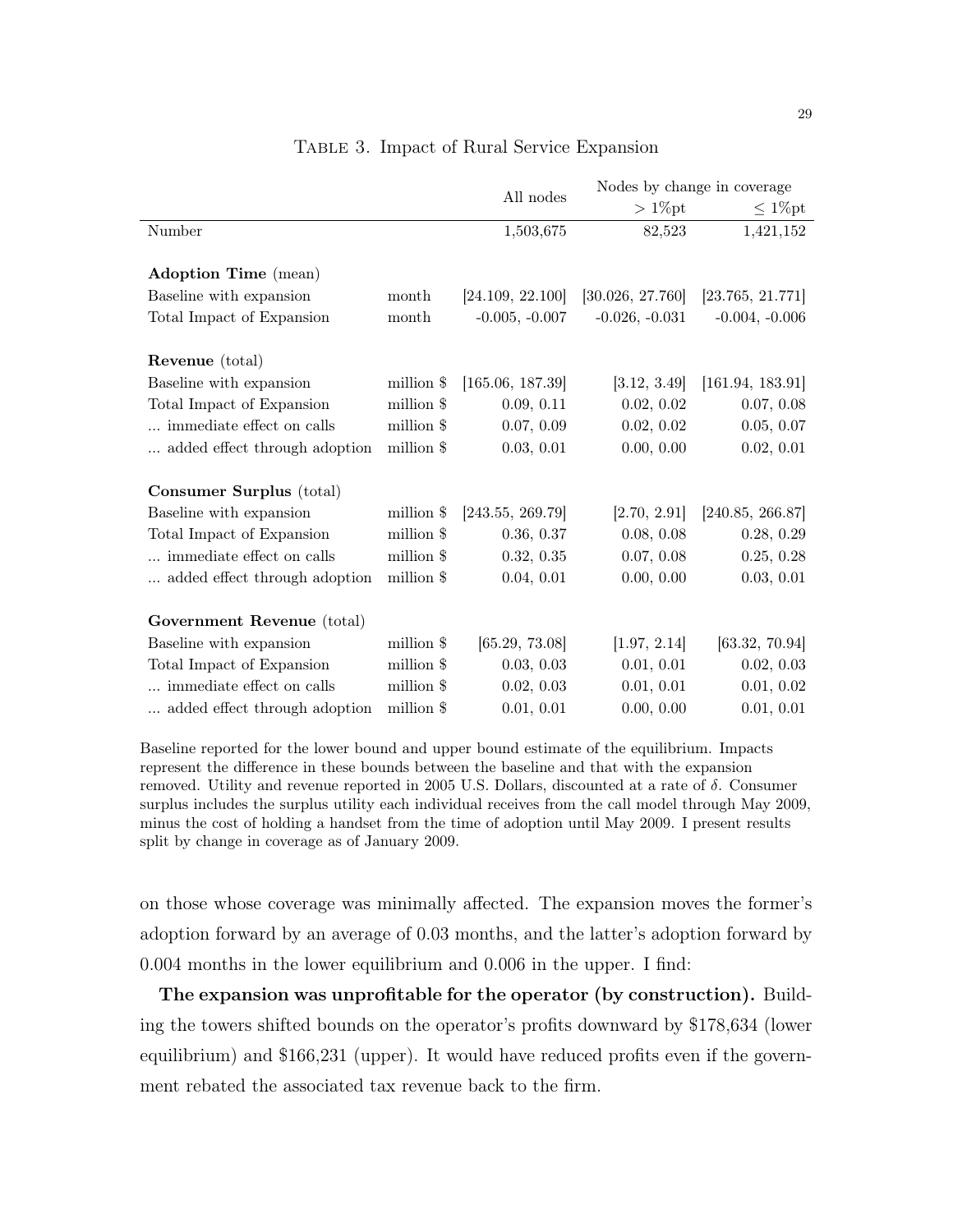|                               |              |                  | Nodes by change in coverage |                  |
|-------------------------------|--------------|------------------|-----------------------------|------------------|
|                               |              | All nodes        | $>1\%$ pt                   | $\leq 1\%$ pt    |
| Number                        |              | 1,503,675        | 82,523                      | 1,421,152        |
|                               |              |                  |                             |                  |
| <b>Adoption Time</b> (mean)   |              |                  |                             |                  |
| Baseline with expansion       | month        | [24.109, 22.100] | [30.026, 27.760]            | [23.765, 21.771] |
| Total Impact of Expansion     | month        | $-0.005, -0.007$ | $-0.026, -0.031$            | $-0.004, -0.006$ |
| <b>Revenue</b> (total)        |              |                  |                             |                  |
| Baseline with expansion       | million \$   | [165.06, 187.39] | [3.12, 3.49]                | [161.94, 183.91] |
| Total Impact of Expansion     | million \$   | 0.09, 0.11       | 0.02, 0.02                  | 0.07, 0.08       |
| immediate effect on calls     | million \$   | 0.07, 0.09       | 0.02, 0.02                  | 0.05, 0.07       |
| added effect through adoption | million \$   | 0.03, 0.01       | 0.00, 0.00                  | 0.02, 0.01       |
| Consumer Surplus (total)      |              |                  |                             |                  |
| Baseline with expansion       | million \$   | [243.55, 269.79] | [2.70, 2.91]                | [240.85, 266.87] |
| Total Impact of Expansion     | million \$   | 0.36, 0.37       | 0.08, 0.08                  | 0.28, 0.29       |
| immediate effect on calls     | million \$   | 0.32, 0.35       | 0.07, 0.08                  | 0.25, 0.28       |
| added effect through adoption | million \$   | 0.04, 0.01       | 0.00, 0.00                  | 0.03, 0.01       |
| Government Revenue (total)    |              |                  |                             |                  |
| Baseline with expansion       | million \$   | [65.29, 73.08]   | [1.97, 2.14]                | [63.32, 70.94]   |
| Total Impact of Expansion     | million \$   | 0.03, 0.03       | 0.01, 0.01                  | 0.02, 0.03       |
| immediate effect on calls     | million \$   | 0.02, 0.03       | 0.01, 0.01                  | 0.01, 0.02       |
| added effect through adoption | million $\$$ | 0.01, 0.01       | 0.00, 0.00                  | 0.01, 0.01       |

### <span id="page-28-0"></span>Table 3. Impact of Rural Service Expansion

Baseline reported for the lower bound and upper bound estimate of the equilibrium. Impacts represent the difference in these bounds between the baseline and that with the expansion removed. Utility and revenue reported in 2005 U.S. Dollars, discounted at a rate of  $\delta$ . Consumer surplus includes the surplus utility each individual receives from the call model through May 2009, minus the cost of holding a handset from the time of adoption until May 2009. I present results split by change in coverage as of January 2009.

on those whose coverage was minimally affected. The expansion moves the former's adoption forward by an average of 0.03 months, and the latter's adoption forward by 0.004 months in the lower equilibrium and 0.006 in the upper. I find:

The expansion was unprofitable for the operator (by construction). Building the towers shifted bounds on the operator's profits downward by \$178,634 (lower equilibrium) and \$166,231 (upper). It would have reduced profits even if the government rebated the associated tax revenue back to the firm.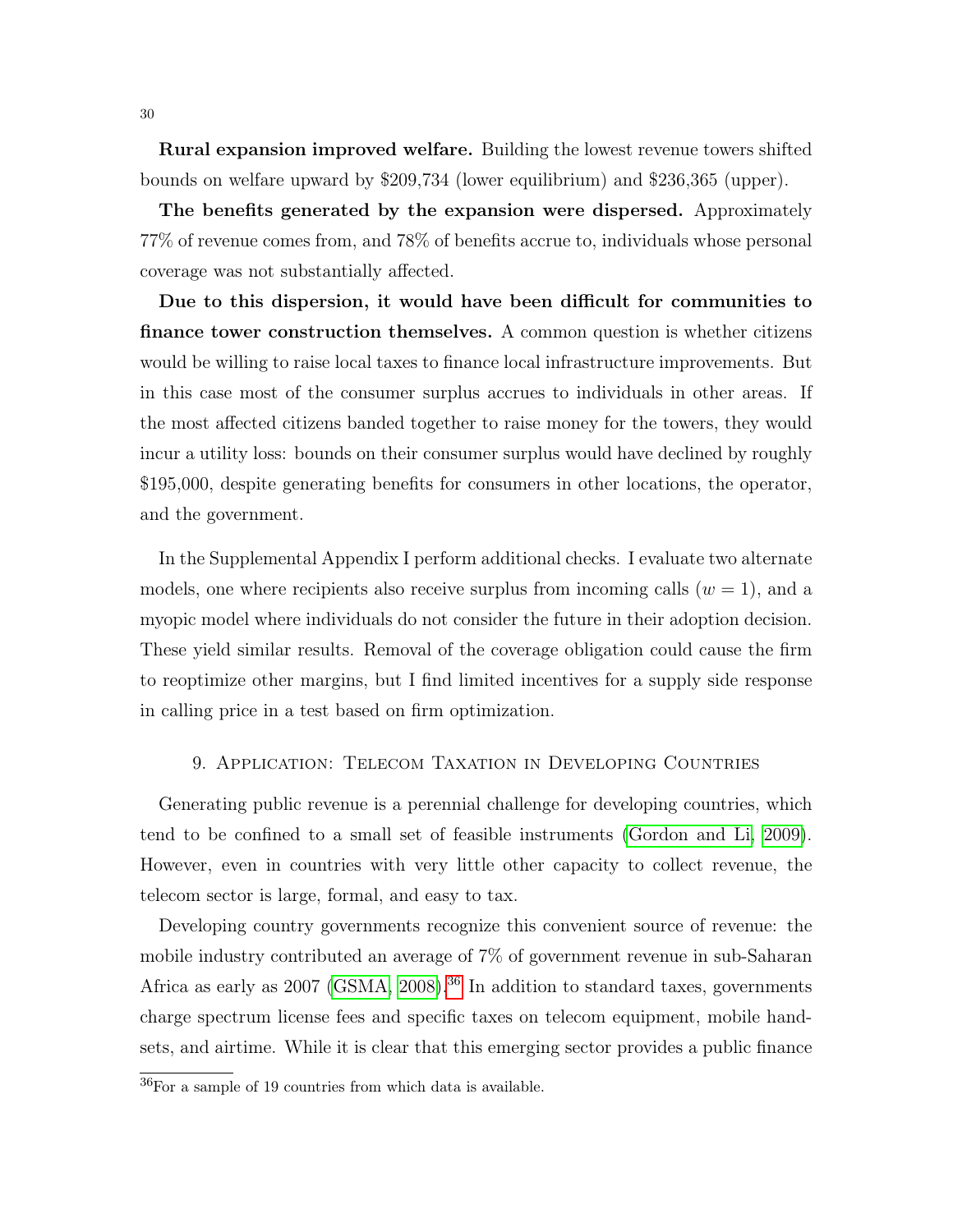Rural expansion improved welfare. Building the lowest revenue towers shifted bounds on welfare upward by \$209,734 (lower equilibrium) and \$236,365 (upper).

The benefits generated by the expansion were dispersed. Approximately 77% of revenue comes from, and 78% of benefits accrue to, individuals whose personal coverage was not substantially affected.

Due to this dispersion, it would have been difficult for communities to finance tower construction themselves. A common question is whether citizens would be willing to raise local taxes to finance local infrastructure improvements. But in this case most of the consumer surplus accrues to individuals in other areas. If the most affected citizens banded together to raise money for the towers, they would incur a utility loss: bounds on their consumer surplus would have declined by roughly \$195,000, despite generating benefits for consumers in other locations, the operator, and the government.

In the Supplemental Appendix I perform additional checks. I evaluate two alternate models, one where recipients also receive surplus from incoming calls  $(w = 1)$ , and a myopic model where individuals do not consider the future in their adoption decision. These yield similar results. Removal of the coverage obligation could cause the firm to reoptimize other margins, but I find limited incentives for a supply side response in calling price in a test based on firm optimization.

### <span id="page-29-0"></span>9. Application: Telecom Taxation in Developing Countries

Generating public revenue is a perennial challenge for developing countries, which tend to be confined to a small set of feasible instruments [\(Gordon and Li, 2009\)](#page-36-15). However, even in countries with very little other capacity to collect revenue, the telecom sector is large, formal, and easy to tax.

Developing country governments recognize this convenient source of revenue: the mobile industry contributed an average of 7% of government revenue in sub-Saharan Africa as early as  $2007$  (GSMA,  $2008$ ).<sup>[36](#page-29-1)</sup> In addition to standard taxes, governments charge spectrum license fees and specific taxes on telecom equipment, mobile handsets, and airtime. While it is clear that this emerging sector provides a public finance

<span id="page-29-1"></span><sup>36</sup>For a sample of 19 countries from which data is available.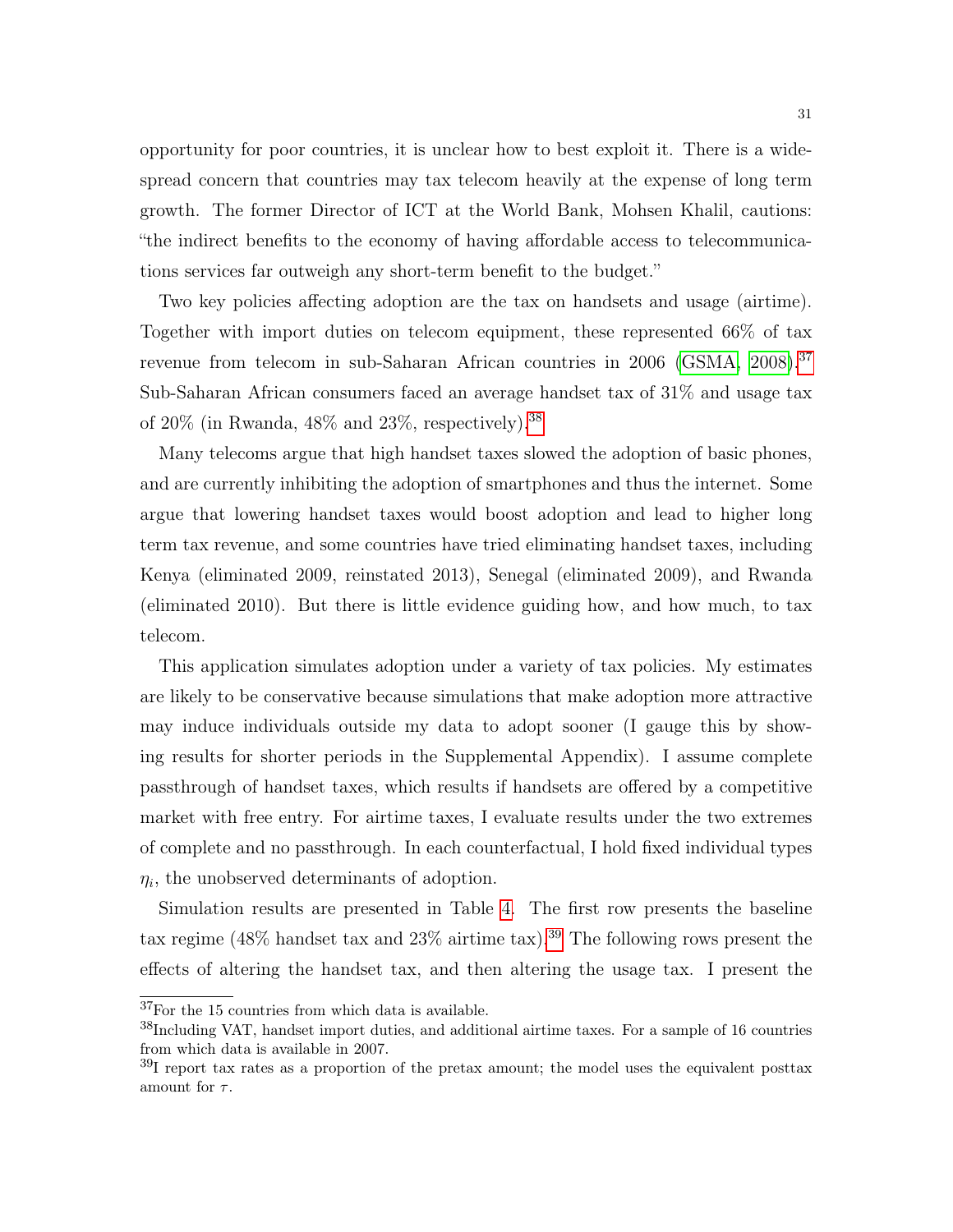opportunity for poor countries, it is unclear how to best exploit it. There is a widespread concern that countries may tax telecom heavily at the expense of long term growth. The former Director of ICT at the World Bank, Mohsen Khalil, cautions: "the indirect benefits to the economy of having affordable access to telecommunications services far outweigh any short-term benefit to the budget."

Two key policies affecting adoption are the tax on handsets and usage (airtime). Together with import duties on telecom equipment, these represented 66% of tax revenue from telecom in sub-Saharan African countries in 2006 [\(GSMA, 2008\)](#page-36-3).<sup>[37](#page-30-0)</sup> Sub-Saharan African consumers faced an average handset tax of 31% and usage tax of  $20\%$  (in Rwanda,  $48\%$  and  $23\%$ , respectively).<sup>[38](#page-30-1)</sup>

Many telecoms argue that high handset taxes slowed the adoption of basic phones, and are currently inhibiting the adoption of smartphones and thus the internet. Some argue that lowering handset taxes would boost adoption and lead to higher long term tax revenue, and some countries have tried eliminating handset taxes, including Kenya (eliminated 2009, reinstated 2013), Senegal (eliminated 2009), and Rwanda (eliminated 2010). But there is little evidence guiding how, and how much, to tax telecom.

This application simulates adoption under a variety of tax policies. My estimates are likely to be conservative because simulations that make adoption more attractive may induce individuals outside my data to adopt sooner (I gauge this by showing results for shorter periods in the Supplemental Appendix). I assume complete passthrough of handset taxes, which results if handsets are offered by a competitive market with free entry. For airtime taxes, I evaluate results under the two extremes of complete and no passthrough. In each counterfactual, I hold fixed individual types  $\eta_i$ , the unobserved determinants of adoption.

Simulation results are presented in Table [4.](#page-33-0) The first row presents the baseline tax regime (48% handset tax and  $23\%$  airtime tax).<sup>[39](#page-30-2)</sup> The following rows present the effects of altering the handset tax, and then altering the usage tax. I present the

<span id="page-30-0"></span> $\rm ^{37}For$  the 15 countries from which data is available.

<span id="page-30-1"></span><sup>&</sup>lt;sup>38</sup>Including VAT, handset import duties, and additional airtime taxes. For a sample of 16 countries from which data is available in 2007.

<span id="page-30-2"></span> $39I$  report tax rates as a proportion of the pretax amount; the model uses the equivalent posttax amount for  $\tau$ .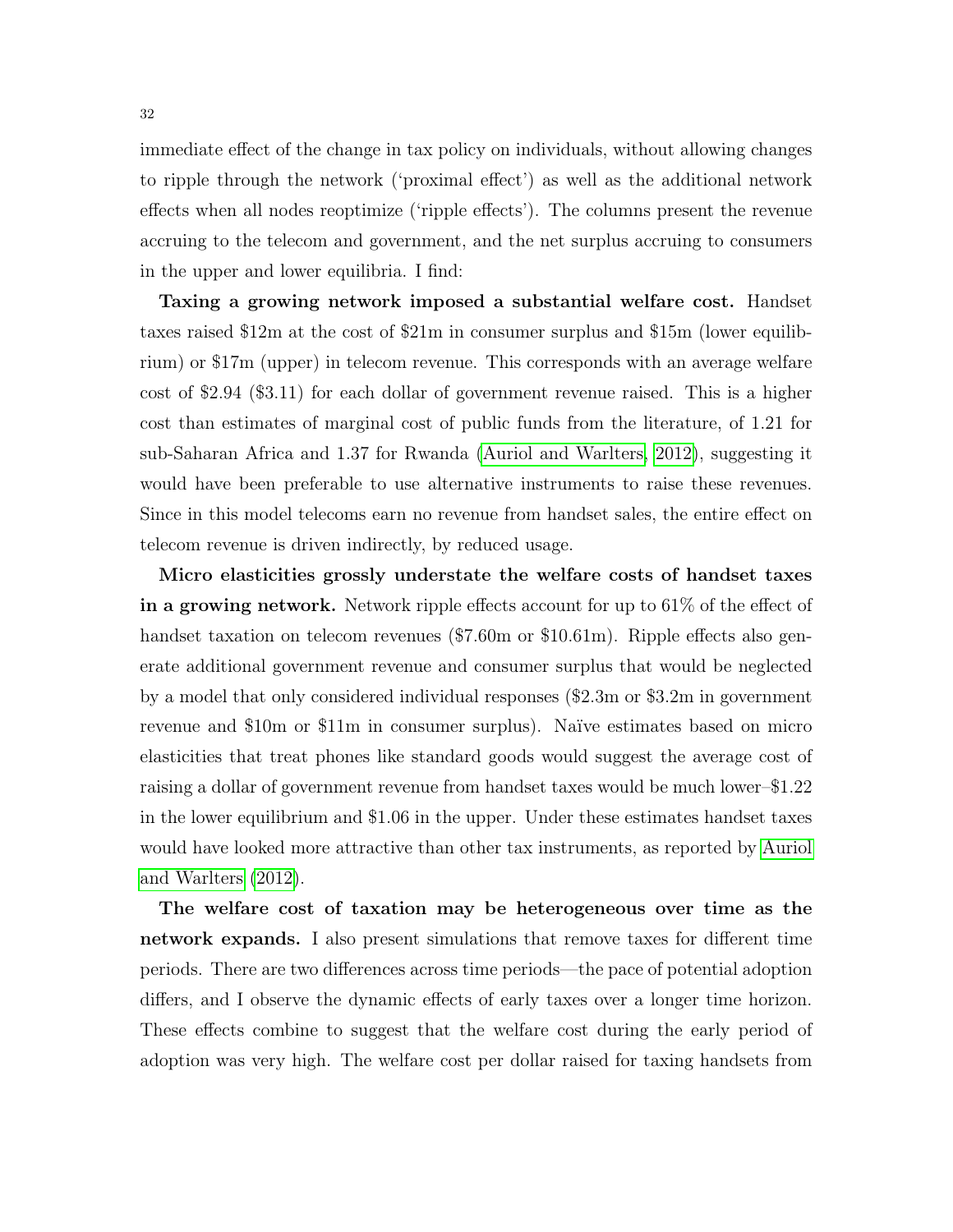immediate effect of the change in tax policy on individuals, without allowing changes to ripple through the network ('proximal effect') as well as the additional network effects when all nodes reoptimize ('ripple effects'). The columns present the revenue accruing to the telecom and government, and the net surplus accruing to consumers in the upper and lower equilibria. I find:

Taxing a growing network imposed a substantial welfare cost. Handset taxes raised \$12m at the cost of \$21m in consumer surplus and \$15m (lower equilibrium) or \$17m (upper) in telecom revenue. This corresponds with an average welfare cost of \$2.94 (\$3.11) for each dollar of government revenue raised. This is a higher cost than estimates of marginal cost of public funds from the literature, of 1.21 for sub-Saharan Africa and 1.37 for Rwanda [\(Auriol and Warlters, 2012\)](#page-36-16), suggesting it would have been preferable to use alternative instruments to raise these revenues. Since in this model telecoms earn no revenue from handset sales, the entire effect on telecom revenue is driven indirectly, by reduced usage.

Micro elasticities grossly understate the welfare costs of handset taxes in a growing network. Network ripple effects account for up to 61% of the effect of handset taxation on telecom revenues (\$7.60m or \$10.61m). Ripple effects also generate additional government revenue and consumer surplus that would be neglected by a model that only considered individual responses (\$2.3m or \$3.2m in government revenue and \$10m or \$11m in consumer surplus). Naïve estimates based on micro elasticities that treat phones like standard goods would suggest the average cost of raising a dollar of government revenue from handset taxes would be much lower–\$1.22 in the lower equilibrium and \$1.06 in the upper. Under these estimates handset taxes would have looked more attractive than other tax instruments, as reported by [Auriol](#page-36-16) [and Warlters](#page-36-16) [\(2012\)](#page-36-16).

The welfare cost of taxation may be heterogeneous over time as the network expands. I also present simulations that remove taxes for different time periods. There are two differences across time periods—the pace of potential adoption differs, and I observe the dynamic effects of early taxes over a longer time horizon. These effects combine to suggest that the welfare cost during the early period of adoption was very high. The welfare cost per dollar raised for taxing handsets from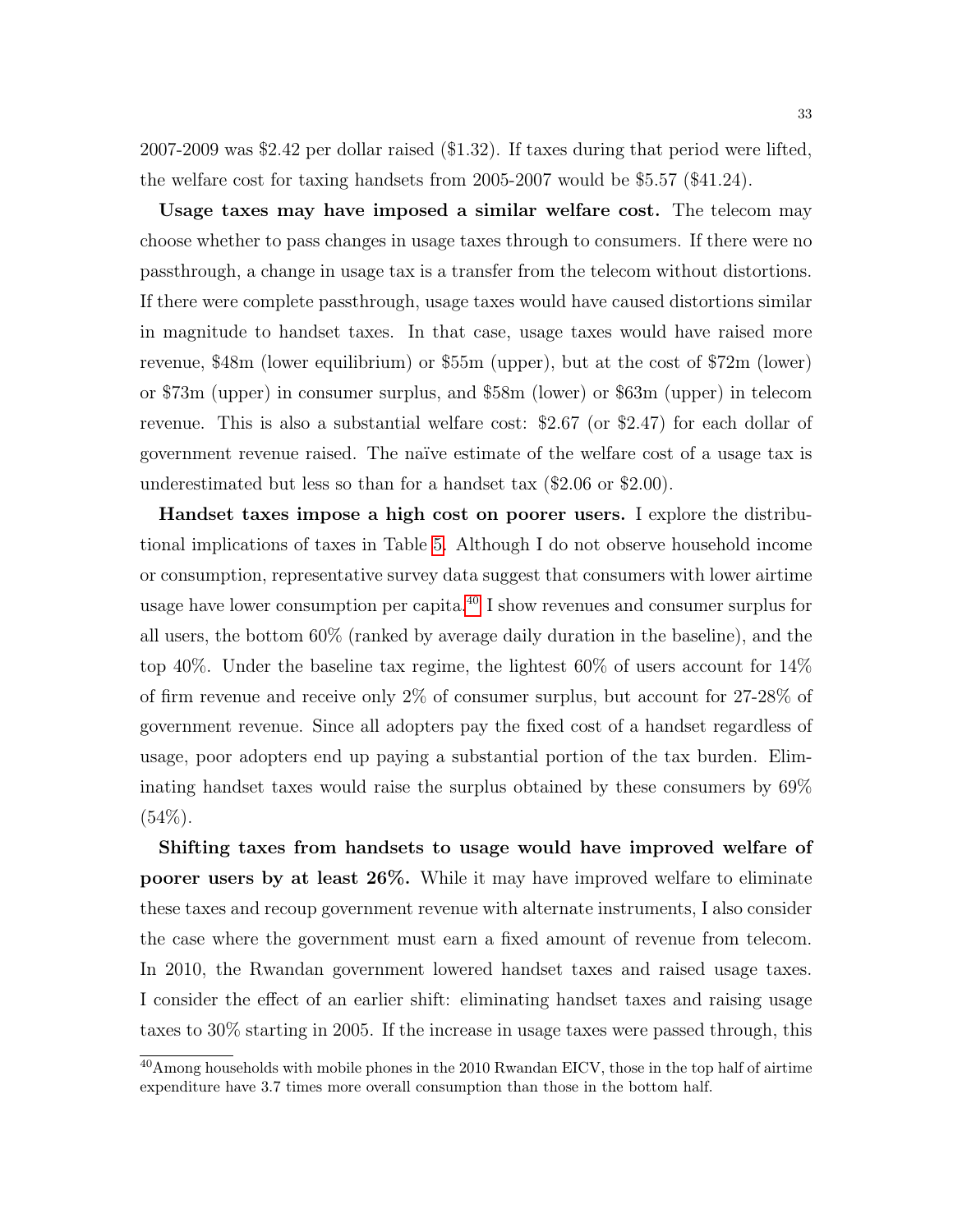2007-2009 was \$2.42 per dollar raised (\$1.32). If taxes during that period were lifted, the welfare cost for taxing handsets from 2005-2007 would be \$5.57 (\$41.24).

Usage taxes may have imposed a similar welfare cost. The telecom may choose whether to pass changes in usage taxes through to consumers. If there were no passthrough, a change in usage tax is a transfer from the telecom without distortions. If there were complete passthrough, usage taxes would have caused distortions similar in magnitude to handset taxes. In that case, usage taxes would have raised more revenue, \$48m (lower equilibrium) or \$55m (upper), but at the cost of \$72m (lower) or \$73m (upper) in consumer surplus, and \$58m (lower) or \$63m (upper) in telecom revenue. This is also a substantial welfare cost: \$2.67 (or \$2.47) for each dollar of government revenue raised. The naïve estimate of the welfare cost of a usage tax is underestimated but less so than for a handset tax (\$2.06 or \$2.00).

Handset taxes impose a high cost on poorer users. I explore the distributional implications of taxes in Table [5.](#page-34-0) Although I do not observe household income or consumption, representative survey data suggest that consumers with lower airtime usage have lower consumption per capita. $40 \text{ I}$  $40 \text{ I}$  show revenues and consumer surplus for all users, the bottom 60% (ranked by average daily duration in the baseline), and the top 40%. Under the baseline tax regime, the lightest 60% of users account for 14% of firm revenue and receive only 2% of consumer surplus, but account for 27-28% of government revenue. Since all adopters pay the fixed cost of a handset regardless of usage, poor adopters end up paying a substantial portion of the tax burden. Eliminating handset taxes would raise the surplus obtained by these consumers by 69%  $(54\%).$ 

Shifting taxes from handsets to usage would have improved welfare of poorer users by at least 26%. While it may have improved welfare to eliminate these taxes and recoup government revenue with alternate instruments, I also consider the case where the government must earn a fixed amount of revenue from telecom. In 2010, the Rwandan government lowered handset taxes and raised usage taxes. I consider the effect of an earlier shift: eliminating handset taxes and raising usage taxes to 30% starting in 2005. If the increase in usage taxes were passed through, this

<span id="page-32-0"></span><sup>&</sup>lt;sup>40</sup>Among households with mobile phones in the 2010 Rwandan EICV, those in the top half of airtime expenditure have 3.7 times more overall consumption than those in the bottom half.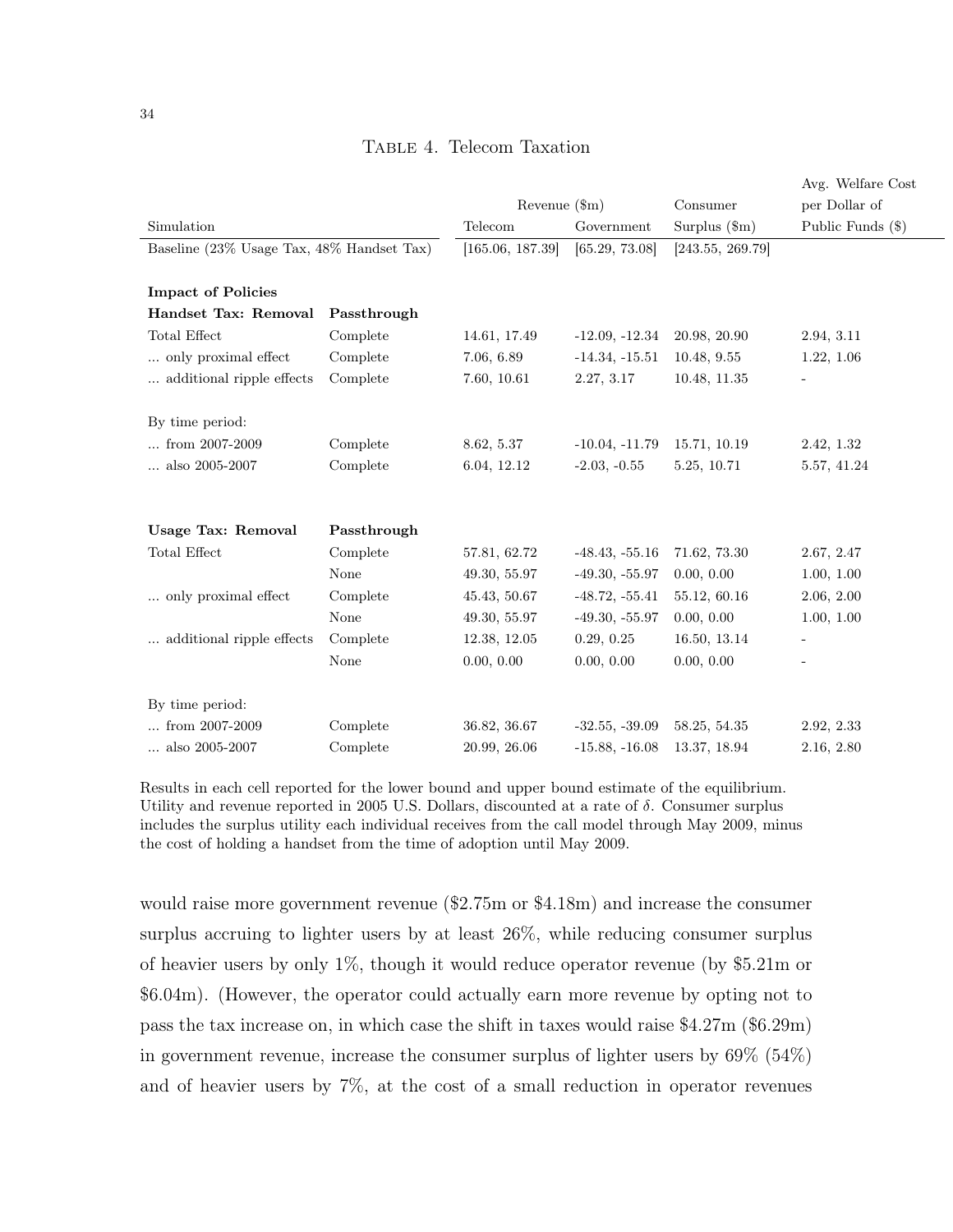|                                           |             |                       |                  |                      | Avg. Welfare Cost        |  |
|-------------------------------------------|-------------|-----------------------|------------------|----------------------|--------------------------|--|
|                                           |             | Revenue $(\text{m})$  |                  | Consumer             | per Dollar of            |  |
| Simulation                                |             | Telecom<br>Government |                  | Surplus $(\text{m})$ | Public Funds (\$)        |  |
| Baseline (23% Usage Tax, 48% Handset Tax) |             | [165.06, 187.39]      | [65.29, 73.08]   | [243.55, 269.79]     |                          |  |
| <b>Impact of Policies</b>                 |             |                       |                  |                      |                          |  |
| Handset Tax: Removal                      | Passthrough |                       |                  |                      |                          |  |
| Total Effect                              | Complete    | 14.61, 17.49          | $-12.09, -12.34$ | 20.98, 20.90         | 2.94, 3.11               |  |
| only proximal effect                      | Complete    | 7.06, 6.89            | $-14.34, -15.51$ | 10.48, 9.55          | 1.22, 1.06               |  |
| additional ripple effects                 | Complete    | 7.60, 10.61           | 2.27, 3.17       | 10.48, 11.35         | $\overline{\phantom{0}}$ |  |
| By time period:                           |             |                       |                  |                      |                          |  |
| from 2007-2009                            | Complete    | 8.62, 5.37            | $-10.04, -11.79$ | 15.71, 10.19         | 2.42, 1.32               |  |
| $\ldots$ also 2005-2007                   | Complete    | 6.04, 12.12           | $-2.03, -0.55$   | 5.25, 10.71          | 5.57, 41.24              |  |
| <b>Usage Tax: Removal</b>                 | Passthrough |                       |                  |                      |                          |  |
| Total Effect                              | Complete    | 57.81, 62.72          | $-48.43, -55.16$ | 71.62, 73.30         | 2.67, 2.47               |  |
|                                           | None        | 49.30, 55.97          | $-49.30, -55.97$ | 0.00, 0.00           | 1.00, 1.00               |  |
| only proximal effect                      | Complete    | 45.43, 50.67          | $-48.72, -55.41$ | 55.12, 60.16         | 2.06, 2.00               |  |
|                                           | None        | 49.30, 55.97          | $-49.30, -55.97$ | 0.00, 0.00           | 1.00, 1.00               |  |
| additional ripple effects                 | Complete    | 12.38, 12.05          | 0.29, 0.25       | 16.50, 13.14         | $\qquad \qquad -$        |  |
|                                           | None        | 0.00, 0.00            | 0.00, 0.00       | 0.00, 0.00           | ÷                        |  |
| By time period:                           |             |                       |                  |                      |                          |  |
| $\ldots$ from 2007-2009                   | Complete    | 36.82, 36.67          | $-32.55, -39.09$ | 58.25, 54.35         | 2.92, 2.33               |  |
| $\ldots$ also 2005-2007                   | Complete    | 20.99, 26.06          | $-15.88, -16.08$ | 13.37, 18.94         | 2.16, 2.80               |  |

# <span id="page-33-0"></span>Table 4. Telecom Taxation

Results in each cell reported for the lower bound and upper bound estimate of the equilibrium. Utility and revenue reported in 2005 U.S. Dollars, discounted at a rate of  $\delta$ . Consumer surplus includes the surplus utility each individual receives from the call model through May 2009, minus the cost of holding a handset from the time of adoption until May 2009.

would raise more government revenue (\$2.75m or \$4.18m) and increase the consumer surplus accruing to lighter users by at least 26%, while reducing consumer surplus of heavier users by only 1%, though it would reduce operator revenue (by \$5.21m or \$6.04m). (However, the operator could actually earn more revenue by opting not to pass the tax increase on, in which case the shift in taxes would raise \$4.27m (\$6.29m) in government revenue, increase the consumer surplus of lighter users by 69% (54%) and of heavier users by 7%, at the cost of a small reduction in operator revenues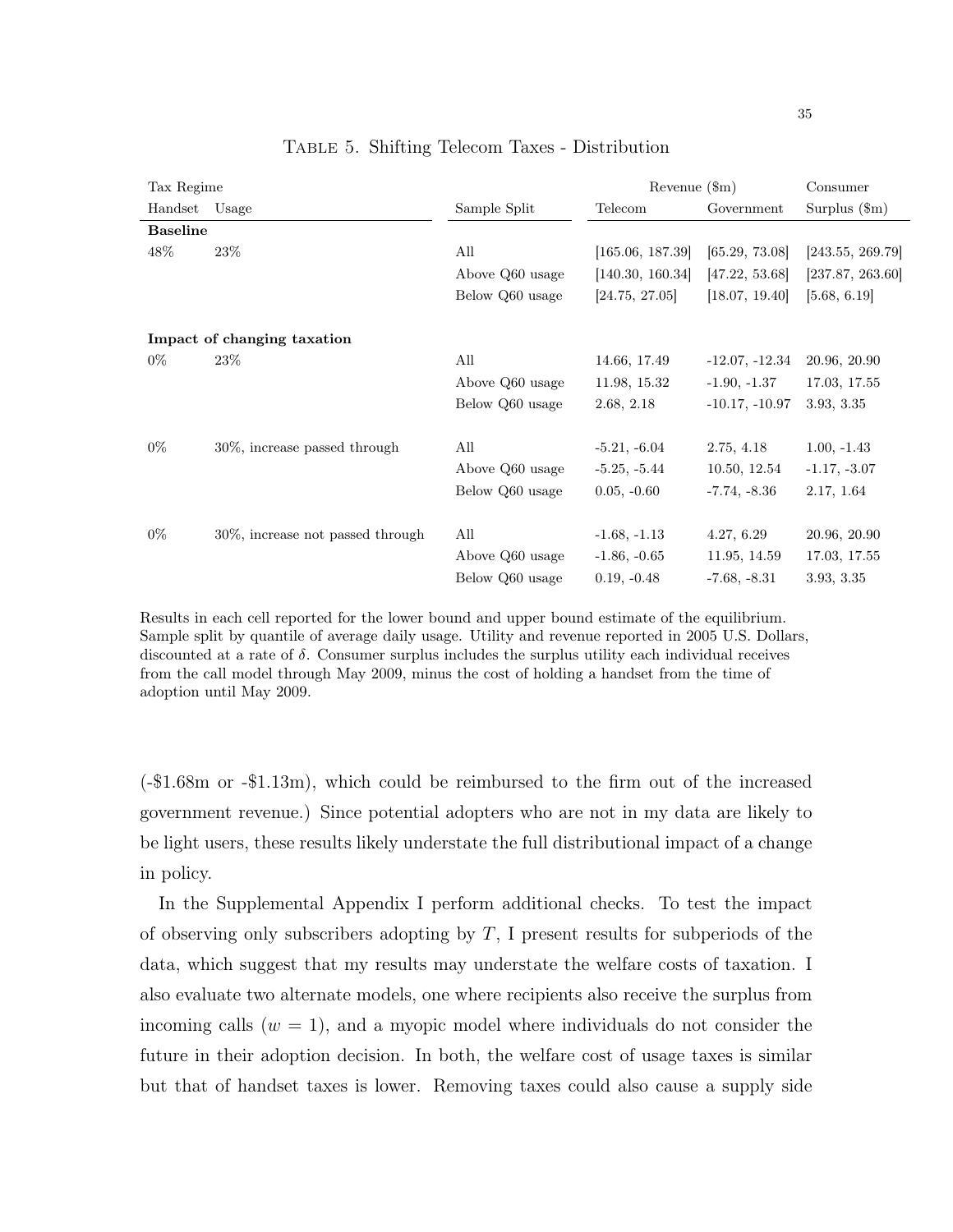| Tax Regime       |                                   | Revenue $(\text{m})$ | Consumer         |                  |                      |
|------------------|-----------------------------------|----------------------|------------------|------------------|----------------------|
| Handset<br>Usage |                                   | Sample Split         | Telecom          | Government       | Surplus $(\text{m})$ |
| <b>Baseline</b>  |                                   |                      |                  |                  |                      |
| 48\%             | 23\%                              | All                  | [165.06, 187.39] | [65.29, 73.08]   | [243.55, 269.79]     |
|                  |                                   | Above Q60 usage      | [140.30, 160.34] | [47.22, 53.68]   | [237.87, 263.60]     |
|                  |                                   | Below Q60 usage      | [24.75, 27.05]   | [18.07, 19.40]   | [5.68, 6.19]         |
|                  | Impact of changing taxation       |                      |                  |                  |                      |
| $0\%$            | 23\%                              | All                  | 14.66, 17.49     | $-12.07, -12.34$ | 20.96, 20.90         |
|                  |                                   | Above Q60 usage      | 11.98, 15.32     | $-1.90, -1.37$   | 17.03, 17.55         |
|                  |                                   | Below Q60 usage      | 2.68, 2.18       | $-10.17, -10.97$ | 3.93, 3.35           |
| $0\%$            | 30%, increase passed through      | All                  | $-5.21, -6.04$   | 2.75, 4.18       | $1.00, -1.43$        |
|                  |                                   | Above Q60 usage      | $-5.25, -5.44$   | 10.50, 12.54     | $-1.17, -3.07$       |
|                  |                                   | Below Q60 usage      | $0.05, -0.60$    | $-7.74, -8.36$   | 2.17, 1.64           |
| $0\%$            | 30\%, increase not passed through | All                  | $-1.68, -1.13$   | 4.27, 6.29       | 20.96, 20.90         |
|                  |                                   | Above Q60 usage      | $-1.86, -0.65$   | 11.95, 14.59     | 17.03, 17.55         |
|                  |                                   | Below Q60 usage      | $0.19, -0.48$    | $-7.68, -8.31$   | 3.93, 3.35           |

<span id="page-34-0"></span>Table 5. Shifting Telecom Taxes - Distribution

Results in each cell reported for the lower bound and upper bound estimate of the equilibrium. Sample split by quantile of average daily usage. Utility and revenue reported in 2005 U.S. Dollars, discounted at a rate of  $\delta$ . Consumer surplus includes the surplus utility each individual receives from the call model through May 2009, minus the cost of holding a handset from the time of adoption until May 2009.

(-\$1.68m or -\$1.13m), which could be reimbursed to the firm out of the increased government revenue.) Since potential adopters who are not in my data are likely to be light users, these results likely understate the full distributional impact of a change in policy.

In the Supplemental Appendix I perform additional checks. To test the impact of observing only subscribers adopting by  $T$ , I present results for subperiods of the data, which suggest that my results may understate the welfare costs of taxation. I also evaluate two alternate models, one where recipients also receive the surplus from incoming calls  $(w = 1)$ , and a myopic model where individuals do not consider the future in their adoption decision. In both, the welfare cost of usage taxes is similar but that of handset taxes is lower. Removing taxes could also cause a supply side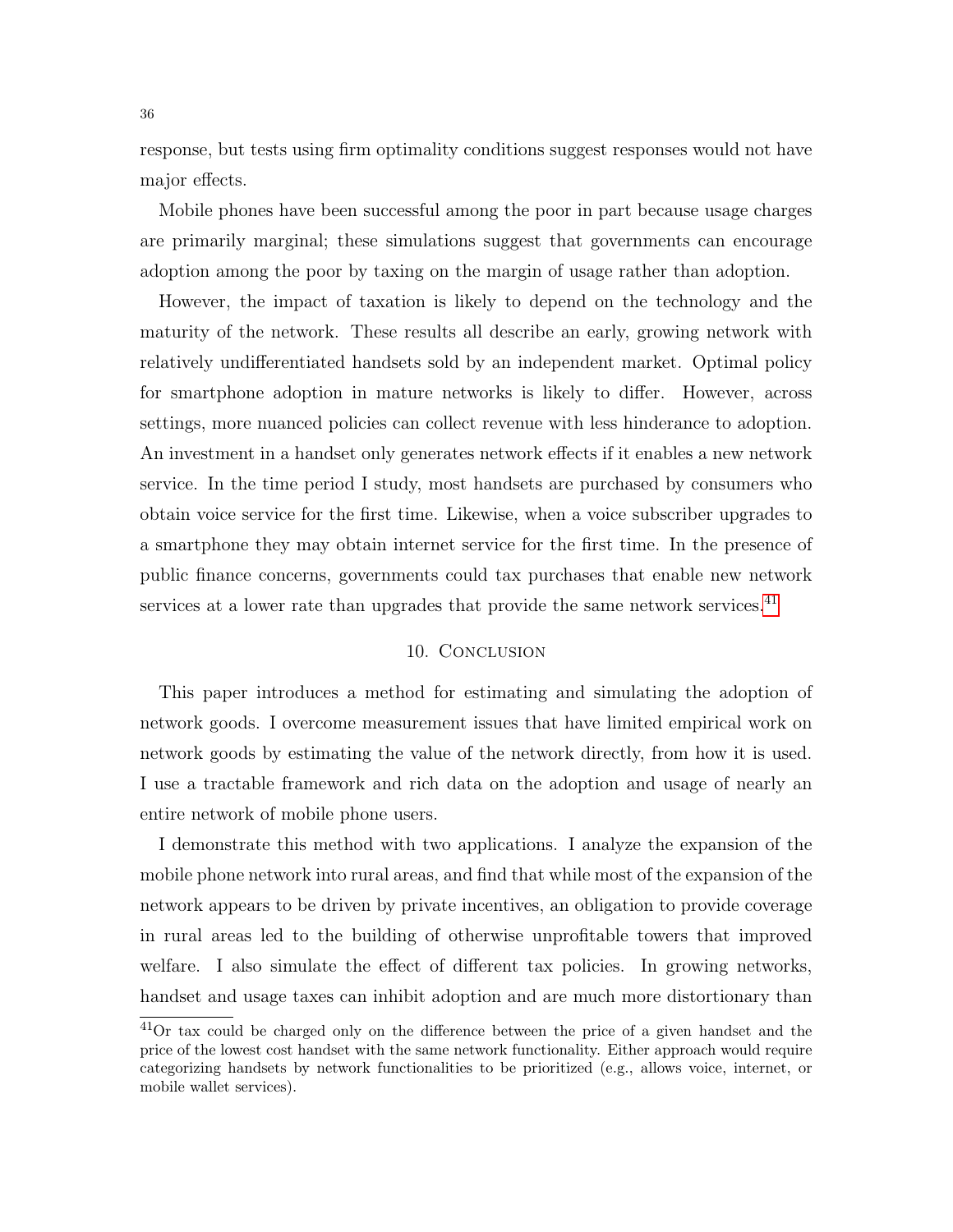response, but tests using firm optimality conditions suggest responses would not have major effects.

Mobile phones have been successful among the poor in part because usage charges are primarily marginal; these simulations suggest that governments can encourage adoption among the poor by taxing on the margin of usage rather than adoption.

However, the impact of taxation is likely to depend on the technology and the maturity of the network. These results all describe an early, growing network with relatively undifferentiated handsets sold by an independent market. Optimal policy for smartphone adoption in mature networks is likely to differ. However, across settings, more nuanced policies can collect revenue with less hinderance to adoption. An investment in a handset only generates network effects if it enables a new network service. In the time period I study, most handsets are purchased by consumers who obtain voice service for the first time. Likewise, when a voice subscriber upgrades to a smartphone they may obtain internet service for the first time. In the presence of public finance concerns, governments could tax purchases that enable new network services at a lower rate than upgrades that provide the same network services.<sup>[41](#page-35-1)</sup>

### 10. CONCLUSION

<span id="page-35-0"></span>This paper introduces a method for estimating and simulating the adoption of network goods. I overcome measurement issues that have limited empirical work on network goods by estimating the value of the network directly, from how it is used. I use a tractable framework and rich data on the adoption and usage of nearly an entire network of mobile phone users.

I demonstrate this method with two applications. I analyze the expansion of the mobile phone network into rural areas, and find that while most of the expansion of the network appears to be driven by private incentives, an obligation to provide coverage in rural areas led to the building of otherwise unprofitable towers that improved welfare. I also simulate the effect of different tax policies. In growing networks, handset and usage taxes can inhibit adoption and are much more distortionary than

<span id="page-35-1"></span><sup>41</sup>Or tax could be charged only on the difference between the price of a given handset and the price of the lowest cost handset with the same network functionality. Either approach would require categorizing handsets by network functionalities to be prioritized (e.g., allows voice, internet, or mobile wallet services).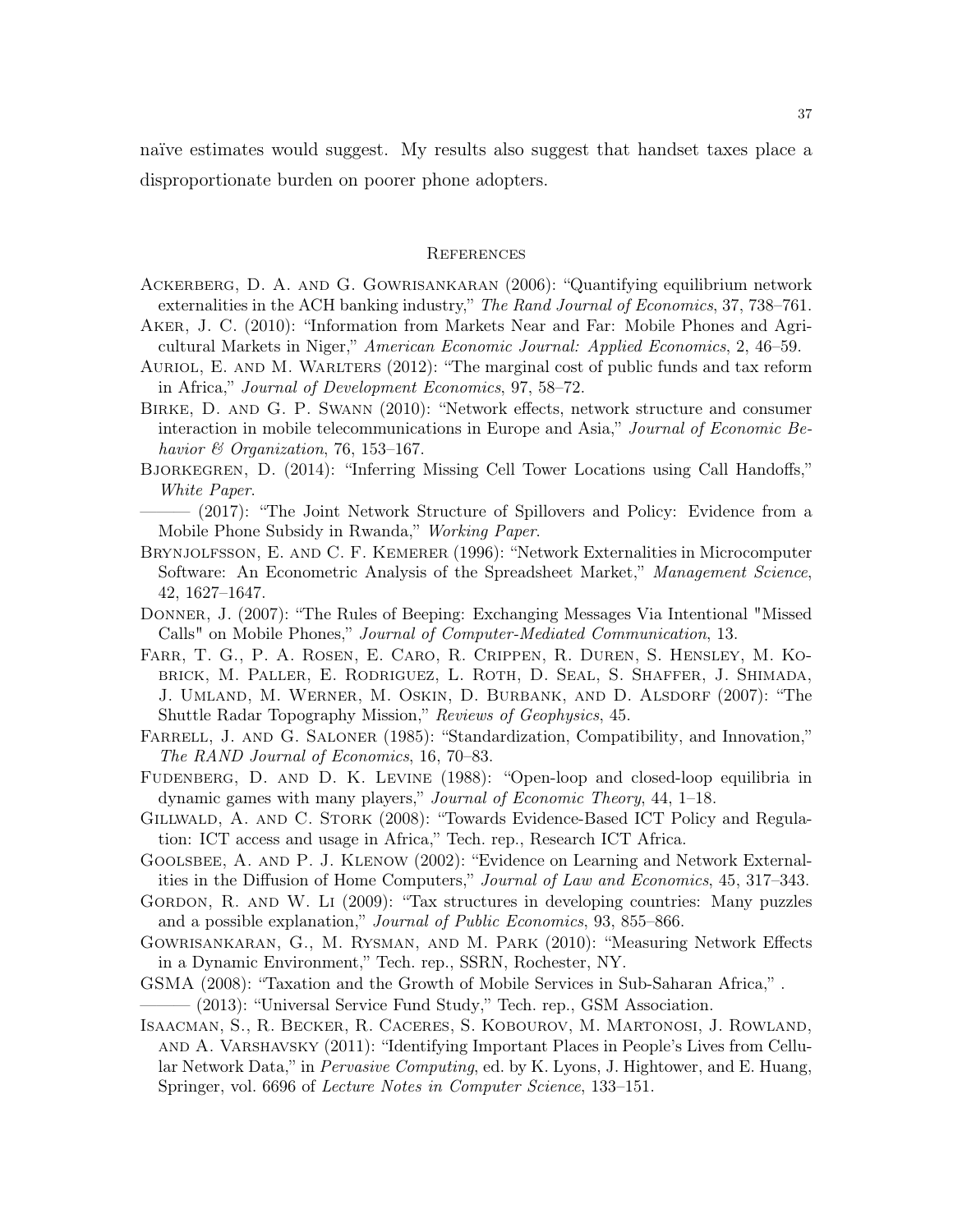naïve estimates would suggest. My results also suggest that handset taxes place a disproportionate burden on poorer phone adopters.

#### **REFERENCES**

- <span id="page-36-5"></span>Ackerberg, D. A. and G. Gowrisankaran (2006): "Quantifying equilibrium network externalities in the ACH banking industry," The Rand Journal of Economics, 37, 738–761.
- <span id="page-36-13"></span>Aker, J. C. (2010): "Information from Markets Near and Far: Mobile Phones and Agricultural Markets in Niger," American Economic Journal: Applied Economics, 2, 46–59.
- <span id="page-36-16"></span>AURIOL, E. AND M. WARLTERS (2012): "The marginal cost of public funds and tax reform in Africa," Journal of Development Economics, 97, 58–72.
- <span id="page-36-2"></span>Birke, D. and G. P. Swann (2010): "Network effects, network structure and consumer interaction in mobile telecommunications in Europe and Asia," Journal of Economic Behavior  $\mathcal B$  Organization, 76, 153–167.
- <span id="page-36-9"></span>Bjorkegren, D. (2014): "Inferring Missing Cell Tower Locations using Call Handoffs," White Paper.
- <span id="page-36-17"></span>- (2017): "The Joint Network Structure of Spillovers and Policy: Evidence from a Mobile Phone Subsidy in Rwanda," Working Paper.
- <span id="page-36-4"></span>Brynjolfsson, E. and C. F. Kemerer (1996): "Network Externalities in Microcomputer Software: An Econometric Analysis of the Spreadsheet Market," Management Science, 42, 1627–1647.
- <span id="page-36-11"></span>Donner, J. (2007): "The Rules of Beeping: Exchanging Messages Via Intentional "Missed Calls" on Mobile Phones," Journal of Computer-Mediated Communication, 13.
- <span id="page-36-7"></span>Farr, T. G., P. A. Rosen, E. Caro, R. Crippen, R. Duren, S. Hensley, M. Kobrick, M. Paller, E. Rodriguez, L. Roth, D. Seal, S. Shaffer, J. Shimada, J. Umland, M. Werner, M. Oskin, D. Burbank, and D. Alsdorf (2007): "The Shuttle Radar Topography Mission," Reviews of Geophysics, 45.
- <span id="page-36-0"></span>FARRELL, J. AND G. SALONER (1985): "Standardization, Compatibility, and Innovation," The RAND Journal of Economics, 16, 70–83.
- <span id="page-36-12"></span>Fudenberg, D. and D. K. Levine (1988): "Open-loop and closed-loop equilibria in dynamic games with many players," *Journal of Economic Theory*, 44, 1–18.
- <span id="page-36-10"></span>Gillwald, A. and C. Stork (2008): "Towards Evidence-Based ICT Policy and Regulation: ICT access and usage in Africa," Tech. rep., Research ICT Africa.
- <span id="page-36-1"></span>Goolsbee, A. and P. J. Klenow (2002): "Evidence on Learning and Network Externalities in the Diffusion of Home Computers," Journal of Law and Economics, 45, 317–343.
- <span id="page-36-15"></span>GORDON, R. AND W. LI (2009): "Tax structures in developing countries: Many puzzles and a possible explanation," Journal of Public Economics, 93, 855–866.
- <span id="page-36-6"></span>Gowrisankaran, G., M. Rysman, and M. Park (2010): "Measuring Network Effects in a Dynamic Environment," Tech. rep., SSRN, Rochester, NY.
- <span id="page-36-14"></span><span id="page-36-3"></span>GSMA (2008): "Taxation and the Growth of Mobile Services in Sub-Saharan Africa," .  $-$  (2013): "Universal Service Fund Study," Tech. rep., GSM Association.
- <span id="page-36-8"></span>Isaacman, S., R. Becker, R. Caceres, S. Kobourov, M. Martonosi, J. Rowland, and A. Varshavsky (2011): "Identifying Important Places in People's Lives from Cellular Network Data," in Pervasive Computing, ed. by K. Lyons, J. Hightower, and E. Huang, Springer, vol. 6696 of Lecture Notes in Computer Science, 133–151.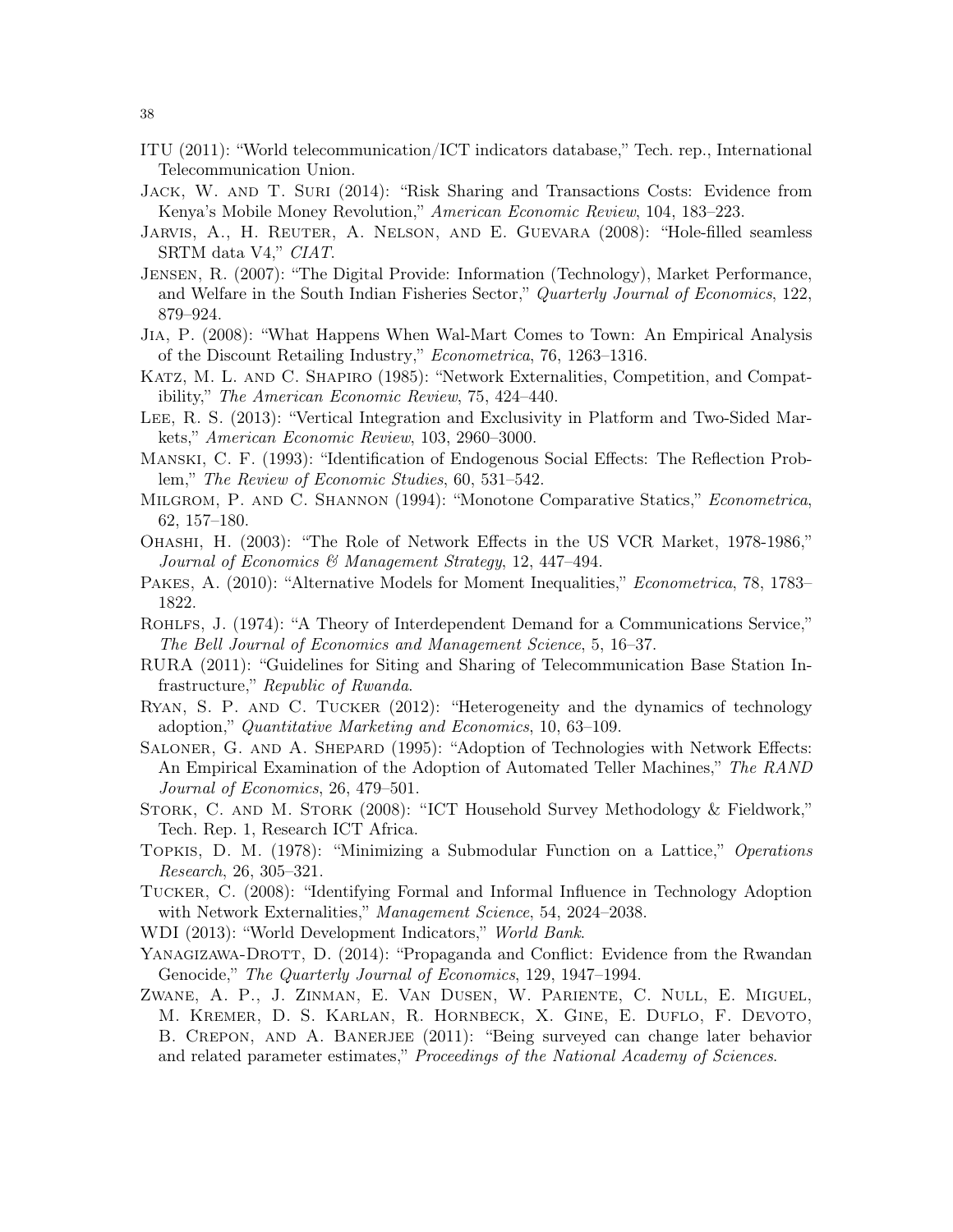- <span id="page-37-8"></span>ITU (2011): "World telecommunication/ICT indicators database," Tech. rep., International Telecommunication Union.
- <span id="page-37-1"></span>Jack, W. and T. Suri (2014): "Risk Sharing and Transactions Costs: Evidence from Kenya's Mobile Money Revolution," American Economic Review, 104, 183–223.
- <span id="page-37-13"></span>Jarvis, A., H. Reuter, A. Nelson, and E. Guevara (2008): "Hole-filled seamless SRTM data V4," CIAT.
- <span id="page-37-0"></span>Jensen, R. (2007): "The Digital Provide: Information (Technology), Market Performance, and Welfare in the South Indian Fisheries Sector," Quarterly Journal of Economics, 122, 879–924.
- <span id="page-37-7"></span>Jia, P. (2008): "What Happens When Wal-Mart Comes to Town: An Empirical Analysis of the Discount Retailing Industry," Econometrica, 76, 1263–1316.
- <span id="page-37-3"></span>Katz, M. L. and C. Shapiro (1985): "Network Externalities, Competition, and Compatibility," The American Economic Review, 75, 424–440.
- <span id="page-37-10"></span>Lee, R. S. (2013): "Vertical Integration and Exclusivity in Platform and Two-Sided Markets," American Economic Review, 103, 2960–3000.
- <span id="page-37-15"></span>Manski, C. F. (1993): "Identification of Endogenous Social Effects: The Reflection Problem," The Review of Economic Studies, 60, 531–542.
- <span id="page-37-18"></span>MILGROM, P. AND C. SHANNON (1994): "Monotone Comparative Statics," *Econometrica*, 62, 157–180.
- <span id="page-37-9"></span>Ohashi, H. (2003): "The Role of Network Effects in the US VCR Market, 1978-1986," Journal of Economics & Management Strategy, 12, 447–494.
- <span id="page-37-20"></span>PAKES, A. (2010): "Alternative Models for Moment Inequalities," *Econometrica*, 78, 1783– 1822.
- <span id="page-37-2"></span>ROHLFS, J. (1974): "A Theory of Interdependent Demand for a Communications Service," The Bell Journal of Economics and Management Science, 5, 16–37.
- <span id="page-37-19"></span>RURA (2011): "Guidelines for Siting and Sharing of Telecommunication Base Station Infrastructure," Republic of Rwanda.
- <span id="page-37-6"></span>Ryan, S. P. and C. Tucker (2012): "Heterogeneity and the dynamics of technology adoption," Quantitative Marketing and Economics, 10, 63–109.
- <span id="page-37-4"></span>SALONER, G. AND A. SHEPARD (1995): "Adoption of Technologies with Network Effects: An Empirical Examination of the Adoption of Automated Teller Machines," The RAND Journal of Economics, 26, 479–501.
- <span id="page-37-14"></span>Stork, C. and M. Stork (2008): "ICT Household Survey Methodology & Fieldwork," Tech. Rep. 1, Research ICT Africa.
- <span id="page-37-17"></span>Topkis, D. M. (1978): "Minimizing a Submodular Function on a Lattice," Operations Research, 26, 305–321.
- <span id="page-37-5"></span>Tucker, C. (2008): "Identifying Formal and Informal Influence in Technology Adoption with Network Externalities," *Management Science*, 54, 2024–2038.
- <span id="page-37-12"></span>WDI (2013): "World Development Indicators," World Bank.
- <span id="page-37-16"></span>YANAGIZAWA-DROTT, D. (2014): "Propaganda and Conflict: Evidence from the Rwandan Genocide," The Quarterly Journal of Economics, 129, 1947–1994.
- <span id="page-37-11"></span>Zwane, A. P., J. Zinman, E. Van Dusen, W. Pariente, C. Null, E. Miguel, M. Kremer, D. S. Karlan, R. Hornbeck, X. Gine, E. Duflo, F. Devoto, B. CREPON, AND A. BANERJEE (2011): "Being surveyed can change later behavior and related parameter estimates," Proceedings of the National Academy of Sciences.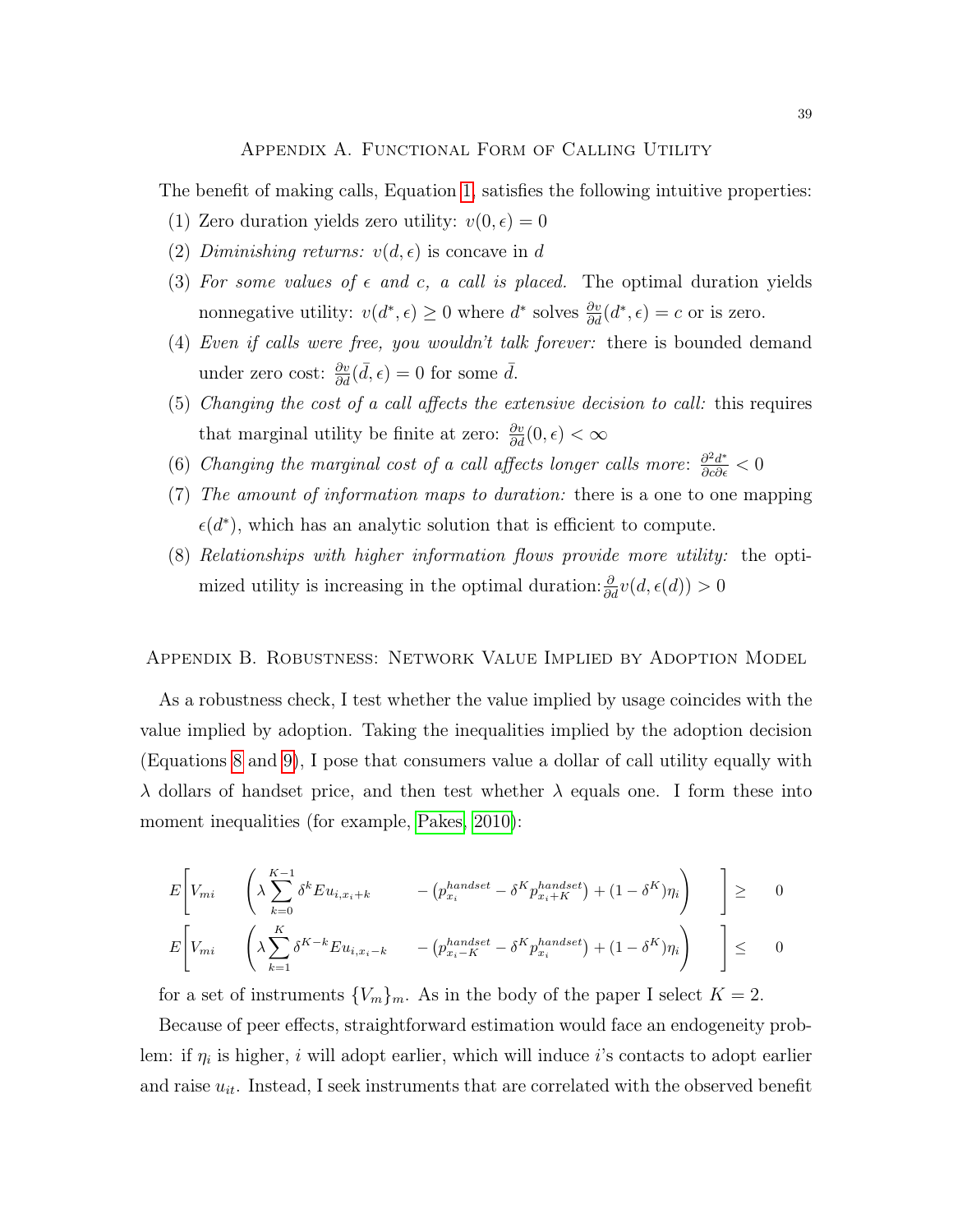### Appendix A. Functional Form of Calling Utility

<span id="page-38-0"></span>The benefit of making calls, Equation [1,](#page-12-2) satisfies the following intuitive properties:

- (1) Zero duration yields zero utility:  $v(0, \epsilon) = 0$
- (2) Diminishing returns:  $v(d, \epsilon)$  is concave in d
- (3) For some values of  $\epsilon$  and  $c$ , a call is placed. The optimal duration yields nonnegative utility:  $v(d^*, \epsilon) \ge 0$  where  $d^*$  solves  $\frac{\partial v}{\partial d}(d^*, \epsilon) = c$  or is zero.
- (4) Even if calls were free, you wouldn't talk forever: there is bounded demand under zero cost:  $\frac{\partial v}{\partial d}(\bar{d}, \epsilon) = 0$  for some  $\bar{d}$ .
- (5) Changing the cost of a call affects the extensive decision to call: this requires that marginal utility be finite at zero:  $\frac{\partial v}{\partial d}(0, \epsilon) < \infty$
- (6) Changing the marginal cost of a call affects longer calls more:  $\frac{\partial^2 d^*}{\partial c \partial \epsilon} < 0$
- (7) The amount of information maps to duration: there is a one to one mapping  $\epsilon(d^*)$ , which has an analytic solution that is efficient to compute.
- (8) Relationships with higher information flows provide more utility: the optimized utility is increasing in the optimal duration:  $\frac{\partial}{\partial d}v(d, \epsilon(d)) > 0$

### <span id="page-38-1"></span>Appendix B. Robustness: Network Value Implied by Adoption Model

As a robustness check, I test whether the value implied by usage coincides with the value implied by adoption. Taking the inequalities implied by the adoption decision (Equations [8](#page-19-2) and [9\)](#page-19-3), I pose that consumers value a dollar of call utility equally with  $\lambda$  dollars of handset price, and then test whether  $\lambda$  equals one. I form these into moment inequalities (for example, [Pakes, 2010\)](#page-37-20):

$$
E\left[V_{mi} \left(\lambda \sum_{k=0}^{K-1} \delta^k E u_{i,x_i+k} - (p_{x_i}^{handset} - \delta^K p_{x_i+k}^{handset}) + (1 - \delta^K)\eta_i\right) \right] \geq 0
$$
  

$$
E\left[V_{mi} \left(\lambda \sum_{k=1}^{K} \delta^{K-k} E u_{i,x_i-k} - (p_{x_i-K}^{handset} - \delta^K p_{x_i}^{handset}) + (1 - \delta^K)\eta_i\right) \right] \leq 0
$$

for a set of instruments  ${V_m}_m$ . As in the body of the paper I select  $K = 2$ .

Because of peer effects, straightforward estimation would face an endogeneity problem: if  $\eta_i$  is higher, i will adopt earlier, which will induce i's contacts to adopt earlier and raise  $u_{it}$ . Instead, I seek instruments that are correlated with the observed benefit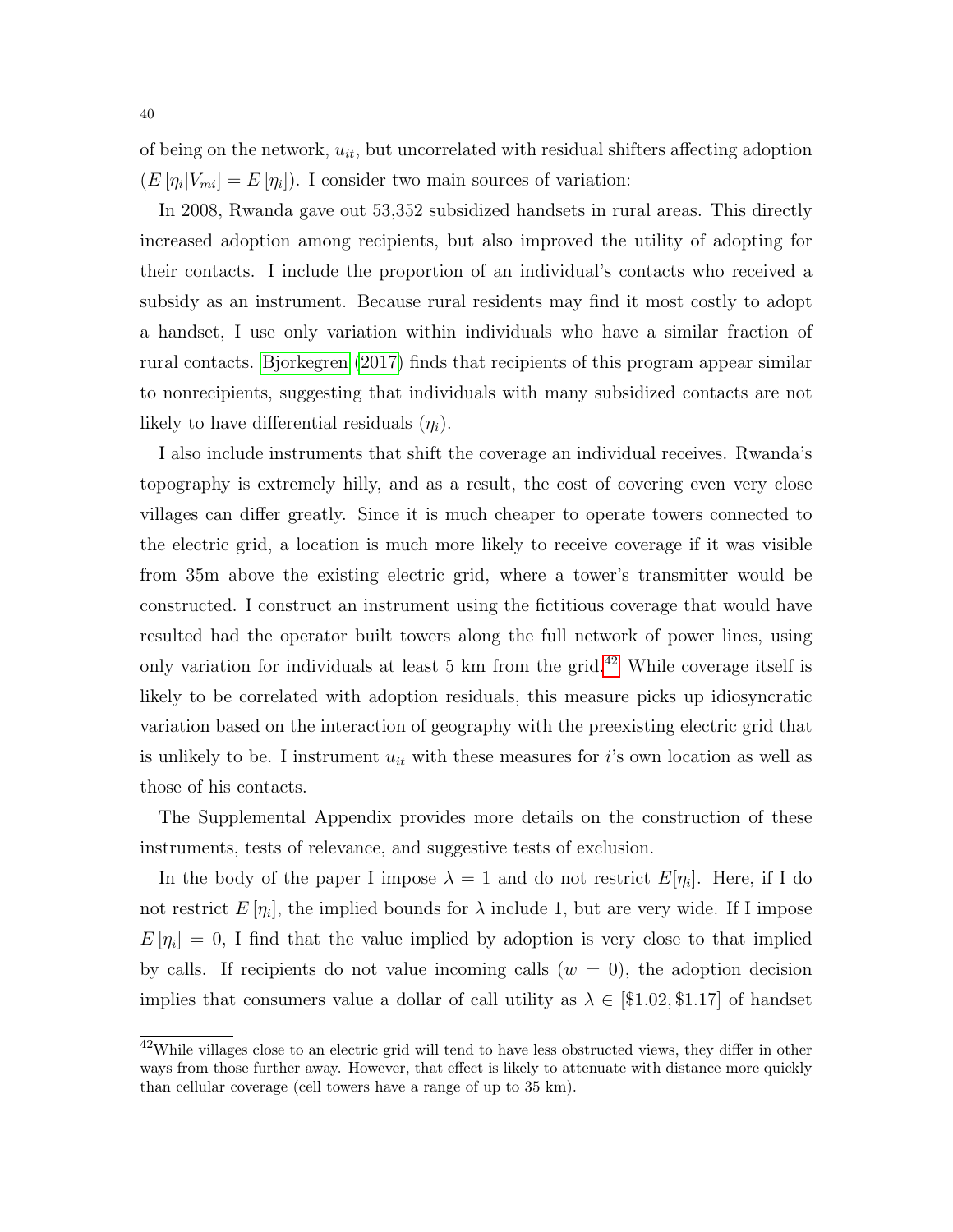of being on the network,  $u_{it}$ , but uncorrelated with residual shifters affecting adoption  $(E[\eta_i|V_{mi}] = E[\eta_i])$ . I consider two main sources of variation:

In 2008, Rwanda gave out 53,352 subsidized handsets in rural areas. This directly increased adoption among recipients, but also improved the utility of adopting for their contacts. I include the proportion of an individual's contacts who received a subsidy as an instrument. Because rural residents may find it most costly to adopt a handset, I use only variation within individuals who have a similar fraction of rural contacts. [Bjorkegren](#page-36-17) [\(2017\)](#page-36-17) finds that recipients of this program appear similar to nonrecipients, suggesting that individuals with many subsidized contacts are not likely to have differential residuals  $(\eta_i)$ .

I also include instruments that shift the coverage an individual receives. Rwanda's topography is extremely hilly, and as a result, the cost of covering even very close villages can differ greatly. Since it is much cheaper to operate towers connected to the electric grid, a location is much more likely to receive coverage if it was visible from 35m above the existing electric grid, where a tower's transmitter would be constructed. I construct an instrument using the fictitious coverage that would have resulted had the operator built towers along the full network of power lines, using only variation for individuals at least 5 km from the grid.<sup>[42](#page-39-0)</sup> While coverage itself is likely to be correlated with adoption residuals, this measure picks up idiosyncratic variation based on the interaction of geography with the preexisting electric grid that is unlikely to be. I instrument  $u_{it}$  with these measures for i's own location as well as those of his contacts.

The Supplemental Appendix provides more details on the construction of these instruments, tests of relevance, and suggestive tests of exclusion.

In the body of the paper I impose  $\lambda = 1$  and do not restrict  $E[\eta_i]$ . Here, if I do not restrict  $E[\eta_i]$ , the implied bounds for  $\lambda$  include 1, but are very wide. If I impose  $E[\eta_i] = 0$ , I find that the value implied by adoption is very close to that implied by calls. If recipients do not value incoming calls  $(w = 0)$ , the adoption decision implies that consumers value a dollar of call utility as  $\lambda \in [\$1.02, \$1.17]$  of handset

<span id="page-39-0"></span> $42$ While villages close to an electric grid will tend to have less obstructed views, they differ in other ways from those further away. However, that effect is likely to attenuate with distance more quickly than cellular coverage (cell towers have a range of up to 35 km).